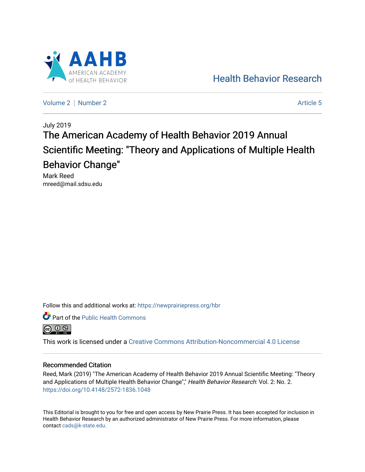

[Health Behavior Research](https://newprairiepress.org/hbr) 

[Volume 2](https://newprairiepress.org/hbr/vol2) | [Number 2](https://newprairiepress.org/hbr/vol2/iss2) Article 5

# July 2019 The American Academy of Health Behavior 2019 Annual Scientific Meeting: "Theory and Applications of Multiple Health Behavior Change"

Mark Reed mreed@mail.sdsu.edu

Follow this and additional works at: [https://newprairiepress.org/hbr](https://newprairiepress.org/hbr?utm_source=newprairiepress.org%2Fhbr%2Fvol2%2Fiss2%2F5&utm_medium=PDF&utm_campaign=PDFCoverPages) 





This work is licensed under a [Creative Commons Attribution-Noncommercial 4.0 License](https://creativecommons.org/licenses/by-nc/4.0/)

#### Recommended Citation

Reed, Mark (2019) "The American Academy of Health Behavior 2019 Annual Scientific Meeting: "Theory and Applications of Multiple Health Behavior Change"," Health Behavior Research: Vol. 2: No. 2. <https://doi.org/10.4148/2572-1836.1048>

This Editorial is brought to you for free and open access by New Prairie Press. It has been accepted for inclusion in Health Behavior Research by an authorized administrator of New Prairie Press. For more information, please contact [cads@k-state.edu](mailto:cads@k-state.edu).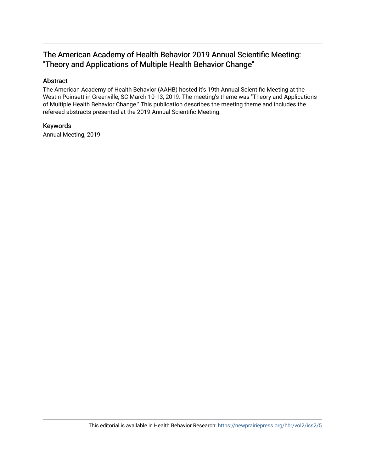# The American Academy of Health Behavior 2019 Annual Scientific Meeting: "Theory and Applications of Multiple Health Behavior Change"

#### Abstract

The American Academy of Health Behavior (AAHB) hosted it's 19th Annual Scientific Meeting at the Westin Poinsett in Greenville, SC March 10-13, 2019. The meeting's theme was "Theory and Applications of Multiple Health Behavior Change." This publication describes the meeting theme and includes the refereed abstracts presented at the 2019 Annual Scientific Meeting.

#### Keywords

Annual Meeting, 2019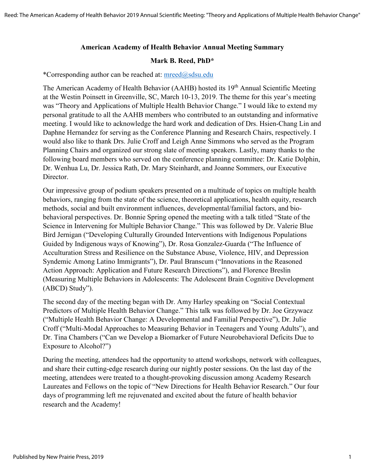#### **American Academy of Health Behavior Annual Meeting Summary**

#### **Mark B. Reed, PhD\***

\*Corresponding author can be reached at: [mreed@sdsu.edu](mailto:mreed@sdsu.edu)

The American Academy of Health Behavior (AAHB) hosted its 19<sup>th</sup> Annual Scientific Meeting at the Westin Poinsett in Greenville, SC, March 10-13, 2019. The theme for this year's meeting was "Theory and Applications of Multiple Health Behavior Change." I would like to extend my personal gratitude to all the AAHB members who contributed to an outstanding and informative meeting. I would like to acknowledge the hard work and dedication of Drs. Hsien-Chang Lin and Daphne Hernandez for serving as the Conference Planning and Research Chairs, respectively. I would also like to thank Drs. Julie Croff and Leigh Anne Simmons who served as the Program Planning Chairs and organized our strong slate of meeting speakers. Lastly, many thanks to the following board members who served on the conference planning committee: Dr. Katie Dolphin, Dr. Wenhua Lu, Dr. Jessica Rath, Dr. Mary Steinhardt, and Joanne Sommers, our Executive Director.

Our impressive group of podium speakers presented on a multitude of topics on multiple health behaviors, ranging from the state of the science, theoretical applications, health equity, research methods, social and built environment influences, developmental/familial factors, and biobehavioral perspectives. Dr. Bonnie Spring opened the meeting with a talk titled "State of the Science in Intervening for Multiple Behavior Change." This was followed by Dr. Valerie Blue Bird Jernigan ("Developing Culturally Grounded Interventions with Indigenous Populations Guided by Indigenous ways of Knowing"), Dr. Rosa Gonzalez-Guarda ("The Influence of Acculturation Stress and Resilience on the Substance Abuse, Violence, HIV, and Depression Syndemic Among Latino Immigrants"), Dr. Paul Branscum ("Innovations in the Reasoned Action Approach: Application and Future Research Directions"), and Florence Breslin (Measuring Multiple Behaviors in Adolescents: The Adolescent Brain Cognitive Development (ABCD) Study").

The second day of the meeting began with Dr. Amy Harley speaking on "Social Contextual Predictors of Multiple Health Behavior Change." This talk was followed by Dr. Joe Grzywacz ("Multiple Health Behavior Change: A Developmental and Familial Perspective"), Dr. Julie Croff ("Multi-Modal Approaches to Measuring Behavior in Teenagers and Young Adults"), and Dr. Tina Chambers ("Can we Develop a Biomarker of Future Neurobehavioral Deficits Due to Exposure to Alcohol?")

During the meeting, attendees had the opportunity to attend workshops, network with colleagues, and share their cutting-edge research during our nightly poster sessions. On the last day of the meeting, attendees were treated to a thought-provoking discussion among Academy Research Laureates and Fellows on the topic of "New Directions for Health Behavior Research." Our four days of programming left me rejuvenated and excited about the future of health behavior research and the Academy!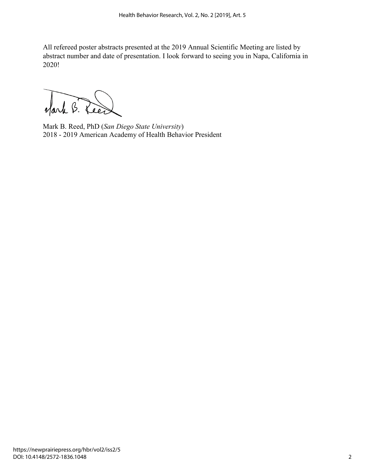All refereed poster abstracts presented at the 2019 Annual Scientific Meeting are listed by abstract number and date of presentation. I look forward to seeing you in Napa, California in 2020!

Nark B. Lee

Mark B. Reed, PhD (*San Diego State University*) 2018 - 2019 American Academy of Health Behavior President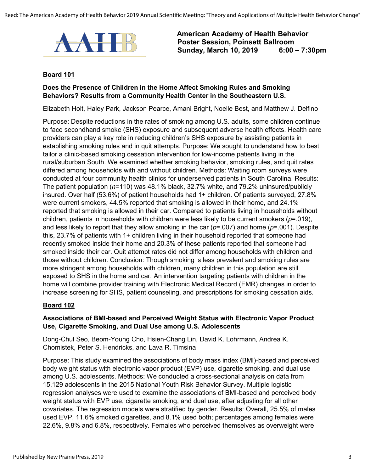

#### **Board 101**

#### **Does the Presence of Children in the Home Affect Smoking Rules and Smoking Behaviors? Results from a Community Health Center in the Southeastern U.S.**

Elizabeth Holt, Haley Park, Jackson Pearce, Amani Bright, Noelle Best, and Matthew J. Delfino

Purpose: Despite reductions in the rates of smoking among U.S. adults, some children continue to face secondhand smoke (SHS) exposure and subsequent adverse health effects. Health care providers can play a key role in reducing children's SHS exposure by assisting patients in establishing smoking rules and in quit attempts. Purpose: We sought to understand how to best tailor a clinic-based smoking cessation intervention for low-income patients living in the rural/suburban South. We examined whether smoking behavior, smoking rules, and quit rates differed among households with and without children. Methods: Waiting room surveys were conducted at four community health clinics for underserved patients in South Carolina. Results: The patient population (*n*=110) was 48.1% black, 32.7% white, and 79.2% uninsured/publicly insured. Over half (53.6%) of patient households had 1+ children. Of patients surveyed, 27.8% were current smokers, 44.5% reported that smoking is allowed in their home, and 24.1% reported that smoking is allowed in their car. Compared to patients living in households without children, patients in households with children were less likely to be current smokers (*p*=.019), and less likely to report that they allow smoking in the car (*p*=.007) and home (*p*=.001). Despite this, 23.7% of patients with 1+ children living in their household reported that someone had recently smoked inside their home and 20.3% of these patients reported that someone had smoked inside their car. Quit attempt rates did not differ among households with children and those without children. Conclusion: Though smoking is less prevalent and smoking rules are more stringent among households with children, many children in this population are still exposed to SHS in the home and car. An intervention targeting patients with children in the home will combine provider training with Electronic Medical Record (EMR) changes in order to increase screening for SHS, patient counseling, and prescriptions for smoking cessation aids.

#### **Board 102**

#### **Associations of BMI-based and Perceived Weight Status with Electronic Vapor Product Use, Cigarette Smoking, and Dual Use among U.S. Adolescents**

Dong-Chul Seo, Beom-Young Cho, Hsien-Chang Lin, David K. Lohrmann, Andrea K. Chomistek, Peter S. Hendricks, and Lava R. Timsina

Purpose: This study examined the associations of body mass index (BMI)-based and perceived body weight status with electronic vapor product (EVP) use, cigarette smoking, and dual use among U.S. adolescents. Methods: We conducted a cross-sectional analysis on data from 15,129 adolescents in the 2015 National Youth Risk Behavior Survey. Multiple logistic regression analyses were used to examine the associations of BMI-based and perceived body weight status with EVP use, cigarette smoking, and dual use, after adjusting for all other covariates. The regression models were stratified by gender. Results: Overall, 25.5% of males used EVP, 11.6% smoked cigarettes, and 8.1% used both; percentages among females were 22.6%, 9.8% and 6.8%, respectively. Females who perceived themselves as overweight were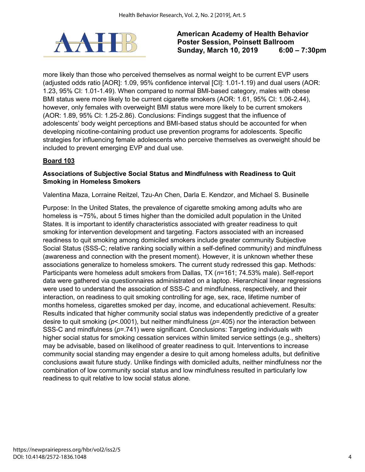

more likely than those who perceived themselves as normal weight to be current EVP users (adjusted odds ratio [AOR]: 1.09, 95% confidence interval [CI]: 1.01-1.19) and dual users (AOR: 1.23, 95% CI: 1.01-1.49). When compared to normal BMI-based category, males with obese BMI status were more likely to be current cigarette smokers (AOR: 1.61, 95% CI: 1.06-2.44). however, only females with overweight BMI status were more likely to be current smokers (AOR: 1.89, 95% CI: 1.25-2.86). Conclusions: Findings suggest that the influence of adolescents' body weight perceptions and BMI-based status should be accounted for when developing nicotine-containing product use prevention programs for adolescents. Specific strategies for influencing female adolescents who perceive themselves as overweight should be included to prevent emerging EVP and dual use.

# **Board 103**

#### **Associations of Subjective Social Status and Mindfulness with Readiness to Quit Smoking in Homeless Smokers**

Valentina Maza, Lorraine Reitzel, Tzu-An Chen, Darla E. Kendzor, and Michael S. Businelle

Purpose: In the United States, the prevalence of cigarette smoking among adults who are homeless is ~75%, about 5 times higher than the domiciled adult population in the United States. It is important to identify characteristics associated with greater readiness to quit smoking for intervention development and targeting. Factors associated with an increased readiness to quit smoking among domiciled smokers include greater community Subjective Social Status (SSS-C; relative ranking socially within a self-defined community) and mindfulness (awareness and connection with the present moment). However, it is unknown whether these associations generalize to homeless smokers. The current study redressed this gap. Methods: Participants were homeless adult smokers from Dallas, TX (*n*=161; 74.53% male). Self-report data were gathered via questionnaires administrated on a laptop. Hierarchical linear regressions were used to understand the association of SSS-C and mindfulness, respectively, and their interaction, on readiness to quit smoking controlling for age, sex, race, lifetime number of months homeless, cigarettes smoked per day, income, and educational achievement. Results: Results indicated that higher community social status was independently predictive of a greater desire to quit smoking (*p*<.0001), but neither mindfulness (*p*=.405) nor the interaction between SSS-C and mindfulness (*p*=.741) were significant. Conclusions: Targeting individuals with higher social status for smoking cessation services within limited service settings (e.g., shelters) may be advisable, based on likelihood of greater readiness to quit. Interventions to increase community social standing may engender a desire to quit among homeless adults, but definitive conclusions await future study. Unlike findings with domiciled adults, neither mindfulness nor the combination of low community social status and low mindfulness resulted in particularly low readiness to quit relative to low social status alone.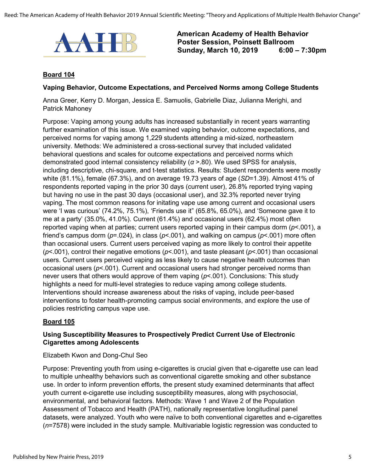

#### **Board 104**

#### **Vaping Behavior, Outcome Expectations, and Perceived Norms among College Students**

Anna Greer, Kerry D. Morgan, Jessica E. Samuolis, Gabrielle Diaz, Julianna Merighi, and Patrick Mahoney

Purpose: Vaping among young adults has increased substantially in recent years warranting further examination of this issue. We examined vaping behavior, outcome expectations, and perceived norms for vaping among 1,229 students attending a mid-sized, northeastern university. Methods: We administered a cross-sectional survey that included validated behavioral questions and scales for outcome expectations and perceived norms which demonstrated good internal consistency reliability (*α* >.80). We used SPSS for analysis, including descriptive, chi-square, and t-test statistics. Results: Student respondents were mostly white (81.1%), female (67.3%), and on average 19.73 years of age (*SD*=1.39). Almost 41% of respondents reported vaping in the prior 30 days (current user), 26.8% reported trying vaping but having no use in the past 30 days (occasional user), and 32.3% reported never trying vaping. The most common reasons for initating vape use among current and occasional users were 'I was curious' (74.2%, 75.1%), 'Friends use it" (65.8%, 65.0%), and 'Someone gave it to me at a party' (35.0%, 41.0%). Current (61.4%) and occasional users (62.4%) most often reported vaping when at parties; current users reported vaping in their campus dorm (*p*<.001), a friend's campus dorm (*p*=.024), in class (*p*<.001), and walking on campus (*p*<.001) more often than occasional users. Current users perceived vaping as more likely to control their appetite (*p*<.001), control their negative emotions (*p*<.001), and taste pleasant (*p*<.001) than occasional users. Current users perceived vaping as less likely to cause negative health outcomes than occasional users (*p*<.001). Current and occasional users had stronger perceived norms than never users that others would approve of them vaping (*p*<.001). Conclusions: This study highlights a need for multi-level strategies to reduce vaping among college students. Interventions should increase awareness about the risks of vaping, include peer-based interventions to foster health-promoting campus social environments, and explore the use of policies restricting campus vape use.

#### **Board 105**

#### **Using Susceptibility Measures to Prospectively Predict Current Use of Electronic Cigarettes among Adolescents**

#### Elizabeth Kwon and Dong-Chul Seo

Purpose: Preventing youth from using e-cigarettes is crucial given that e-cigarette use can lead to multiple unhealthy behaviors such as conventional cigarette smoking and other substance use. In order to inform prevention efforts, the present study examined determinants that affect youth current e-cigarette use including susceptibility measures, along with psychosocial, environmental, and behavioral factors. Methods: Wave 1 and Wave 2 of the Population Assessment of Tobacco and Health (PATH), nationally representative longitudinal panel datasets, were analyzed. Youth who were naïve to both conventional cigarettes and e-cigarettes (*n*=7578) were included in the study sample. Multivariable logistic regression was conducted to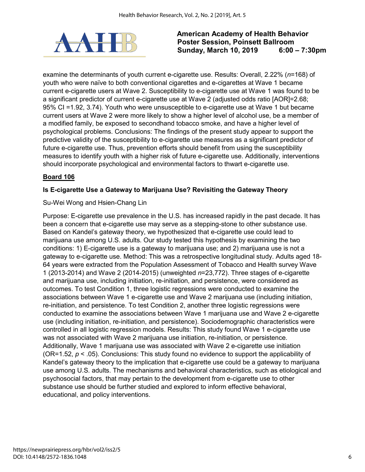

examine the determinants of youth current e-cigarette use. Results: Overall, 2.22% (*n*=168) of youth who were naïve to both conventional cigarettes and e-cigarettes at Wave 1 became current e-cigarette users at Wave 2. Susceptibility to e-cigarette use at Wave 1 was found to be a significant predictor of current e-cigarette use at Wave 2 (adjusted odds ratio [AOR]=2.68; 95% CI =1.92, 3.74). Youth who were unsusceptible to e-cigarette use at Wave 1 but became current users at Wave 2 were more likely to show a higher level of alcohol use, be a member of a modified family, be exposed to secondhand tobacco smoke, and have a higher level of psychological problems. Conclusions: The findings of the present study appear to support the predictive validity of the susceptibility to e-cigarette use measures as a significant predictor of future e-cigarette use. Thus, prevention efforts should benefit from using the susceptibility measures to identify youth with a higher risk of future e-cigarette use. Additionally, interventions should incorporate psychological and environmental factors to thwart e-cigarette use.

# **Board 106**

#### **Is E-cigarette Use a Gateway to Marijuana Use? Revisiting the Gateway Theory**

#### Su-Wei Wong and Hsien-Chang Lin

Purpose: E-cigarette use prevalence in the U.S. has increased rapidly in the past decade. It has been a concern that e-cigarette use may serve as a stepping-stone to other substance use. Based on Kandel's gateway theory, we hypothesized that e-cigarette use could lead to marijuana use among U.S. adults. Our study tested this hypothesis by examining the two conditions: 1) E-cigarette use is a gateway to marijuana use; and 2) marijuana use is not a gateway to e-cigarette use. Method: This was a retrospective longitudinal study. Adults aged 18- 64 years were extracted from the Population Assessment of Tobacco and Health survey Wave 1 (2013-2014) and Wave 2 (2014-2015) (unweighted *n*=23,772). Three stages of e-cigarette and marijuana use, including initiation, re-initiation, and persistence, were considered as outcomes. To test Condition 1, three logistic regressions were conducted to examine the associations between Wave 1 e-cigarette use and Wave 2 marijuana use (including initiation, re-initiation, and persistence. To test Condition 2, another three logistic regressions were conducted to examine the associations between Wave 1 marijuana use and Wave 2 e-cigarette use (including initiation, re-initiation, and persistence). Sociodemographic characteristics were controlled in all logistic regression models. Results: This study found Wave 1 e-cigarette use was not associated with Wave 2 marijuana use initiation, re-initiation, or persistence. Additionally, Wave 1 marijuana use was associated with Wave 2 e-cigarette use initiation (OR=1.52, *p* < .05). Conclusions: This study found no evidence to support the applicability of Kandel's gateway theory to the implication that e-cigarette use could be a gateway to marijuana use among U.S. adults. The mechanisms and behavioral characteristics, such as etiological and psychosocial factors, that may pertain to the development from e-cigarette use to other substance use should be further studied and explored to inform effective behavioral, educational, and policy interventions.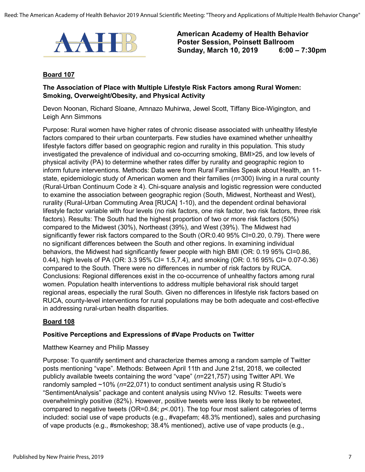

#### **Board 107**

#### **The Association of Place with Multiple Lifestyle Risk Factors among Rural Women: Smoking, Overweight/Obesity, and Physical Activity**

Devon Noonan, Richard Sloane, Amnazo Muhirwa, Jewel Scott, Tiffany Bice-Wigington, and Leigh Ann Simmons

Purpose: Rural women have higher rates of chronic disease associated with unhealthy lifestyle factors compared to their urban counterparts. Few studies have examined whether unhealthy lifestyle factors differ based on geographic region and rurality in this population. This study investigated the prevalence of individual and co-occurring smoking, BMI>25, and low levels of physical activity (PA) to determine whether rates differ by rurality and geographic region to inform future interventions. Methods: Data were from Rural Families Speak about Health, an 11 state, epidemiologic study of American women and their families (*n*=300) living in a rural county (Rural-Urban Continuum Code ≥ 4). Chi-square analysis and logistic regression were conducted to examine the association between geographic region (South, Midwest, Northeast and West), rurality (Rural-Urban Commuting Area [RUCA] 1-10), and the dependent ordinal behavioral lifestyle factor variable with four levels (no risk factors, one risk factor, two risk factors, three risk factors). Results: The South had the highest proportion of two or more risk factors (50%) compared to the Midwest (30%), Northeast (39%), and West (39%). The Midwest had significantly fewer risk factors compared to the South (OR:0.40 95% CI=0.20, 0.79). There were no significant differences between the South and other regions. In examining individual behaviors, the Midwest had significantly fewer people with high BMI (OR: 0.19 95% CI=0.86, 0.44), high levels of PA (OR: 3.3 95% CI= 1.5,7.4), and smoking (OR: 0.16 95% CI= 0.07-0.36) compared to the South. There were no differences in number of risk factors by RUCA. Conclusions: Regional differences exist in the co-occurrence of unhealthy factors among rural women. Population health interventions to address multiple behavioral risk should target regional areas, especially the rural South. Given no differences in lifestyle risk factors based on RUCA, county-level interventions for rural populations may be both adequate and cost-effective in addressing rural-urban health disparities.

#### **Board 108**

#### **Positive Perceptions and Expressions of #Vape Products on Twitter**

#### Matthew Kearney and Philip Massey

Purpose: To quantify sentiment and characterize themes among a random sample of Twitter posts mentioning "vape". Methods: Between April 11th and June 21st, 2018, we collected publicly available tweets containing the word "vape" (*n*=221,757) using Twitter API. We randomly sampled ~10% (*n*=22,071) to conduct sentiment analysis using R Studio's "SentimentAnalysis" package and content analysis using NVivo 12. Results: Tweets were overwhelmingly positive (82%). However, positive tweets were less likely to be retweeted, compared to negative tweets (OR=0.84; *p*<.001). The top four most salient categories of terms included: social use of vape products (e.g., #vapefam; 48.3% mentioned), sales and purchasing of vape products (e.g., #smokeshop; 38.4% mentioned), active use of vape products (e.g.,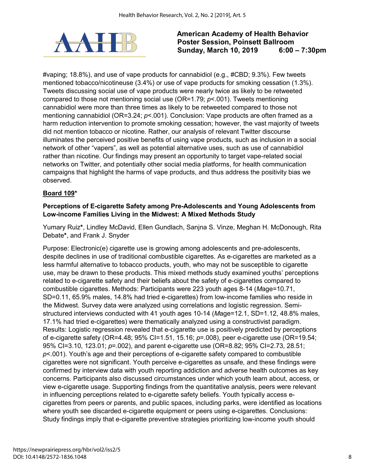

#vaping; 18.8%), and use of vape products for cannabidiol (e.g., #CBD; 9.3%). Few tweets mentioned tobacco/nicotineuse (3.4%) or use of vape products for smoking cessation (1.3%). Tweets discussing social use of vape products were nearly twice as likely to be retweeted compared to those not mentioning social use (OR=1.79; *p*<.001). Tweets mentioning cannabidiol were more than three times as likely to be retweeted compared to those not mentioning cannabidiol (OR=3.24; *p*<.001). Conclusion: Vape products are often framed as a harm reduction intervention to promote smoking cessation; however, the vast majority of tweets did not mention tobacco or nicotine. Rather, our analysis of relevant Twitter discourse illuminates the perceived positive benefits of using vape products, such as inclusion in a social network of other "vapers", as well as potential alternative uses, such as use of cannabidiol rather than nicotine. Our findings may present an opportunity to target vape-related social networks on Twitter, and potentially other social media platforms, for health communication campaigns that highlight the harms of vape products, and thus address the positivity bias we observed.

# **Board 109\***

#### **Perceptions of E-cigarette Safety among Pre-Adolescents and Young Adolescents from Low-income Families Living in the Midwest: A Mixed Methods Study**

Yumary Ruiz**\***, Lindley McDavid, Ellen Gundlach, Sanjna S. Vinze, Meghan H. McDonough, Rita Debate**\***, and Frank J. Snyder

Purpose: Electronic(e) cigarette use is growing among adolescents and pre-adolescents, despite declines in use of traditional combustible cigarettes. As e-cigarettes are marketed as a less harmful alternative to tobacco products, youth, who may not be susceptible to cigarette use, may be drawn to these products. This mixed methods study examined youths' perceptions related to e-cigarette safety and their beliefs about the safety of e-cigarettes compared to combustible cigarettes. Methods: Participants were 223 youth ages 8-14 (*M*age=10.71, SD=0.11, 65.9% males, 14.8% had tried e-cigarettes) from low-income families who reside in the Midwest. Survey data were analyzed using correlations and logistic regression. Semistructured interviews conducted with 41 youth ages 10-14 (*M*age=12.1, SD=1.12, 48.8% males, 17.1% had tried e-cigarettes) were thematically analyzed using a constructivist paradigm. Results: Logistic regression revealed that e-cigarette use is positively predicted by perceptions of e-cigarette safety (OR=4.48; 95% CI=1.51, 15.16; *p*=.008), peer e-cigarette use (OR=19.54; 95% CI=3.10, 123.01; *p*=.002), and parent e-cigarette use (OR=8.82; 95% CI=2.73, 28.51; *p*<.001). Youth's age and their perceptions of e-cigarette safety compared to combustible cigarettes were not significant. Youth perceive e-cigarettes as unsafe, and these findings were confirmed by interview data with youth reporting addiction and adverse health outcomes as key concerns. Participants also discussed circumstances under which youth learn about, access, or view e-cigarette usage. Supporting findings from the quantitative analysis, peers were relevant in influencing perceptions related to e-cigarette safety beliefs. Youth typically access ecigarettes from peers or parents, and public spaces, including parks, were identified as locations where youth see discarded e-cigarette equipment or peers using e-cigarettes. Conclusions: Study findings imply that e-cigarette preventive strategies prioritizing low-income youth should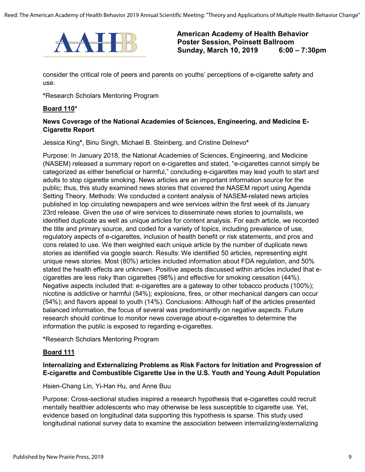

consider the critical role of peers and parents on youths' perceptions of e-cigarette safety and use.

**\***Research Scholars Mentoring Program

#### **Board 110\***

#### **News Coverage of the National Academies of Sciences, Engineering, and Medicine E-Cigarette Report**

Jessica King**\***, Binu Singh, Michael B. Steinberg, and Cristine Delnevo**\***

Purpose: In January 2018, the National Academies of Sciences, Engineering, and Medicine (NASEM) released a summary report on e-cigarettes and stated, "e-cigarettes cannot simply be categorized as either beneficial or harmful," concluding e-cigarettes may lead youth to start and adults to stop cigarette smoking. News articles are an important information source for the public; thus, this study examined news stories that covered the NASEM report using Agenda Setting Theory. Methods: We conducted a content analysis of NASEM-related news articles published in top circulating newspapers and wire services within the first week of its January 23rd release. Given the use of wire services to disseminate news stories to journalists, we identified duplicate as well as unique articles for content analysis. For each article, we recorded the title and primary source, and coded for a variety of topics, including prevalence of use, regulatory aspects of e-cigarettes, inclusion of health benefit or risk statements, and pros and cons related to use. We then weighted each unique article by the number of duplicate news stories as identified via google search. Results: We identified 50 articles, representing eight unique news stories. Most (80%) articles included information about FDA regulation, and 50% stated the health effects are unknown. Positive aspects discussed within articles included that ecigarettes are less risky than cigarettes (98%) and effective for smoking cessation (44%). Negative aspects included that: e-cigarettes are a gateway to other tobacco products (100%); nicotine is addictive or harmful (54%); explosions, fires, or other mechanical dangers can occur (54%); and flavors appeal to youth (14%). Conclusions: Although half of the articles presented balanced information, the focus of several was predominantly on negative aspects. Future research should continue to monitor news coverage about e-cigarettes to determine the information the public is exposed to regarding e-cigarettes.

**\***Research Scholars Mentoring Program

#### **Board 111**

#### **Internalizing and Externalizing Problems as Risk Factors for Initiation and Progression of E-cigarette and Combustible Cigarette Use in the U.S. Youth and Young Adult Population**

Hsien-Chang Lin, Yi-Han Hu, and Anne Buu

Purpose: Cross-sectional studies inspired a research hypothesis that e-cigarettes could recruit mentally healthier adolescents who may otherwise be less susceptible to cigarette use. Yet, evidence based on longitudinal data supporting this hypothesis is sparse. This study used longitudinal national survey data to examine the association between internalizing/externalizing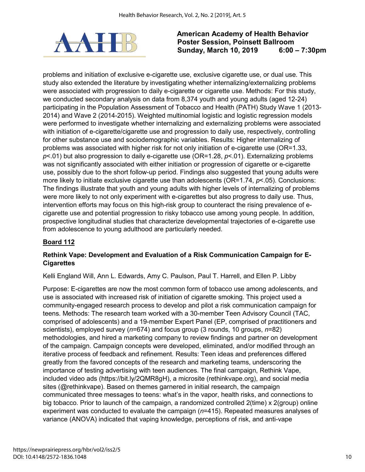

problems and initiation of exclusive e-cigarette use, exclusive cigarette use, or dual use. This study also extended the literature by investigating whether internalizing/externalizing problems were associated with progression to daily e-cigarette or cigarette use. Methods: For this study, we conducted secondary analysis on data from 8,374 youth and young adults (aged 12-24) participating in the Population Assessment of Tobacco and Health (PATH) Study Wave 1 (2013- 2014) and Wave 2 (2014-2015). Weighted multinomial logistic and logistic regression models were performed to investigate whether internalizing and externalizing problems were associated with initiation of e-cigarette/cigarette use and progression to daily use, respectively, controlling for other substance use and sociodemographic variables. Results: Higher internalizing of problems was associated with higher risk for not only initiation of e-cigarette use (OR=1.33, *p*<.01) but also progression to daily e-cigarette use (OR=1.28, *p*<.01). Externalizing problems was not significantly associated with either initiation or progression of cigarette or e-cigarette use, possibly due to the short follow-up period. Findings also suggested that young adults were more likely to initiate exclusive cigarette use than adolescents (OR=1.74, *p*<.05). Conclusions: The findings illustrate that youth and young adults with higher levels of internalizing of problems were more likely to not only experiment with e-cigarettes but also progress to daily use. Thus, intervention efforts may focus on this high-risk group to counteract the rising prevalence of ecigarette use and potential progression to risky tobacco use among young people. In addition, prospective longitudinal studies that characterize developmental trajectories of e-cigarette use from adolescence to young adulthood are particularly needed.

# **Board 112**

#### **Rethink Vape: Development and Evaluation of a Risk Communication Campaign for E-Cigarettes**

Kelli England Will, Ann L. Edwards, Amy C. Paulson, Paul T. Harrell, and Ellen P. Libby

Purpose: E-cigarettes are now the most common form of tobacco use among adolescents, and use is associated with increased risk of initiation of cigarette smoking. This project used a community-engaged research process to develop and pilot a risk communication campaign for teens. Methods: The research team worked with a 30-member Teen Advisory Council (TAC, comprised of adolescents) and a 19-member Expert Panel (EP, comprised of practitioners and scientists), employed survey (*n*=674) and focus group (3 rounds, 10 groups, *n*=82) methodologies, and hired a marketing company to review findings and partner on development of the campaign. Campaign concepts were developed, eliminated, and/or modified through an iterative process of feedback and refinement. Results: Teen ideas and preferences differed greatly from the favored concepts of the research and marketing teams, underscoring the importance of testing advertising with teen audiences. The final campaign, Rethink Vape, included video ads (https://bit.ly/2QMR8gH), a microsite (rethinkvape.org), and social media sites (@rethinkvape). Based on themes garnered in initial research, the campaign communicated three messages to teens: what's in the vapor, health risks, and connections to big tobacco. Prior to launch of the campaign, a randomized controlled 2(time) x 2(group) online experiment was conducted to evaluate the campaign (*n*=415). Repeated measures analyses of variance (ANOVA) indicated that vaping knowledge, perceptions of risk, and anti-vape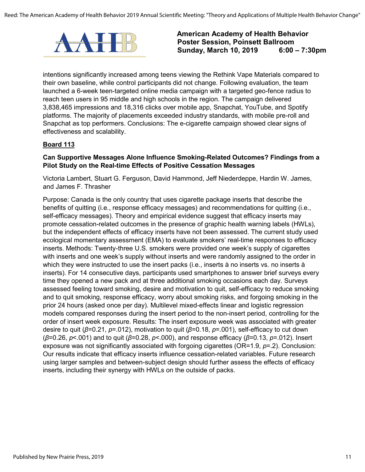

intentions significantly increased among teens viewing the Rethink Vape Materials compared to their own baseline, while control participants did not change. Following evaluation, the team launched a 6-week teen-targeted online media campaign with a targeted geo-fence radius to reach teen users in 95 middle and high schools in the region. The campaign delivered 3,838,465 impressions and 18,316 clicks over mobile app, Snapchat, YouTube, and Spotify platforms. The majority of placements exceeded industry standards, with mobile pre-roll and Snapchat as top performers. Conclusions: The e-cigarette campaign showed clear signs of effectiveness and scalability.

#### **Board 113**

#### **Can Supportive Messages Alone Influence Smoking-Related Outcomes? Findings from a Pilot Study on the Real-time Effects of Positive Cessation Messages**

Victoria Lambert, Stuart G. Ferguson, David Hammond, Jeff Niederdeppe, Hardin W. James, and James F. Thrasher

Purpose: Canada is the only country that uses cigarette package inserts that describe the benefits of quitting (i.e., response efficacy messages) and recommendations for quitting (i.e., self-efficacy messages). Theory and empirical evidence suggest that efficacy inserts may promote cessation-related outcomes in the presence of graphic health warning labels (HWLs), but the independent effects of efficacy inserts have not been assessed. The current study used ecological momentary assessment (EMA) to evaluate smokers' real-time responses to efficacy inserts. Methods: Twenty-three U.S. smokers were provided one week's supply of cigarettes with inserts and one week's supply without inserts and were randomly assigned to the order in which they were instructed to use the insert packs (i.e., inserts à no inserts vs. no inserts à inserts). For 14 consecutive days, participants used smartphones to answer brief surveys every time they opened a new pack and at three additional smoking occasions each day. Surveys assessed feeling toward smoking, desire and motivation to quit, self-efficacy to reduce smoking and to quit smoking, response efficacy, worry about smoking risks, and forgoing smoking in the prior 24 hours (asked once per day). Multilevel mixed-effects linear and logistic regression models compared responses during the insert period to the non-insert period, controlling for the order of insert week exposure. Results: The insert exposure week was associated with greater desire to quit (*β*=0.21, *p*=.012), motivation to quit (*β*=0.18, *p*=.001), self-efficacy to cut down (*β*=0.26, *p*<.001) and to quit (*β*=0.28, *p*<.000), and response efficacy (*β*=0.13, *p*=.012). Insert exposure was not significantly associated with forgoing cigarettes (OR=1.9, *p*=.2). Conclusion: Our results indicate that efficacy inserts influence cessation-related variables. Future research using larger samples and between-subject design should further assess the effects of efficacy inserts, including their synergy with HWLs on the outside of packs.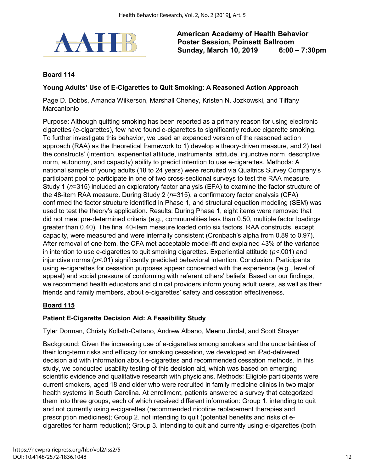

## **Board 114**

#### **Young Adults' Use of E-Cigarettes to Quit Smoking: A Reasoned Action Approach**

Page D. Dobbs, Amanda Wilkerson, Marshall Cheney, Kristen N. Jozkowski, and Tiffany Marcantonio

Purpose: Although quitting smoking has been reported as a primary reason for using electronic cigarettes (e-cigarettes), few have found e-cigarettes to significantly reduce cigarette smoking. To further investigate this behavior, we used an expanded version of the reasoned action approach (RAA) as the theoretical framework to 1) develop a theory-driven measure, and 2) test the constructs' (intention, experiential attitude, instrumental attitude, injunctive norm, descriptive norm, autonomy, and capacity) ability to predict intention to use e-cigarettes. Methods: A national sample of young adults (18 to 24 years) were recruited via Qualtrics Survey Company's participant pool to participate in one of two cross-sectional surveys to test the RAA measure. Study 1 (*n*=315) included an exploratory factor analysis (EFA) to examine the factor structure of the 48-item RAA measure. During Study 2 (*n*=315), a confirmatory factor analysis (CFA) confirmed the factor structure identified in Phase 1, and structural equation modeling (SEM) was used to test the theory's application. Results: During Phase 1, eight items were removed that did not meet pre-determined criteria (e.g., communalities less than 0.50, multiple factor loadings greater than 0.40). The final 40-item measure loaded onto six factors. RAA constructs, except capacity, were measured and were internally consistent (Cronbach's alpha from 0.89 to 0.97). After removal of one item, the CFA met acceptable model-fit and explained 43% of the variance in intention to use e-cigarettes to quit smoking cigarettes. Experiential attitude (*p*<.001) and injunctive norms ( $p$ <.01) significantly predicted behavioral intention. Conclusion: Participants using e-cigarettes for cessation purposes appear concerned with the experience (e.g., level of appeal) and social pressure of conforming with referent others' beliefs. Based on our findings, we recommend health educators and clinical providers inform young adult users, as well as their friends and family members, about e-cigarettes' safety and cessation effectiveness.

#### **Board 115**

#### **Patient E-Cigarette Decision Aid: A Feasibility Study**

Tyler Dorman, Christy Kollath-Cattano, Andrew Albano, Meenu Jindal, and Scott Strayer

Background: Given the increasing use of e-cigarettes among smokers and the uncertainties of their long-term risks and efficacy for smoking cessation, we developed an iPad-delivered decision aid with information about e-cigarettes and recommended cessation methods. In this study, we conducted usability testing of this decision aid, which was based on emerging scientific evidence and qualitative research with physicians. Methods: Eligible participants were current smokers, aged 18 and older who were recruited in family medicine clinics in two major health systems in South Carolina. At enrollment, patients answered a survey that categorized them into three groups, each of which received different information: Group 1. intending to quit and not currently using e-cigarettes (recommended nicotine replacement therapies and prescription medicines); Group 2. not intending to quit (potential benefits and risks of ecigarettes for harm reduction); Group 3. intending to quit and currently using e-cigarettes (both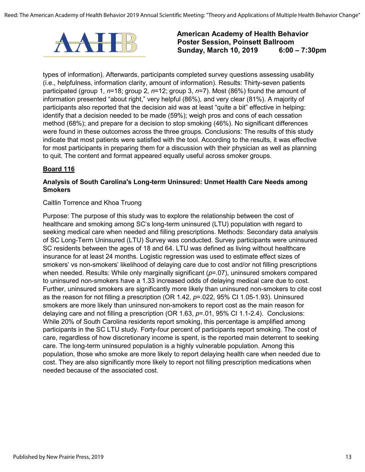

types of information). Afterwards, participants completed survey questions assessing usability (i.e., helpfulness, information clarity, amount of information). Results: Thirty-seven patients participated (group 1, *n*=18; group 2, *n*=12; group 3, *n*=7). Most (86%) found the amount of information presented "about right," very helpful (86%), and very clear (81%). A majority of participants also reported that the decision aid was at least "quite a bit" effective in helping: identify that a decision needed to be made (59%); weigh pros and cons of each cessation method (68%); and prepare for a decision to stop smoking (46%). No significant differences were found in these outcomes across the three groups. Conclusions: The results of this study indicate that most patients were satisfied with the tool. According to the results, it was effective for most participants in preparing them for a discussion with their physician as well as planning to quit. The content and format appeared equally useful across smoker groups.

# **Board 116**

#### **Analysis of South Carolina's Long-term Uninsured: Unmet Health Care Needs among Smokers**

#### Caitlin Torrence and Khoa Truong

Purpose: The purpose of this study was to explore the relationship between the cost of healthcare and smoking among SC's long-term uninsured (LTU) population with regard to seeking medical care when needed and filling prescriptions. Methods: Secondary data analysis of SC Long-Term Uninsured (LTU) Survey was conducted. Survey participants were uninsured SC residents between the ages of 18 and 64. LTU was defined as living without healthcare insurance for at least 24 months. Logistic regression was used to estimate effect sizes of smokers' vs non-smokers' likelihood of delaying care due to cost and/or not filling prescriptions when needed. Results: While only marginally significant ( $p=07$ ), uninsured smokers compared to uninsured non-smokers have a 1.33 increased odds of delaying medical care due to cost. Further, uninsured smokers are significantly more likely than uninsured non-smokers to cite cost as the reason for not filling a prescription (OR 1.42, *p*=.022, 95% CI 1.05-1.93). Uninsured smokers are more likely than uninsured non-smokers to report cost as the main reason for delaying care and not filling a prescription (OR 1.63, *p*=.01, 95% CI 1.1-2.4). Conclusions: While 20% of South Carolina residents report smoking, this percentage is amplified among participants in the SC LTU study. Forty-four percent of participants report smoking. The cost of care, regardless of how discretionary income is spent, is the reported main deterrent to seeking care. The long-term uninsured population is a highly vulnerable population. Among this population, those who smoke are more likely to report delaying health care when needed due to cost. They are also significantly more likely to report not filling prescription medications when needed because of the associated cost.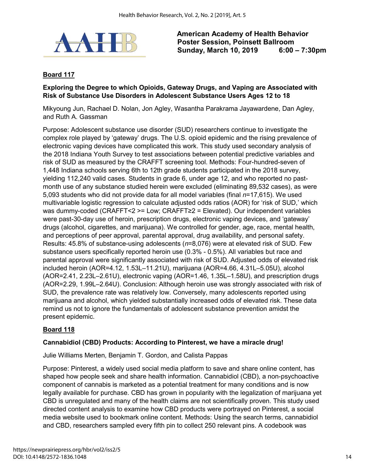

#### **Board 117**

#### **Exploring the Degree to which Opioids, Gateway Drugs, and Vaping are Associated with Risk of Substance Use Disorders in Adolescent Substance Users Ages 12 to 18**

Mikyoung Jun, Rachael D. Nolan, Jon Agley, Wasantha Parakrama Jayawardene, Dan Agley, and Ruth A. Gassman

Purpose: Adolescent substance use disorder (SUD) researchers continue to investigate the complex role played by 'gateway' drugs. The U.S. opioid epidemic and the rising prevalence of electronic vaping devices have complicated this work. This study used secondary analysis of the 2018 Indiana Youth Survey to test associations between potential predictive variables and risk of SUD as measured by the CRAFFT screening tool. Methods: Four-hundred-seven of 1,448 Indiana schools serving 6th to 12th grade students participated in the 2018 survey, yielding 112,240 valid cases. Students in grade 6, under age 12, and who reported no pastmonth use of any substance studied herein were excluded (eliminating 89,532 cases), as were 5,093 students who did not provide data for all model variables (final *n*=17,615). We used multivariable logistic regression to calculate adjusted odds ratios (AOR) for 'risk of SUD,' which was dummy-coded (CRAFFT<2 >= Low; CRAFFT≥2 = Elevated). Our independent variables were past-30-day use of heroin, prescription drugs, electronic vaping devices, and 'gateway' drugs (alcohol, cigarettes, and marijuana). We controlled for gender, age, race, mental health, and perceptions of peer approval, parental approval, drug availability, and personal safety. Results: 45.8% of substance-using adolescents (*n*=8,076) were at elevated risk of SUD. Few substance users specifically reported heroin use (0.3% - 0.5%). All variables but race and parental approval were significantly associated with risk of SUD. Adjusted odds of elevated risk included heroin (AOR=4.12, 1.53L–11.21U), marijuana (AOR=4.66, 4.31L–5.05U), alcohol (AOR=2.41, 2.23L–2.61U), electronic vaping (AOR=1.46, 1.35L–1.58U), and prescription drugs (AOR=2.29, 1.99L–2.64U). Conclusion: Although heroin use was strongly associated with risk of SUD, the prevalence rate was relatively low. Conversely, many adolescents reported using marijuana and alcohol, which yielded substantially increased odds of elevated risk. These data remind us not to ignore the fundamentals of adolescent substance prevention amidst the present epidemic.

#### **Board 118**

#### **Cannabidiol (CBD) Products: According to Pinterest, we have a miracle drug!**

Julie Williams Merten, Benjamin T. Gordon, and Calista Pappas

Purpose: Pinterest, a widely used social media platform to save and share online content, has shaped how people seek and share health information. Cannabidiol (CBD), a non-psychoactive component of cannabis is marketed as a potential treatment for many conditions and is now legally available for purchase. CBD has grown in popularity with the legalization of marijuana yet CBD is unregulated and many of the health claims are not scientifically proven. This study used directed content analysis to examine how CBD products were portrayed on Pinterest, a social media website used to bookmark online content. Methods: Using the search terms, cannabidiol and CBD, researchers sampled every fifth pin to collect 250 relevant pins. A codebook was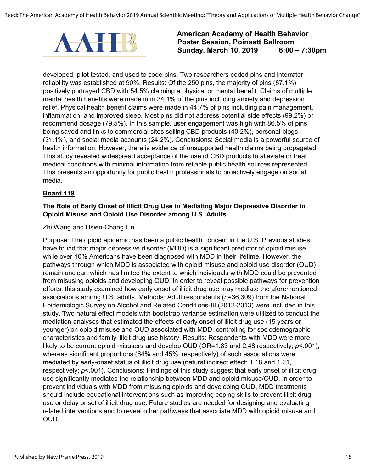

developed, pilot tested, and used to code pins. Two researchers coded pins and interrater reliability was established at 90%. Results: Of the 250 pins, the majority of pins (87.1%) positively portrayed CBD with 54.5% claiming a physical or mental benefit. Claims of multiple mental health benefits were made in in 34.1% of the pins including anxiety and depression relief. Physical health benefit claims were made in 44.7% of pins including pain management, inflammation, and improved sleep. Most pins did not address potential side effects (99.2%) or recommend dosage (79.5%). In this sample, user engagement was high with 86.5% of pins being saved and links to commercial sites selling CBD products (40.2%), personal blogs (31.1%), and social media accounts (24.2%). Conclusions: Social media is a powerful source of health information. However, there is evidence of unsupported health claims being propagated. This study revealed widespread acceptance of the use of CBD products to alleviate or treat medical conditions with minimal information from reliable public health sources represented. This presents an opportunity for public health professionals to proactively engage on social media.

#### **Board 119**

#### **The Role of Early Onset of Illicit Drug Use in Mediating Major Depressive Disorder in Opioid Misuse and Opioid Use Disorder among U.S. Adults**

#### Zhi Wang and Hsien-Chang Lin

Purpose: The opioid epidemic has been a public health concern in the U.S. Previous studies have found that major depressive disorder (MDD) is a significant predictor of opioid misuse while over 10% Americans have been diagnosed with MDD in their lifetime. However, the pathways through which MDD is associated with opioid misuse and opioid use disorder (OUD) remain unclear, which has limited the extent to which individuals with MDD could be prevented from misusing opioids and developing OUD. In order to reveal possible pathways for prevention efforts, this study examined how early onset of illicit drug use may mediate the aforementioned associations among U.S. adults. Methods: Adult respondents (*n*=36,309) from the National Epidemiologic Survey on Alcohol and Related Conditions-III (2012-2013) were included in this study. Two natural effect models with bootstrap variance estimation were utilized to conduct the mediation analyses that estimated the effects of early onset of illicit drug use (15 years or younger) on opioid misuse and OUD associated with MDD, controlling for sociodemographic characteristics and family illicit drug use history. Results: Respondents with MDD were more likely to be current opioid misusers and develop OUD (OR=1.83 and 2.48 respectively; *p*<.001), whereas significant proportions (64% and 45%, respectively) of such associations were mediated by early-onset status of illicit drug use (natural indirect effect: 1.18 and 1.21, respectively;  $p$ <.001). Conclusions: Findings of this study suggest that early onset of illicit drug use significantly mediates the relationship between MDD and opioid misuse/OUD. In order to prevent individuals with MDD from misusing opioids and developing OUD, MDD treatments should include educational interventions such as improving coping skills to prevent illicit drug use or delay onset of illicit drug use. Future studies are needed for designing and evaluating related interventions and to reveal other pathways that associate MDD with opioid misuse and OUD.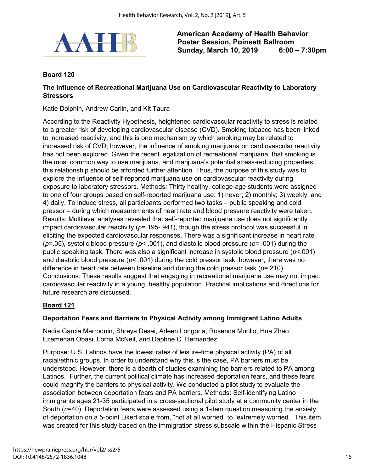

#### **Board 120**

#### **The Influence of Recreational Marijuana Use on Cardiovascular Reactivity to Laboratory Stressors**

Katie Dolphin, Andrew Carlin, and Kit Taura

According to the Reactivity Hypothesis, heightened cardiovascular reactivity to stress is related to a greater risk of developing cardiovascular disease (CVD). Smoking tobacco has been linked to increased reactivity, and this is one mechanism by which smoking may be related to increased risk of CVD; however, the influence of smoking marijuana on cardiovascular reactivity has not been explored. Given the recent legalization of recreational marijuana, that smoking is the most common way to use marijuana, and marijuana's potential stress-reducing properties, this relationship should be afforded further attention. Thus, the purpose of this study was to explore the influence of self-reported marijuana use on cardiovascular reactivity during exposure to laboratory stressors. Methods: Thirty healthy, college-age students were assigned to one of four groups based on self-reported marijuana use: 1) never; 2) monthly; 3) weekly; and 4) daily. To induce stress, all participants performed two tasks – public speaking and cold pressor – during which measurements of heart rate and blood pressure reactivity were taken. Results: Multilevel analyses revealed that self-reported marijuana use does not significantly impact cardiovascular reactivity ( $p$ =.195-.941), though the stress protocol was successful in eliciting the expected cardiovascular responses. There was a significant increase in heart rate (*p*=.05), systolic blood pressure (*p*< .001), and diastolic blood pressure (*p*= .001) during the public speaking task. There was also a significant increase in systolic blood pressure (*p*<.001) and diastolic blood pressure (*p*< .001) during the cold pressor task; however, there was no difference in heart rate between baseline and during the cold pressor task (*p*=.210). Conclusions: These results suggest that engaging in recreational marijuana use may not impact cardiovascular reactivity in a young, healthy population. Practical implications and directions for future research are discussed.

#### **Board 121**

#### **Deportation Fears and Barriers to Physical Activity among Immigrant Latino Adults**

Nadia Garcia Marroquin, Shreya Desai, Arleen Longoria, Rosenda Murillo, Hua Zhao, Ezemenari Obasi, Lorna McNeil, and Daphne C. Hernandez

Purpose: U.S. Latinos have the lowest rates of leisure-time physical activity (PA) of all racial/ethnic groups. In order to understand why this is the case, PA barriers must be understood. However, there is a dearth of studies examining the barriers related to PA among Latinos. Further, the current political climate has increased deportation fears, and these fears could magnify the barriers to physical activity. We conducted a pilot study to evaluate the association between deportation fears and PA barriers. Methods: Self-identifying Latino immigrants ages 21-35 participated in a cross-sectional pilot study at a community center in the South (*n*=40). Deportation fears were assessed using a 1-item question measuring the anxiety of deportation on a 5-point Likert scale from, "not at all worried" to "extremely worried." This item was created for this study based on the immigration stress subscale within the Hispanic Stress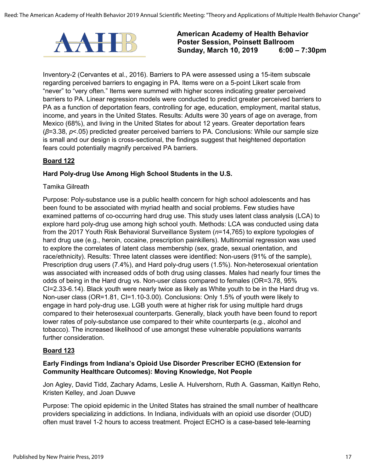

Inventory-2 (Cervantes et al., 2016). Barriers to PA were assessed using a 15-item subscale regarding perceived barriers to engaging in PA. Items were on a 5-point Likert scale from "never" to "very often." Items were summed with higher scores indicating greater perceived barriers to PA. Linear regression models were conducted to predict greater perceived barriers to PA as a function of deportation fears, controlling for age, education, employment, marital status, income, and years in the United States. Results: Adults were 30 years of age on average, from Mexico (68%), and living in the United States for about 12 years. Greater deportation fears (*β*=3.38, *p*<.05) predicted greater perceived barriers to PA. Conclusions: While our sample size is small and our design is cross-sectional, the findings suggest that heightened deportation fears could potentially magnify perceived PA barriers.

#### **Board 122**

#### **Hard Poly-drug Use Among High School Students in the U.S.**

#### Tamika Gilreath

Purpose: Poly-substance use is a public health concern for high school adolescents and has been found to be associated with myriad health and social problems. Few studies have examined patterns of co-occurring hard drug use. This study uses latent class analysis (LCA) to explore hard poly-drug use among high school youth. Methods: LCA was conducted using data from the 2017 Youth Risk Behavioral Surveillance System (*n*=14,765) to explore typologies of hard drug use (e.g., heroin, cocaine, prescription painkillers). Multinomial regression was used to explore the correlates of latent class membership (sex, grade, sexual orientation, and race/ethnicity). Results: Three latent classes were identified: Non-users (91% of the sample), Prescription drug users (7.4%), and Hard poly-drug users (1.5%). Non-heterosexual orientation was associated with increased odds of both drug using classes. Males had nearly four times the odds of being in the Hard drug vs. Non-user class compared to females (OR=3.78, 95% CI=2.33-6.14). Black youth were nearly twice as likely as White youth to be in the Hard drug vs. Non-user class (OR=1.81, CI=1.10-3.00). Conclusions: Only 1.5% of youth were likely to engage in hard poly-drug use. LGB youth were at higher risk for using multiple hard drugs compared to their heterosexual counterparts. Generally, black youth have been found to report lower rates of poly-substance use compared to their white counterparts (e.g., alcohol and tobacco). The increased likelihood of use amongst these vulnerable populations warrants further consideration.

#### **Board 123**

#### **Early Findings from Indiana's Opioid Use Disorder Prescriber ECHO (Extension for Community Healthcare Outcomes): Moving Knowledge, Not People**

Jon Agley, David Tidd, Zachary Adams, Leslie A. Hulvershorn, Ruth A. Gassman, Kaitlyn Reho, Kristen Kelley, and Joan Duwve

Purpose: The opioid epidemic in the United States has strained the small number of healthcare providers specializing in addictions. In Indiana, individuals with an opioid use disorder (OUD) often must travel 1-2 hours to access treatment. Project ECHO is a case-based tele-learning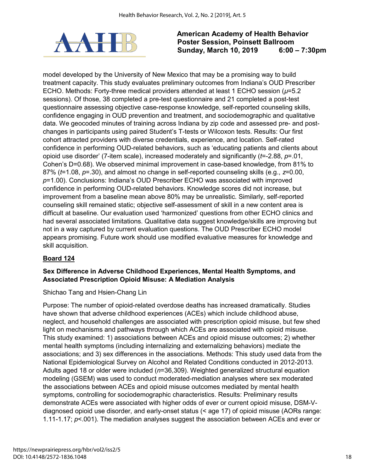

model developed by the University of New Mexico that may be a promising way to build treatment capacity. This study evaluates preliminary outcomes from Indiana's OUD Prescriber ECHO. Methods: Forty-three medical providers attended at least 1 ECHO session (*µ*=5.2 sessions). Of those, 38 completed a pre-test questionnaire and 21 completed a post-test questionnaire assessing objective case-response knowledge, self-reported counseling skills, confidence engaging in OUD prevention and treatment, and sociodemographic and qualitative data. We geocoded minutes of training across Indiana by zip code and assessed pre- and postchanges in participants using paired Student's T-tests or Wilcoxon tests. Results: Our first cohort attracted providers with diverse credentials, experience, and location. Self-rated confidence in performing OUD-related behaviors, such as 'educating patients and clients about opioid use disorder' (7-item scale), increased moderately and significantly (*t*=-2.88, *p*=.01, Cohen's D=0.68). We observed minimal improvement in case-based knowledge, from 81% to 87% (*t*=1.08, *p*=.30), and almost no change in self-reported counseling skills (e.g., *z*=0.00, *p*=1.00). Conclusions: Indiana's OUD Prescriber ECHO was associated with improved confidence in performing OUD-related behaviors. Knowledge scores did not increase, but improvement from a baseline mean above 80% may be unrealistic. Similarly, self-reported counseling skill remained static; objective self-assessment of skill in a new content area is difficult at baseline. Our evaluation used 'harmonized' questions from other ECHO clinics and had several associated limitations. Qualitative data suggest knowledge/skills are improving but not in a way captured by current evaluation questions. The OUD Prescriber ECHO model appears promising. Future work should use modified evaluative measures for knowledge and skill acquisition.

#### **Board 124**

#### **Sex Difference in Adverse Childhood Experiences, Mental Health Symptoms, and Associated Prescription Opioid Misuse: A Mediation Analysis**

Shichao Tang and Hsien-Chang Lin

Purpose: The number of opioid-related overdose deaths has increased dramatically. Studies have shown that adverse childhood experiences (ACEs) which include childhood abuse, neglect, and household challenges are associated with prescription opioid misuse, but few shed light on mechanisms and pathways through which ACEs are associated with opioid misuse. This study examined: 1) associations between ACEs and opioid misuse outcomes; 2) whether mental health symptoms (including internalizing and externalizing behaviors) mediate the associations; and 3) sex differences in the associations. Methods: This study used data from the National Epidemiological Survey on Alcohol and Related Conditions conducted in 2012-2013. Adults aged 18 or older were included (*n*=36,309). Weighted generalized structural equation modeling (GSEM) was used to conduct moderated-mediation analyses where sex moderated the associations between ACEs and opioid misuse outcomes mediated by mental health symptoms, controlling for sociodemographic characteristics. Results: Preliminary results demonstrate ACEs were associated with higher odds of ever or current opioid misuse, DSM-Vdiagnosed opioid use disorder, and early-onset status (< age 17) of opioid misuse (AORs range: 1.11-1.17; *p*<.001). The mediation analyses suggest the association between ACEs and ever or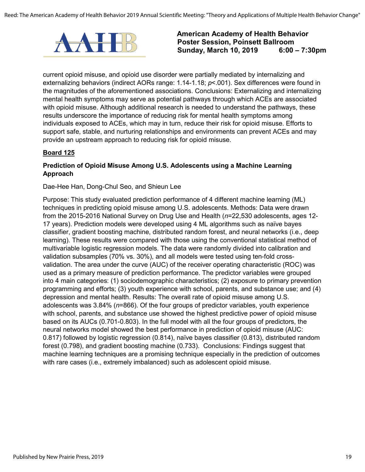

current opioid misuse, and opioid use disorder were partially mediated by internalizing and externalizing behaviors (indirect AORs range: 1.14-1.18; *p*<.001). Sex differences were found in the magnitudes of the aforementioned associations. Conclusions: Externalizing and internalizing mental health symptoms may serve as potential pathways through which ACEs are associated with opioid misuse. Although additional research is needed to understand the pathways, these results underscore the importance of reducing risk for mental health symptoms among individuals exposed to ACEs, which may in turn, reduce their risk for opioid misuse. Efforts to support safe, stable, and nurturing relationships and environments can prevent ACEs and may provide an upstream approach to reducing risk for opioid misuse.

#### **Board 125**

#### **Prediction of Opioid Misuse Among U.S. Adolescents using a Machine Learning Approach**

Dae-Hee Han, Dong-Chul Seo, and Shieun Lee

Purpose: This study evaluated prediction performance of 4 different machine learning (ML) techniques in predicting opioid misuse among U.S. adolescents. Methods: Data were drawn from the 2015-2016 National Survey on Drug Use and Health (*n*=22,530 adolescents, ages 12- 17 years). Prediction models were developed using 4 ML algorithms such as naïve bayes classifier, gradient boosting machine, distributed random forest, and neural networks (i.e., deep learning). These results were compared with those using the conventional statistical method of multivariable logistic regression models. The data were randomly divided into calibration and validation subsamples (70% vs. 30%), and all models were tested using ten-fold crossvalidation. The area under the curve (AUC) of the receiver operating characteristic (ROC) was used as a primary measure of prediction performance. The predictor variables were grouped into 4 main categories: (1) sociodemographic characteristics; (2) exposure to primary prevention programming and efforts; (3) youth experience with school, parents, and substance use; and (4) depression and mental health. Results: The overall rate of opioid misuse among U.S. adolescents was 3.84% (*n*=866). Of the four groups of predictor variables, youth experience with school, parents, and substance use showed the highest predictive power of opioid misuse based on its AUCs (0.701-0.803). In the full model with all the four groups of predictors, the neural networks model showed the best performance in prediction of opioid misuse (AUC: 0.817) followed by logistic regression (0.814), naïve bayes classifier (0.813), distributed random forest (0.798), and gradient boosting machine (0.733). Conclusions: Findings suggest that machine learning techniques are a promising technique especially in the prediction of outcomes with rare cases (i.e., extremely imbalanced) such as adolescent opioid misuse.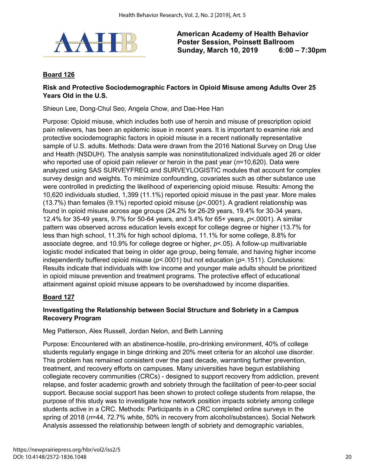

#### **Board 126**

#### **Risk and Protective Sociodemographic Factors in Opioid Misuse among Adults Over 25 Years Old in the U.S.**

Shieun Lee, Dong-Chul Seo, Angela Chow, and Dae-Hee Han

Purpose: Opioid misuse, which includes both use of heroin and misuse of prescription opioid pain relievers, has been an epidemic issue in recent years. It is important to examine risk and protective sociodemographic factors in opioid misuse in a recent nationally representative sample of U.S. adults. Methods: Data were drawn from the 2016 National Survey on Drug Use and Health (NSDUH). The analysis sample was noninstitutionalized individuals aged 26 or older who reported use of opioid pain reliever or heroin in the past year (*n*=10,620). Data were analyzed using SAS SURVEYFREQ and SURVEYLOGISTIC modules that account for complex survey design and weights. To minimize confounding, covariates such as other substance use were controlled in predicting the likelihood of experiencing opioid misuse. Results: Among the 10,620 individuals studied, 1,399 (11.1%) reported opioid misuse in the past year. More males (13.7%) than females (9.1%) reported opioid misuse (*p*<.0001). A gradient relationship was found in opioid misuse across age groups (24.2% for 26-29 years, 19.4% for 30-34 years, 12.4% for 35-49 years, 9.7% for 50-64 years, and 3.4% for 65+ years, *p*<.0001). A similar pattern was observed across education levels except for college degree or higher (13.7% for less than high school, 11.3% for high school diploma, 11.1% for some college, 8.8% for associate degree, and 10.9% for college degree or higher, *p*<.05). A follow-up multivariable logistic model indicated that being in older age group, being female, and having higher income independently buffered opioid misuse (*p*<.0001) but not education (*p*=.1511). Conclusions: Results indicate that individuals with low income and younger male adults should be prioritized in opioid misuse prevention and treatment programs. The protective effect of educational attainment against opioid misuse appears to be overshadowed by income disparities.

#### **Board 127**

#### **Investigating the Relationship between Social Structure and Sobriety in a Campus Recovery Program**

Meg Patterson, Alex Russell, Jordan Nelon, and Beth Lanning

Purpose: Encountered with an abstinence-hostile, pro-drinking environment, 40% of college students regularly engage in binge drinking and 20% meet criteria for an alcohol use disorder. This problem has remained consistent over the past decade, warranting further prevention, treatment, and recovery efforts on campuses. Many universities have begun establishing collegiate recovery communities (CRCs) - designed to support recovery from addiction, prevent relapse, and foster academic growth and sobriety through the facilitation of peer-to-peer social support. Because social support has been shown to protect college students from relapse, the purpose of this study was to investigate how network position impacts sobriety among college students active in a CRC. Methods: Participants in a CRC completed online surveys in the spring of 2018 (*n*=44, 72.7% white, 50% in recovery from alcohol/substances). Social Network Analysis assessed the relationship between length of sobriety and demographic variables,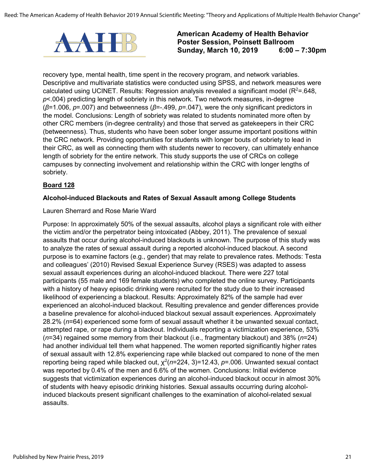

recovery type, mental health, time spent in the recovery program, and network variables. Descriptive and multivariate statistics were conducted using SPSS, and network measures were calculated using UCINET. Results: Regression analysis revealed a significant model (R<sup>2</sup>=.648, *p*<.004) predicting length of sobriety in this network. Two network measures, in-degree (*β*=1.006, *p*=.007) and betweenness (*β*=-.499, *p*=.047), were the only significant predictors in the model. Conclusions: Length of sobriety was related to students nominated more often by other CRC members (in-degree centrality) and those that served as gatekeepers in their CRC (betweenness). Thus, students who have been sober longer assume important positions within the CRC network. Providing opportunities for students with longer bouts of sobriety to lead in their CRC, as well as connecting them with students newer to recovery, can ultimately enhance length of sobriety for the entire network. This study supports the use of CRCs on college campuses by connecting involvement and relationship within the CRC with longer lengths of sobriety.

#### **Board 128**

#### **Alcohol-induced Blackouts and Rates of Sexual Assault among College Students**

#### Lauren Sherrard and Rose Marie Ward

Purpose: In approximately 50% of the sexual assaults, alcohol plays a significant role with either the victim and/or the perpetrator being intoxicated (Abbey, 2011). The prevalence of sexual assaults that occur during alcohol-induced blackouts is unknown. The purpose of this study was to analyze the rates of sexual assault during a reported alcohol-induced blackout. A second purpose is to examine factors (e.g., gender) that may relate to prevalence rates. Methods: Testa and colleagues' (2010) Revised Sexual Experience Survey (RSES) was adapted to assess sexual assault experiences during an alcohol-induced blackout. There were 227 total participants (55 male and 169 female students) who completed the online survey. Participants with a history of heavy episodic drinking were recruited for the study due to their increased likelihood of experiencing a blackout. Results: Approximately 82% of the sample had ever experienced an alcohol-induced blackout. Resulting prevalence and gender differences provide a baseline prevalence for alcohol-induced blackout sexual assault experiences. Approximately 28.2% (*n*=64) experienced some form of sexual assault whether it be unwanted sexual contact, attempted rape, or rape during a blackout. Individuals reporting a victimization experience, 53% (*n*=34) regained some memory from their blackout (i.e., fragmentary blackout) and 38% (*n*=24) had another individual tell them what happened. The women reported significantly higher rates of sexual assault with 12.8% experiencing rape while blacked out compared to none of the men reporting being raped while blacked out,  $\chi^2(n=224, 3)=12.43$ ,  $p=0.006$ . Unwanted sexual contact was reported by 0.4% of the men and 6.6% of the women. Conclusions: Initial evidence suggests that victimization experiences during an alcohol-induced blackout occur in almost 30% of students with heavy episodic drinking histories. Sexual assaults occurring during alcoholinduced blackouts present significant challenges to the examination of alcohol-related sexual assaults.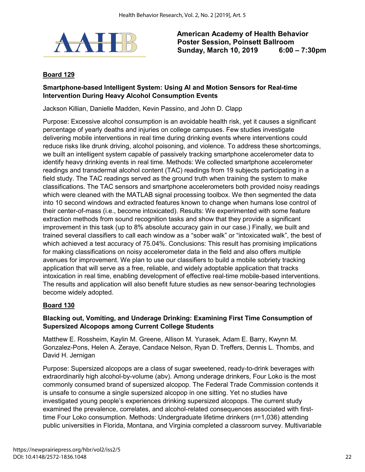

#### **Board 129**

#### **Smartphone-based Intelligent System: Using AI and Motion Sensors for Real-time Intervention During Heavy Alcohol Consumption Events**

Jackson Killian, Danielle Madden, Kevin Passino, and John D. Clapp

Purpose: Excessive alcohol consumption is an avoidable health risk, yet it causes a significant percentage of yearly deaths and injuries on college campuses. Few studies investigate delivering mobile interventions in real time during drinking events where interventions could reduce risks like drunk driving, alcohol poisoning, and violence. To address these shortcomings, we built an intelligent system capable of passively tracking smartphone accelerometer data to identify heavy drinking events in real time. Methods: We collected smartphone accelerometer readings and transdermal alcohol content (TAC) readings from 19 subjects participating in a field study. The TAC readings served as the ground truth when training the system to make classifications. The TAC sensors and smartphone accelerometers both provided noisy readings which were cleaned with the MATLAB signal processing toolbox. We then segmented the data into 10 second windows and extracted features known to change when humans lose control of their center-of-mass (i.e., become intoxicated). Results: We experimented with some feature extraction methods from sound recognition tasks and show that they provide a significant improvement in this task (up to 8% absolute accuracy gain in our case.) Finally, we built and trained several classifiers to call each window as a "sober walk" or "intoxicated walk", the best of which achieved a test accuracy of 75.04%. Conclusions: This result has promising implications for making classifications on noisy accelerometer data in the field and also offers multiple avenues for improvement. We plan to use our classifiers to build a mobile sobriety tracking application that will serve as a free, reliable, and widely adoptable application that tracks intoxication in real time, enabling development of effective real-time mobile-based interventions. The results and application will also benefit future studies as new sensor-bearing technologies become widely adopted.

#### **Board 130**

#### **Blacking out, Vomiting, and Underage Drinking: Examining First Time Consumption of Supersized Alcopops among Current College Students**

Matthew E. Rossheim, Kaylin M. Greene, Allison M. Yurasek, Adam E. Barry, Kwynn M. Gonzalez-Pons, Helen A. Zeraye, Candace Nelson, Ryan D. Treffers, Dennis L. Thombs, and David H. Jernigan

Purpose: Supersized alcopops are a class of sugar sweetened, ready-to-drink beverages with extraordinarily high alcohol-by-volume (abv). Among underage drinkers, Four Loko is the most commonly consumed brand of supersized alcopop. The Federal Trade Commission contends it is unsafe to consume a single supersized alcopop in one sitting. Yet no studies have investigated young people's experiences drinking supersized alcopops. The current study examined the prevalence, correlates, and alcohol-related consequences associated with firsttime Four Loko consumption. Methods: Undergraduate lifetime drinkers (*n*=1,036) attending public universities in Florida, Montana, and Virginia completed a classroom survey. Multivariable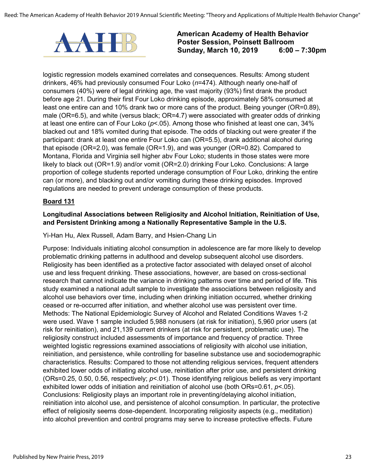

logistic regression models examined correlates and consequences. Results: Among student drinkers, 46% had previously consumed Four Loko (*n*=474). Although nearly one-half of consumers (40%) were of legal drinking age, the vast majority (93%) first drank the product before age 21. During their first Four Loko drinking episode, approximately 58% consumed at least one entire can and 10% drank two or more cans of the product. Being younger (OR=0.89), male (OR=6.5), and white (versus black; OR=4.7) were associated with greater odds of drinking at least one entire can of Four Loko (*p*<.05). Among those who finished at least one can, 34% blacked out and 18% vomited during that episode. The odds of blacking out were greater if the participant: drank at least one entire Four Loko can (OR=5.5), drank additional alcohol during that episode (OR=2.0), was female (OR=1.9), and was younger (OR=0.82). Compared to Montana, Florida and Virginia sell higher abv Four Loko; students in those states were more likely to black out (OR=1.9) and/or vomit (OR=2.0) drinking Four Loko. Conclusions: A large proportion of college students reported underage consumption of Four Loko, drinking the entire can (or more), and blacking out and/or vomiting during these drinking episodes. Improved regulations are needed to prevent underage consumption of these products.

#### **Board 131**

#### **Longitudinal Associations between Religiosity and Alcohol Initiation, Reinitiation of Use, and Persistent Drinking among a Nationally Representative Sample in the U.S.**

#### Yi-Han Hu, Alex Russell, Adam Barry, and Hsien-Chang Lin

Purpose: Individuals initiating alcohol consumption in adolescence are far more likely to develop problematic drinking patterns in adulthood and develop subsequent alcohol use disorders. Religiosity has been identified as a protective factor associated with delayed onset of alcohol use and less frequent drinking. These associations, however, are based on cross-sectional research that cannot indicate the variance in drinking patterns over time and period of life. This study examined a national adult sample to investigate the associations between religiosity and alcohol use behaviors over time, including when drinking initiation occurred, whether drinking ceased or re-occurred after initiation, and whether alcohol use was persistent over time. Methods: The National Epidemiologic Survey of Alcohol and Related Conditions Waves 1-2 were used. Wave 1 sample included 5,988 nonusers (at risk for initiation), 5,960 prior users (at risk for reinitiation), and 21,139 current drinkers (at risk for persistent, problematic use). The religiosity construct included assessments of importance and frequency of practice. Three weighted logistic regressions examined associations of religiosity with alcohol use initiation, reinitiation, and persistence, while controlling for baseline substance use and sociodemographic characteristics. Results: Compared to those not attending religious services, frequent attenders exhibited lower odds of initiating alcohol use, reinitiation after prior use, and persistent drinking (ORs=0.25, 0.50, 0.56, respectively; *p*<.01). Those identifying religious beliefs as very important exhibited lower odds of initiation and reinitiation of alcohol use (both ORs=0.61, *p*<.05). Conclusions: Religiosity plays an important role in preventing/delaying alcohol initiation, reinitiation into alcohol use, and persistence of alcohol consumption. In particular, the protective effect of religiosity seems dose-dependent. Incorporating religiosity aspects (e.g., meditation) into alcohol prevention and control programs may serve to increase protective effects. Future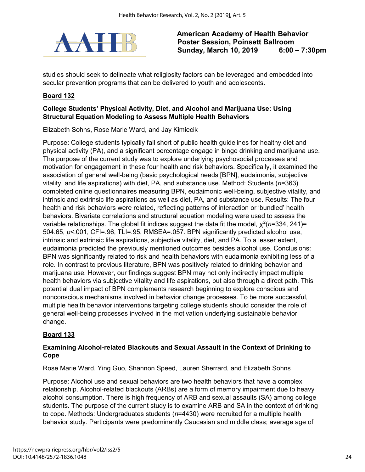

studies should seek to delineate what religiosity factors can be leveraged and embedded into secular prevention programs that can be delivered to youth and adolescents.

# **Board 132**

#### **College Students' Physical Activity, Diet, and Alcohol and Marijuana Use: Using Structural Equation Modeling to Assess Multiple Health Behaviors**

Elizabeth Sohns, Rose Marie Ward, and Jay Kimiecik

Purpose: College students typically fall short of public health guidelines for healthy diet and physical activity (PA), and a significant percentage engage in binge drinking and marijuana use. The purpose of the current study was to explore underlying psychosocial processes and motivation for engagement in these four health and risk behaviors. Specifically, it examined the association of general well-being (basic psychological needs [BPN], eudaimonia, subjective vitality, and life aspirations) with diet, PA, and substance use. Method: Students (*n*=363) completed online questionnaires measuring BPN, eudaimonic well-being, subjective vitality, and intrinsic and extrinsic life aspirations as well as diet, PA, and substance use. Results: The four health and risk behaviors were related, reflecting patterns of interaction or 'bundled' health behaviors. Bivariate correlations and structural equation modeling were used to assess the variable relationships. The global fit indices suggest the data fit the model,  $\chi^2(n=334,\,241)=0$ 504.65, *p*<.001, CFI=.96, TLI=.95, RMSEA=.057. BPN significantly predicted alcohol use, intrinsic and extrinsic life aspirations, subjective vitality, diet, and PA. To a lesser extent, eudaimonia predicted the previously mentioned outcomes besides alcohol use. Conclusions: BPN was significantly related to risk and health behaviors with eudaimonia exhibiting less of a role. In contrast to previous literature, BPN was positively related to drinking behavior and marijuana use. However, our findings suggest BPN may not only indirectly impact multiple health behaviors via subjective vitality and life aspirations, but also through a direct path. This potential dual impact of BPN complements research beginning to explore conscious and nonconscious mechanisms involved in behavior change processes. To be more successful, multiple health behavior interventions targeting college students should consider the role of general well-being processes involved in the motivation underlying sustainable behavior change.

#### **Board 133**

#### **Examining Alcohol-related Blackouts and Sexual Assault in the Context of Drinking to Cope**

Rose Marie Ward, Ying Guo, Shannon Speed, Lauren Sherrard, and Elizabeth Sohns

Purpose: Alcohol use and sexual behaviors are two health behaviors that have a complex relationship. Alcohol-related blackouts (ARBs) are a form of memory impairment due to heavy alcohol consumption. There is high frequency of ARB and sexual assaults (SA) among college students. The purpose of the current study is to examine ARB and SA in the context of drinking to cope. Methods: Undergraduates students (*n*=4430) were recruited for a multiple health behavior study. Participants were predominantly Caucasian and middle class; average age of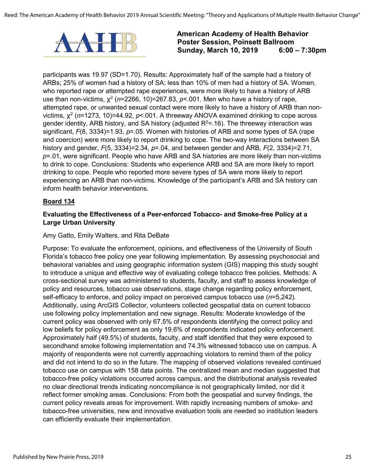

participants was 19.97 (SD=1.70). Results: Approximately half of the sample had a history of ARBs; 25% of women had a history of SA; less than 10% of men had a history of SA. Women, who reported rape or attempted rape experiences, were more likely to have a history of ARB use than non-victims,  $\chi^2$  (*n*=2266, 10)=267.83, *p*<.001. Men who have a history of rape, attempted rape, or unwanted sexual contact were more likely to have a history of ARB than nonvictims,  $\chi^2$  (*n*=1273, 10)=44.92, *p*<.001. A threeway ANOVA examined drinking to cope across gender identity, ARB history, and SA history (adjusted R<sup>2</sup>=.16). The threeway interaction was significant, *F*(8, 3334)=1.93, *p*=.05. Women with histories of ARB and some types of SA (rape and coercion) were more likely to report drinking to cope. The two-way interactions between SA history and gender, *F*(5, 3334)=2.34, *p*=.04, and between gender and ARB, *F*(2, 3334)=2.71, *p*=.01, were significant. People who have ARB and SA histories are more likely than non-victims to drink to cope. Conclusions: Students who experience ARB and SA are more likely to report drinking to cope. People who reported more severe types of SA were more likely to report experiencing an ARB than non-victims. Knowledge of the participant's ARB and SA history can inform health behavior interventions.

#### **Board 134**

#### **Evaluating the Effectiveness of a Peer-enforced Tobacco- and Smoke-free Policy at a Large Urban University**

#### Amy Gatto, Emily Walters, and Rita DeBate

Purpose: To evaluate the enforcement, opinions, and effectiveness of the University of South Florida's tobacco free policy one year following implementation. By assessing psychosocial and behavioral variables and using geographic information system (GIS) mapping this study sought to introduce a unique and effective way of evaluating college tobacco free policies. Methods: A cross-sectional survey was administered to students, faculty, and staff to assess knowledge of policy and resources, tobacco use observations, stage change regarding policy enforcement, self-efficacy to enforce, and policy impact on perceived campus tobacco use (*n*=5,242). Additionally, using ArcGIS Collector, volunteers collected geospatial data on current tobacco use following policy implementation and new signage. Results: Moderate knowledge of the current policy was observed with only 67.5% of respondents identifying the correct policy and low beliefs for policy enforcement as only 19.6% of respondents indicated policy enforcement. Approximately half (49.5%) of students, faculty, and staff identified that they were exposed to secondhand smoke following implementation and 74.3% witnessed tobacco use on campus. A majority of respondents were not currently approaching violators to remind them of the policy and did not intend to do so in the future. The mapping of observed violations revealed continued tobacco use on campus with 158 data points. The centralized mean and median suggested that tobacco-free policy violations occurred across campus, and the distributional analysis revealed no clear directional trends indicating noncompliance is not geographically limited, nor did it reflect former smoking areas. Conclusions: From both the geospatial and survey findings, the current policy reveals areas for improvement. With rapidly increasing numbers of smoke- and tobacco-free universities, new and innovative evaluation tools are needed so institution leaders can efficiently evaluate their implementation.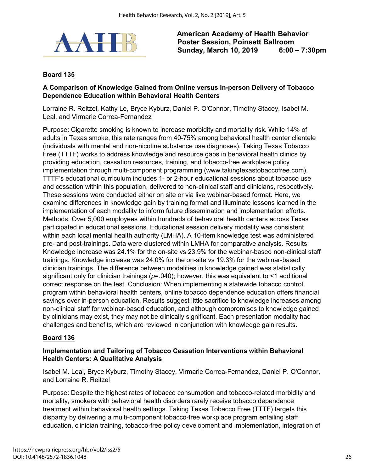

#### **Board 135**

#### **A Comparison of Knowledge Gained from Online versus In-person Delivery of Tobacco Dependence Education within Behavioral Health Centers**

Lorraine R. Reitzel, Kathy Le, Bryce Kyburz, Daniel P. O'Connor, Timothy Stacey, Isabel M. Leal, and Virmarie Correa-Fernandez

Purpose: Cigarette smoking is known to increase morbidity and mortality risk. While 14% of adults in Texas smoke, this rate ranges from 40-75% among behavioral health center clientele (individuals with mental and non-nicotine substance use diagnoses). Taking Texas Tobacco Free (TTTF) works to address knowledge and resource gaps in behavioral health clinics by providing education, cessation resources, training, and tobacco-free workplace policy implementation through multi-component programming (www.takingtexastobaccofree.com). TTTF's educational curriculum includes 1- or 2-hour educational sessions about tobacco use and cessation within this population, delivered to non-clinical staff and clinicians, respectively. These sessions were conducted either on site or via live webinar-based format. Here, we examine differences in knowledge gain by training format and illuminate lessons learned in the implementation of each modality to inform future dissemination and implementation efforts. Methods: Over 5,000 employees within hundreds of behavioral health centers across Texas participated in educational sessions. Educational session delivery modality was consistent within each local mental health authority (LMHA). A 10-item knowledge test was administered pre- and post-trainings. Data were clustered within LMHA for comparative analysis. Results: Knowledge increase was 24.1% for the on-site vs 23.9% for the webinar-based non-clinical staff trainings. Knowledge increase was 24.0% for the on-site vs 19.3% for the webinar-based clinician trainings. The difference between modalities in knowledge gained was statistically significant only for clinician trainings (*p*=.040); however, this was equivalent to <1 additional correct response on the test. Conclusion: When implementing a statewide tobacco control program within behavioral health centers, online tobacco dependence education offers financial savings over in-person education. Results suggest little sacrifice to knowledge increases among non-clinical staff for webinar-based education, and although compromises to knowledge gained by clinicians may exist, they may not be clinically significant. Each presentation modality had challenges and benefits, which are reviewed in conjunction with knowledge gain results.

#### **Board 136**

#### **Implementation and Tailoring of Tobacco Cessation Interventions within Behavioral Health Centers: A Qualitative Analysis**

Isabel M. Leal, Bryce Kyburz, Timothy Stacey, Virmarie Correa-Fernandez, Daniel P. O'Connor, and Lorraine R. Reitzel

Purpose: Despite the highest rates of tobacco consumption and tobacco-related morbidity and mortality, smokers with behavioral health disorders rarely receive tobacco dependence treatment within behavioral health settings. Taking Texas Tobacco Free (TTTF) targets this disparity by delivering a multi-component tobacco-free workplace program entailing staff education, clinician training, tobacco-free policy development and implementation, integration of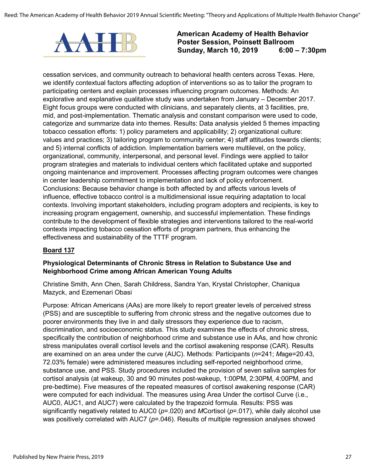

cessation services, and community outreach to behavioral health centers across Texas. Here, we identify contextual factors affecting adoption of interventions so as to tailor the program to participating centers and explain processes influencing program outcomes. Methods: An explorative and explanative qualitative study was undertaken from January – December 2017. Eight focus groups were conducted with clinicians, and separately clients, at 3 facilities, pre, mid, and post-implementation. Thematic analysis and constant comparison were used to code, categorize and summarize data into themes. Results: Data analysis yielded 5 themes impacting tobacco cessation efforts: 1) policy parameters and applicability; 2) organizational culture: values and practices; 3) tailoring program to community center; 4) staff attitudes towards clients; and 5) internal conflicts of addiction. Implementation barriers were multilevel, on the policy, organizational, community, interpersonal, and personal level. Findings were applied to tailor program strategies and materials to individual centers which facilitated uptake and supported ongoing maintenance and improvement. Processes affecting program outcomes were changes in center leadership commitment to implementation and lack of policy enforcement. Conclusions: Because behavior change is both affected by and affects various levels of influence, effective tobacco control is a multidimensional issue requiring adaptation to local contexts. Involving important stakeholders, including program adopters and recipients, is key to increasing program engagement, ownership, and successful implementation. These findings contribute to the development of flexible strategies and interventions tailored to the real-world contexts impacting tobacco cessation efforts of program partners, thus enhancing the effectiveness and sustainability of the TTTF program.

#### **Board 137**

#### **Physiological Determinants of Chronic Stress in Relation to Substance Use and Neighborhood Crime among African American Young Adults**

Christine Smith, Ann Chen, Sarah Childress, Sandra Yan, Krystal Christopher, Chaniqua Mazyck, and Ezemenari Obasi

Purpose: African Americans (AAs) are more likely to report greater levels of perceived stress (PSS) and are susceptible to suffering from chronic stress and the negative outcomes due to poorer environments they live in and daily stressors they experience due to racism, discrimination, and socioeconomic status. This study examines the effects of chronic stress, specifically the contribution of neighborhood crime and substance use in AAs, and how chronic stress manipulates overall cortisol levels and the cortisol awakening response (CAR). Results are examined on an area under the curve (AUC). Methods: Participants (*n*=241; *M*age=20.43, 72.03% female) were administered measures including self-reported neighborhood crime, substance use, and PSS. Study procedures included the provision of seven saliva samples for cortisol analysis (at wakeup, 30 and 90 minutes post-wakeup, 1:00PM, 2:30PM, 4:00PM, and pre-bedtime). Five measures of the repeated measures of cortisol awakening response (CAR) were computed for each individual. The measures using Area Under the cortisol Curve (i.e., AUC0, AUC1, and AUC7) were calculated by the trapezoid formula. Results: PSS was significantly negatively related to AUC0 (*p*=.020) and *M*Cortisol (*p*=.017), while daily alcohol use was positively correlated with AUC7 ( $p$ =.046). Results of multiple regression analyses showed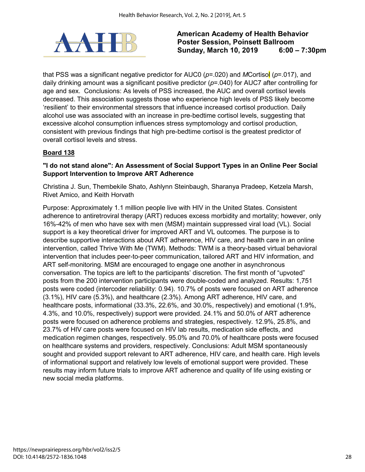

that PSS was a significant negative predictor for AUC0 (*p*=.020) and *M*Cortisol (*p*=.017), and daily drinking amount was a significant positive predictor (*p*=.040) for AUC7 after controlling for age and sex. Conclusions: As levels of PSS increased, the AUC and overall cortisol levels decreased. This association suggests those who experience high levels of PSS likely become 'resilient' to their environmental stressors that influence increased cortisol production. Daily alcohol use was associated with an increase in pre-bedtime cortisol levels, suggesting that excessive alcohol consumption influences stress symptomology and cortisol production, consistent with previous findings that high pre-bedtime cortisol is the greatest predictor of overall cortisol levels and stress.

#### **Board 138**

#### **"I do not stand alone": An Assessment of Social Support Types in an Online Peer Social Support Intervention to Improve ART Adherence**

Christina J. Sun, Thembekile Shato, Ashlynn Steinbaugh, Sharanya Pradeep, Ketzela Marsh, Rivet Amico, and Keith Horvath

Purpose: Approximately 1.1 million people live with HIV in the United States. Consistent adherence to antiretroviral therapy (ART) reduces excess morbidity and mortality; however, only 16%-42% of men who have sex with men (MSM) maintain suppressed viral load (VL). Social support is a key theoretical driver for improved ART and VL outcomes. The purpose is to describe supportive interactions about ART adherence, HIV care, and health care in an online intervention, called Thrive With Me (TWM). Methods: TWM is a theory-based virtual behavioral intervention that includes peer-to-peer communication, tailored ART and HIV information, and ART self-monitoring. MSM are encouraged to engage one another in asynchronous conversation. The topics are left to the participants' discretion. The first month of "upvoted" posts from the 200 intervention participants were double-coded and analyzed. Results: 1,751 posts were coded (intercoder reliability: 0.94). 10.7% of posts were focused on ART adherence (3.1%), HIV care (5.3%), and healthcare (2.3%). Among ART adherence, HIV care, and healthcare posts, informational (33.3%, 22.6%, and 30.0%, respectively) and emotional (1.9%, 4.3%, and 10.0%, respectively) support were provided. 24.1% and 50.0% of ART adherence posts were focused on adherence problems and strategies, respectively. 12.9%, 25.8%, and 23.7% of HIV care posts were focused on HIV lab results, medication side effects, and medication regimen changes, respectively. 95.0% and 70.0% of healthcare posts were focused on healthcare systems and providers, respectively. Conclusions: Adult MSM spontaneously sought and provided support relevant to ART adherence, HIV care, and health care. High levels of informational support and relatively low levels of emotional support were provided. These results may inform future trials to improve ART adherence and quality of life using existing or new social media platforms.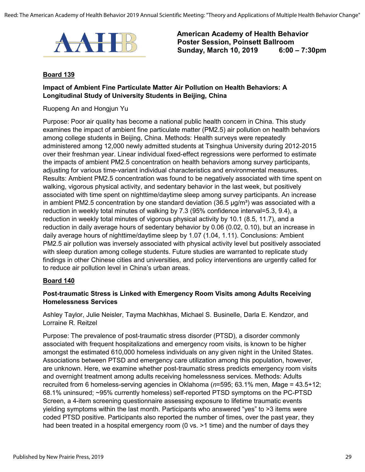Reed: The American Academy of Health Behavior 2019 Annual Scientific Meeting: "Theory and Applications of Multiple Health Behavior Change"



**American Academy of Health Behavior Poster Session, Poinsett Ballroom Sunday, March 10, 2019** 

#### **Board 139**

#### **Impact of Ambient Fine Particulate Matter Air Pollution on Health Behaviors: A Longitudinal Study of University Students in Beijing, China**

Ruopeng An and Hongjun Yu

Purpose: Poor air quality has become a national public health concern in China. This study examines the impact of ambient fine particulate matter (PM2.5) air pollution on health behaviors among college students in Beijing, China. Methods: Health surveys were repeatedly administered among 12,000 newly admitted students at Tsinghua University during 2012-2015 over their freshman year. Linear individual fixed-effect regressions were performed to estimate the impacts of ambient PM2.5 concentration on health behaviors among survey participants, adjusting for various time-variant individual characteristics and environmental measures. Results: Ambient PM2.5 concentration was found to be negatively associated with time spent on walking, vigorous physical activity, and sedentary behavior in the last week, but positively associated with time spent on nighttime/daytime sleep among survey participants. An increase in ambient PM2.5 concentration by one standard deviation (36.5  $\mu$ g/m<sup>3</sup>) was associated with a reduction in weekly total minutes of walking by 7.3 (95% confidence interval=5.3, 9.4), a reduction in weekly total minutes of vigorous physical activity by 10.1 (8.5, 11.7), and a reduction in daily average hours of sedentary behavior by 0.06 (0.02, 0.10), but an increase in daily average hours of nighttime/daytime sleep by 1.07 (1.04, 1.11). Conclusions: Ambient PM2.5 air pollution was inversely associated with physical activity level but positively associated with sleep duration among college students. Future studies are warranted to replicate study findings in other Chinese cities and universities, and policy interventions are urgently called for to reduce air pollution level in China's urban areas.

#### **Board 140**

#### **Post-traumatic Stress is Linked with Emergency Room Visits among Adults Receiving Homelessness Services**

Ashley Taylor, Julie Neisler, Tayma Machkhas, Michael S. Businelle, Darla E. Kendzor, and Lorraine R. Reitzel

Purpose: The prevalence of post-traumatic stress disorder (PTSD), a disorder commonly associated with frequent hospitalizations and emergency room visits, is known to be higher amongst the estimated 610,000 homeless individuals on any given night in the United States. Associations between PTSD and emergency care utilization among this population, however, are unknown. Here, we examine whether post-traumatic stress predicts emergency room visits and overnight treatment among adults receiving homelessness services. Methods: Adults recruited from 6 homeless-serving agencies in Oklahoma (*n*=595; 63.1% men, *M*age = 43.5+12; 68.1% uninsured; ~95% currently homeless) self-reported PTSD symptoms on the PC-PTSD Screen, a 4-item screening questionnaire assessing exposure to lifetime traumatic events yielding symptoms within the last month. Participants who answered "yes" to >3 items were coded PTSD positive. Participants also reported the number of times, over the past year, they had been treated in a hospital emergency room (0 vs. >1 time) and the number of days they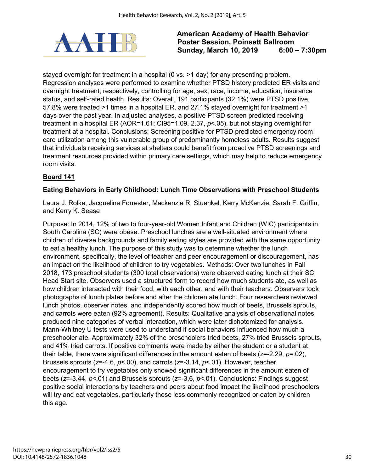

stayed overnight for treatment in a hospital (0 vs. > 1 day) for any presenting problem. Regression analyses were performed to examine whether PTSD history predicted ER visits and overnight treatment, respectively, controlling for age, sex, race, income, education, insurance status, and self-rated health. Results: Overall, 191 participants (32.1%) were PTSD positive, 57.8% were treated >1 times in a hospital ER, and 27.1% stayed overnight for treatment >1 days over the past year. In adjusted analyses, a positive PTSD screen predicted receiving treatment in a hospital ER (AOR=1.61; CI95=1.09, 2.37, *p*<.05), but not staying overnight for treatment at a hospital. Conclusions: Screening positive for PTSD predicted emergency room care utilization among this vulnerable group of predominantly homeless adults. Results suggest that individuals receiving services at shelters could benefit from proactive PTSD screenings and treatment resources provided within primary care settings, which may help to reduce emergency room visits.

# **Board 141**

#### **Eating Behaviors in Early Childhood: Lunch Time Observations with Preschool Students**

Laura J. Rolke, Jacqueline Forrester, Mackenzie R. Stuenkel, Kerry McKenzie, Sarah F. Griffin, and Kerry K. Sease

Purpose: In 2014, 12% of two to four-year-old Women Infant and Children (WIC) participants in South Carolina (SC) were obese. Preschool lunches are a well-situated environment where children of diverse backgrounds and family eating styles are provided with the same opportunity to eat a healthy lunch. The purpose of this study was to determine whether the lunch environment, specifically, the level of teacher and peer encouragement or discouragement, has an impact on the likelihood of children to try vegetables. Methods: Over two lunches in Fall 2018, 173 preschool students (300 total observations) were observed eating lunch at their SC Head Start site. Observers used a structured form to record how much students ate, as well as how children interacted with their food, with each other, and with their teachers. Observers took photographs of lunch plates before and after the children ate lunch. Four researchers reviewed lunch photos, observer notes, and independently scored how much of beets, Brussels sprouts, and carrots were eaten (92% agreement). Results: Qualitative analysis of observational notes produced nine categories of verbal interaction, which were later dichotomized for analysis. Mann-Whitney U tests were used to understand if social behaviors influenced how much a preschooler ate. Approximately 32% of the preschoolers tried beets, 27% tried Brussels sprouts, and 41% tried carrots. If positive comments were made by either the student or a student at their table, there were significant differences in the amount eaten of beets (*z*=-2.29, *p*=.02), Brussels sprouts (*z*=-4.6, *p*<.00), and carrots (*z*=-3.14, *p*<.01). However, teacher encouragement to try vegetables only showed significant differences in the amount eaten of beets (*z*=-3.44, *p*<.01) and Brussels sprouts (*z*=-3.6, *p*<.01). Conclusions: Findings suggest positive social interactions by teachers and peers about food impact the likelihood preschoolers will try and eat vegetables, particularly those less commonly recognized or eaten by children this age.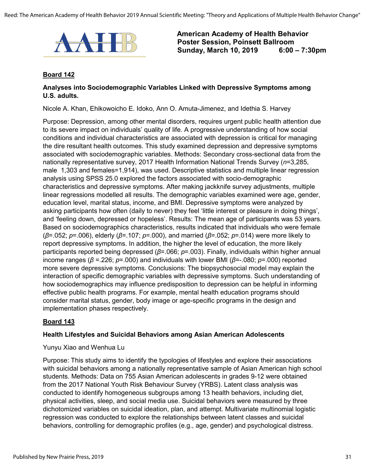

#### **Board 142**

#### **Analyses into Sociodemographic Variables Linked with Depressive Symptoms among U.S. adults.**

Nicole A. Khan, Ehikowoicho E. Idoko, Ann O. Amuta-Jimenez, and Idethia S. Harvey

Purpose: Depression, among other mental disorders, requires urgent public health attention due to its severe impact on individuals' quality of life. A progressive understanding of how social conditions and individual characteristics are associated with depression is critical for managing the dire resultant health outcomes. This study examined depression and depressive symptoms associated with sociodemographic variables. Methods: Secondary cross-sectional data from the nationally representative survey, 2017 Health Information National Trends Survey (*n*=3,285, male 1,303 and females=1,914), was used. Descriptive statistics and multiple linear regression analysis using SPSS 25.0 explored the factors associated with socio-demographic characteristics and depressive symptoms. After making jackknife survey adjustments, multiple linear regressions modelled all results. The demographic variables examined were age, gender, education level, marital status, income, and BMI. Depressive symptoms were analyzed by asking participants how often (daily to never) they feel 'little interest or pleasure in doing things', and 'feeling down, depressed or hopeless'. Results: The mean age of participants was 53 years. Based on sociodemographics characteristics, results indicated that individuals who were female (*β*=.052; *p*=.006), elderly (*β*=.107; *p*=.000), and married (*β*=.052; *p*=.014) were more likely to report depressive symptoms. In addition, the higher the level of education, the more likely participants reported being depressed (*β*=.066; *p*=.003). Finally, individuals within higher annual income ranges (*β* =.226; *p*=.000) and individuals with lower BMI (*β*=-.080; *p*=.000) reported more severe depressive symptoms. Conclusions: The biopsychosocial model may explain the interaction of specific demographic variables with depressive symptoms. Such understanding of how sociodemographics may influence predisposition to depression can be helpful in informing effective public health programs. For example, mental health education programs should consider marital status, gender, body image or age-specific programs in the design and implementation phases respectively.

#### **Board 143**

#### **Health Lifestyles and Suicidal Behaviors among Asian American Adolescents**

#### Yunyu Xiao and Wenhua Lu

Purpose: This study aims to identify the typologies of lifestyles and explore their associations with suicidal behaviors among a nationally representative sample of Asian American high school students. Methods: Data on 755 Asian American adolescents in grades 9-12 were obtained from the 2017 National Youth Risk Behaviour Survey (YRBS). Latent class analysis was conducted to identify homogeneous subgroups among 13 health behaviors, including diet, physical activities, sleep, and social media use. Suicidal behaviors were measured by three dichotomized variables on suicidal ideation, plan, and attempt. Multivariate multinomial logistic regression was conducted to explore the relationships between latent classes and suicidal behaviors, controlling for demographic profiles (e.g., age, gender) and psychological distress.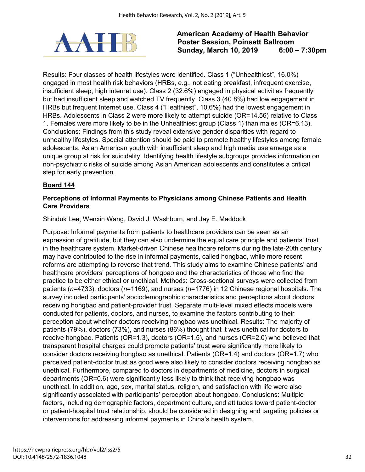

Results: Four classes of health lifestyles were identified. Class 1 ("Unhealthiest", 16.0%) engaged in most health risk behaviors (HRBs, e.g., not eating breakfast, infrequent exercise, insufficient sleep, high internet use). Class 2 (32.6%) engaged in physical activities frequently but had insufficient sleep and watched TV frequently. Class 3 (40.8%) had low engagement in HRBs but frequent Internet use. Class 4 ("Healthiest", 10.6%) had the lowest engagement in HRBs. Adolescents in Class 2 were more likely to attempt suicide (OR=14.56) relative to Class 1. Females were more likely to be in the Unhealthiest group (Class 1) than males (OR=6.13). Conclusions: Findings from this study reveal extensive gender disparities with regard to unhealthy lifestyles. Special attention should be paid to promote healthy lifestyles among female adolescents. Asian American youth with insufficient sleep and high media use emerge as a unique group at risk for suicidality. Identifying health lifestyle subgroups provides information on non-psychiatric risks of suicide among Asian American adolescents and constitutes a critical step for early prevention.

# **Board 144**

# **Perceptions of Informal Payments to Physicians among Chinese Patients and Health Care Providers**

#### Shinduk Lee, Wenxin Wang, David J. Washburn, and Jay E. Maddock

Purpose: Informal payments from patients to healthcare providers can be seen as an expression of gratitude, but they can also undermine the equal care principle and patients' trust in the healthcare system. Market-driven Chinese healthcare reforms during the late-20th century may have contributed to the rise in informal payments, called hongbao, while more recent reforms are attempting to reverse that trend. This study aims to examine Chinese patients' and healthcare providers' perceptions of hongbao and the characteristics of those who find the practice to be either ethical or unethical. Methods: Cross-sectional surveys were collected from patients (*n*=4733), doctors (*n*=1169), and nurses (*n*=1776) in 12 Chinese regional hospitals. The survey included participants' sociodemographic characteristics and perceptions about doctors receiving hongbao and patient-provider trust. Separate multi-level mixed effects models were conducted for patients, doctors, and nurses, to examine the factors contributing to their perception about whether doctors receiving hongbao was unethical. Results: The majority of patients (79%), doctors (73%), and nurses (86%) thought that it was unethical for doctors to receive hongbao. Patients (OR=1.3), doctors (OR=1.5), and nurses (OR=2.0) who believed that transparent hospital charges could promote patients' trust were significantly more likely to consider doctors receiving hongbao as unethical. Patients (OR=1.4) and doctors (OR=1.7) who perceived patient-doctor trust as good were also likely to consider doctors receiving hongbao as unethical. Furthermore, compared to doctors in departments of medicine, doctors in surgical departments (OR=0.6) were significantly less likely to think that receiving hongbao was unethical. In addition, age, sex, marital status, religion, and satisfaction with life were also significantly associated with participants' perception about hongbao. Conclusions: Multiple factors, including demographic factors, department culture, and attitudes toward patient-doctor or patient-hospital trust relationship, should be considered in designing and targeting policies or interventions for addressing informal payments in China's health system.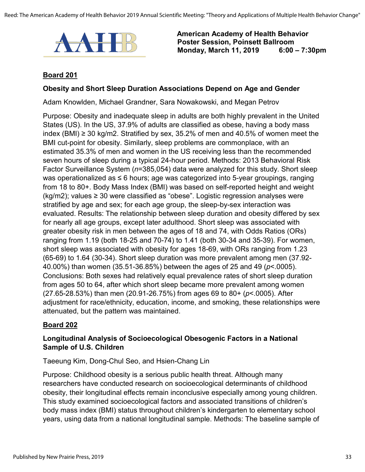

# **Board 201**

#### **Obesity and Short Sleep Duration Associations Depend on Age and Gender**

Adam Knowlden, Michael Grandner, Sara Nowakowski, and Megan Petrov

Purpose: Obesity and inadequate sleep in adults are both highly prevalent in the United States (US). In the US, 37.9% of adults are classified as obese, having a body mass index (BMI) ≥ 30 kg/m2. Stratified by sex, 35.2% of men and 40.5% of women meet the BMI cut-point for obesity. Similarly, sleep problems are commonplace, with an estimated 35.3% of men and women in the US receiving less than the recommended seven hours of sleep during a typical 24-hour period. Methods: 2013 Behavioral Risk Factor Surveillance System (*n*=385,054) data were analyzed for this study. Short sleep was operationalized as ≤ 6 hours; age was categorized into 5-year groupings, ranging from 18 to 80+. Body Mass Index (BMI) was based on self-reported height and weight  $(kg/m2)$ ; values  $\geq 30$  were classified as "obese". Logistic regression analyses were stratified by age and sex; for each age group, the sleep-by-sex interaction was evaluated. Results: The relationship between sleep duration and obesity differed by sex for nearly all age groups, except later adulthood. Short sleep was associated with greater obesity risk in men between the ages of 18 and 74, with Odds Ratios (ORs) ranging from 1.19 (both 18-25 and 70-74) to 1.41 (both 30-34 and 35-39). For women, short sleep was associated with obesity for ages 18-69, with ORs ranging from 1.23 (65-69) to 1.64 (30-34). Short sleep duration was more prevalent among men (37.92- 40.00%) than women (35.51-36.85%) between the ages of 25 and 49 (*p*<.0005). Conclusions: Both sexes had relatively equal prevalence rates of short sleep duration from ages 50 to 64, after which short sleep became more prevalent among women (27.65-28.53%) than men (20.91-26.75%) from ages 69 to 80+ (*p*<.0005). After adjustment for race/ethnicity, education, income, and smoking, these relationships were attenuated, but the pattern was maintained.

#### **Board 202**

# **Longitudinal Analysis of Socioecological Obesogenic Factors in a National Sample of U.S. Children**

Taeeung Kim, Dong-Chul Seo, and Hsien-Chang Lin

Purpose: Childhood obesity is a serious public health threat. Although many researchers have conducted research on socioecological determinants of childhood obesity, their longitudinal effects remain inconclusive especially among young children. This study examined socioecological factors and associated transitions of children's body mass index (BMI) status throughout children's kindergarten to elementary school years, using data from a national longitudinal sample. Methods: The baseline sample of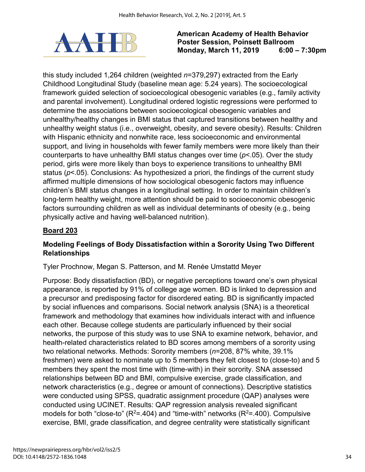

this study included 1,264 children (weighted *n*=379,297) extracted from the Early Childhood Longitudinal Study (baseline mean age: 5.24 years). The socioecological framework guided selection of socioecological obesogenic variables (e.g., family activity and parental involvement). Longitudinal ordered logistic regressions were performed to determine the associations between socioecological obesogenic variables and unhealthy/healthy changes in BMI status that captured transitions between healthy and unhealthy weight status (i.e., overweight, obesity, and severe obesity). Results: Children with Hispanic ethnicity and nonwhite race, less socioeconomic and environmental support, and living in households with fewer family members were more likely than their counterparts to have unhealthy BMI status changes over time (*p*<.05). Over the study period, girls were more likely than boys to experience transitions to unhealthy BMI status (*p*<.05). Conclusions: As hypothesized a priori, the findings of the current study affirmed multiple dimensions of how sociological obesogenic factors may influence children's BMI status changes in a longitudinal setting. In order to maintain children's long-term healthy weight, more attention should be paid to socioeconomic obesogenic factors surrounding children as well as individual determinants of obesity (e.g., being physically active and having well-balanced nutrition).

# **Board 203**

# **Modeling Feelings of Body Dissatisfaction within a Sorority Using Two Different Relationships**

# Tyler Prochnow, Megan S. Patterson, and M. Renée Umstattd Meyer

Purpose: Body dissatisfaction (BD), or negative perceptions toward one's own physical appearance, is reported by 91% of college age women. BD is linked to depression and a precursor and predisposing factor for disordered eating. BD is significantly impacted by social influences and comparisons. Social network analysis (SNA) is a theoretical framework and methodology that examines how individuals interact with and influence each other. Because college students are particularly influenced by their social networks, the purpose of this study was to use SNA to examine network, behavior, and health-related characteristics related to BD scores among members of a sorority using two relational networks. Methods: Sorority members (*n*=208, 87% white, 39.1% freshmen) were asked to nominate up to 5 members they felt closest to (close-to) and 5 members they spent the most time with (time-with) in their sorority. SNA assessed relationships between BD and BMI, compulsive exercise, grade classification, and network characteristics (e.g., degree or amount of connections). Descriptive statistics were conducted using SPSS, quadratic assignment procedure (QAP) analyses were conducted using UCINET. Results: QAP regression analysis revealed significant models for both "close-to" ( $R^2 = 404$ ) and "time-with" networks ( $R^2 = 400$ ). Compulsive exercise, BMI, grade classification, and degree centrality were statistically significant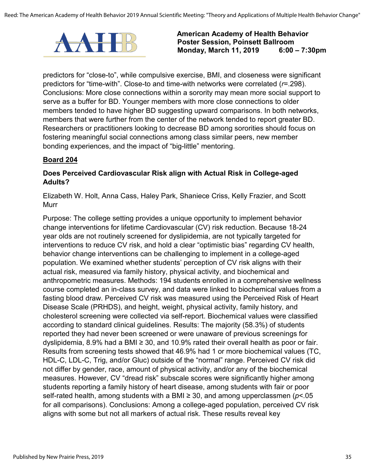

predictors for "close-to", while compulsive exercise, BMI, and closeness were significant predictors for "time-with". Close-to and time-with networks were correlated (*r*=.298). Conclusions: More close connections within a sorority may mean more social support to serve as a buffer for BD. Younger members with more close connections to older members tended to have higher BD suggesting upward comparisons. In both networks, members that were further from the center of the network tended to report greater BD. Researchers or practitioners looking to decrease BD among sororities should focus on fostering meaningful social connections among class similar peers, new member bonding experiences, and the impact of "big-little" mentoring.

## **Board 204**

### **Does Perceived Cardiovascular Risk align with Actual Risk in College-aged Adults?**

Elizabeth W. Holt, Anna Cass, Haley Park, Shaniece Criss, Kelly Frazier, and Scott Murr

Purpose: The college setting provides a unique opportunity to implement behavior change interventions for lifetime Cardiovascular (CV) risk reduction. Because 18-24 year olds are not routinely screened for dyslipidemia, are not typically targeted for interventions to reduce CV risk, and hold a clear "optimistic bias" regarding CV health, behavior change interventions can be challenging to implement in a college-aged population. We examined whether students' perception of CV risk aligns with their actual risk, measured via family history, physical activity, and biochemical and anthropometric measures. Methods: 194 students enrolled in a comprehensive wellness course completed an in-class survey, and data were linked to biochemical values from a fasting blood draw. Perceived CV risk was measured using the Perceived Risk of Heart Disease Scale (PRHDS), and height, weight, physical activity, family history, and cholesterol screening were collected via self-report. Biochemical values were classified according to standard clinical guidelines. Results: The majority (58.3%) of students reported they had never been screened or were unaware of previous screenings for dyslipidemia, 8.9% had a BMI ≥ 30, and 10.9% rated their overall health as poor or fair. Results from screening tests showed that 46.9% had 1 or more biochemical values (TC, HDL-C, LDL-C, Trig, and/or Gluc) outside of the "normal" range. Perceived CV risk did not differ by gender, race, amount of physical activity, and/or any of the biochemical measures. However, CV "dread risk" subscale scores were significantly higher among students reporting a family history of heart disease, among students with fair or poor self-rated health, among students with a BMI ≥ 30, and among upperclassmen (*p*<.05 for all comparisons). Conclusions: Among a college-aged population, perceived CV risk aligns with some but not all markers of actual risk. These results reveal key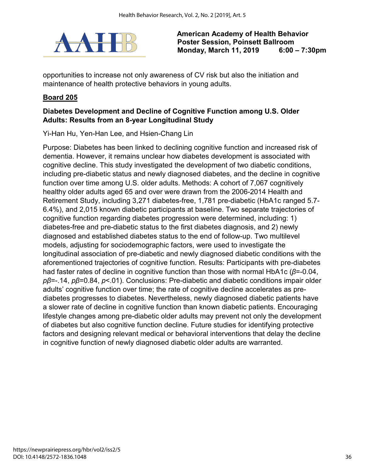

opportunities to increase not only awareness of CV risk but also the initiation and maintenance of health protective behaviors in young adults.

#### **Board 205**

### **Diabetes Development and Decline of Cognitive Function among U.S. Older Adults: Results from an 8-year Longitudinal Study**

Yi-Han Hu, Yen-Han Lee, and Hsien-Chang Lin

Purpose: Diabetes has been linked to declining cognitive function and increased risk of dementia. However, it remains unclear how diabetes development is associated with cognitive decline. This study investigated the development of two diabetic conditions, including pre-diabetic status and newly diagnosed diabetes, and the decline in cognitive function over time among U.S. older adults. Methods: A cohort of 7,067 cognitively healthy older adults aged 65 and over were drawn from the 2006-2014 Health and Retirement Study, including 3,271 diabetes-free, 1,781 pre-diabetic (HbA1c ranged 5.7- 6.4%), and 2,015 known diabetic participants at baseline. Two separate trajectories of cognitive function regarding diabetes progression were determined, including: 1) diabetes-free and pre-diabetic status to the first diabetes diagnosis, and 2) newly diagnosed and established diabetes status to the end of follow-up. Two multilevel models, adjusting for sociodemographic factors, were used to investigate the longitudinal association of pre-diabetic and newly diagnosed diabetic conditions with the aforementioned trajectories of cognitive function. Results: Participants with pre-diabetes had faster rates of decline in cognitive function than those with normal HbA1c (*β*=-0.04, *pβ*=-.14, *pβ*=0.84, *p*<.01). Conclusions: Pre-diabetic and diabetic conditions impair older adults' cognitive function over time; the rate of cognitive decline accelerates as prediabetes progresses to diabetes. Nevertheless, newly diagnosed diabetic patients have a slower rate of decline in cognitive function than known diabetic patients. Encouraging lifestyle changes among pre-diabetic older adults may prevent not only the development of diabetes but also cognitive function decline. Future studies for identifying protective factors and designing relevant medical or behavioral interventions that delay the decline in cognitive function of newly diagnosed diabetic older adults are warranted.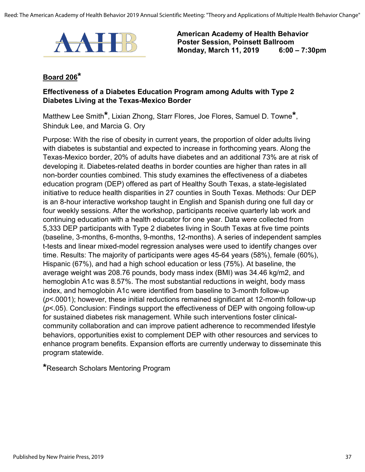

## **Board 206\***

#### **Effectiveness of a Diabetes Education Program among Adults with Type 2 Diabetes Living at the Texas-Mexico Border**

Matthew Lee Smith**\***, Lixian Zhong, Starr Flores, Joe Flores, Samuel D. Towne**\***, Shinduk Lee, and Marcia G. Ory

Purpose: With the rise of obesity in current years, the proportion of older adults living with diabetes is substantial and expected to increase in forthcoming years. Along the Texas-Mexico border, 20% of adults have diabetes and an additional 73% are at risk of developing it. Diabetes-related deaths in border counties are higher than rates in all non-border counties combined. This study examines the effectiveness of a diabetes education program (DEP) offered as part of Healthy South Texas, a state-legislated initiative to reduce health disparities in 27 counties in South Texas. Methods: Our DEP is an 8-hour interactive workshop taught in English and Spanish during one full day or four weekly sessions. After the workshop, participants receive quarterly lab work and continuing education with a health educator for one year. Data were collected from 5,333 DEP participants with Type 2 diabetes living in South Texas at five time points (baseline, 3-months, 6-months, 9-months, 12-months). A series of independent samples t-tests and linear mixed-model regression analyses were used to identify changes over time. Results: The majority of participants were ages 45-64 years (58%), female (60%), Hispanic (67%), and had a high school education or less (75%). At baseline, the average weight was 208.76 pounds, body mass index (BMI) was 34.46 kg/m2, and hemoglobin A1c was 8.57%. The most substantial reductions in weight, body mass index, and hemoglobin A1c were identified from baseline to 3-month follow-up (*p*<.0001); however, these initial reductions remained significant at 12-month follow-up (*p*<.05). Conclusion: Findings support the effectiveness of DEP with ongoing follow-up for sustained diabetes risk management. While such interventions foster clinicalcommunity collaboration and can improve patient adherence to recommended lifestyle behaviors, opportunities exist to complement DEP with other resources and services to enhance program benefits. Expansion efforts are currently underway to disseminate this program statewide.

**\***Research Scholars Mentoring Program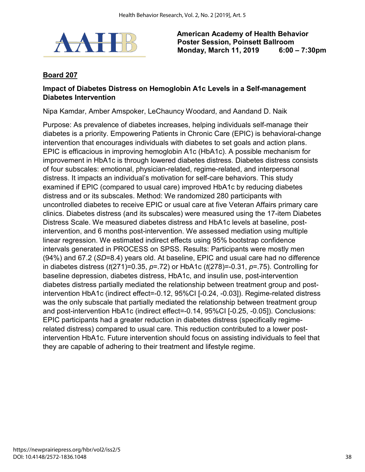

## **Board 207**

#### **Impact of Diabetes Distress on Hemoglobin A1c Levels in a Self-management Diabetes Intervention**

Nipa Kamdar, Amber Amspoker, LeChauncy Woodard, and Aandand D. Naik

Purpose: As prevalence of diabetes increases, helping individuals self-manage their diabetes is a priority. Empowering Patients in Chronic Care (EPIC) is behavioral-change intervention that encourages individuals with diabetes to set goals and action plans. EPIC is efficacious in improving hemoglobin A1c (HbA1c). A possible mechanism for improvement in HbA1c is through lowered diabetes distress. Diabetes distress consists of four subscales: emotional, physician-related, regime-related, and interpersonal distress. It impacts an individual's motivation for self-care behaviors. This study examined if EPIC (compared to usual care) improved HbA1c by reducing diabetes distress and or its subscales. Method: We randomized 280 participants with uncontrolled diabetes to receive EPIC or usual care at five Veteran Affairs primary care clinics. Diabetes distress (and its subscales) were measured using the 17-item Diabetes Distress Scale. We measured diabetes distress and HbA1c levels at baseline, postintervention, and 6 months post-intervention. We assessed mediation using multiple linear regression. We estimated indirect effects using 95% bootstrap confidence intervals generated in PROCESS on SPSS. Results: Participants were mostly men (94%) and 67.2 (*SD*=8.4) years old. At baseline, EPIC and usual care had no difference in diabetes distress (*t*(271)=0.35, *p*=.72) or HbA1c (*t*(278)=-0.31, *p*=.75). Controlling for baseline depression, diabetes distress, HbA1c, and insulin use, post-intervention diabetes distress partially mediated the relationship between treatment group and postintervention HbA1c (indirect effect=-0.12, 95%CI [-0.24, -0.03]). Regime-related distress was the only subscale that partially mediated the relationship between treatment group and post-intervention HbA1c (indirect effect=-0.14, 95%CI [-0.25, -0.05]). Conclusions: EPIC participants had a greater reduction in diabetes distress (specifically regimerelated distress) compared to usual care. This reduction contributed to a lower postintervention HbA1c. Future intervention should focus on assisting individuals to feel that they are capable of adhering to their treatment and lifestyle regime.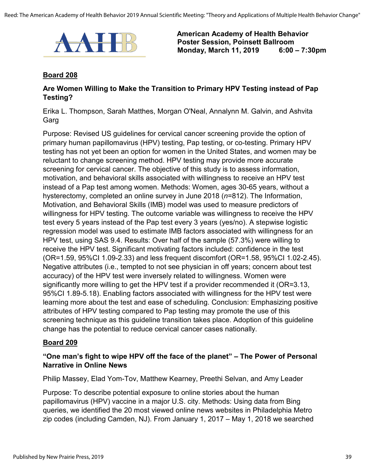

#### **Board 208**

#### **Are Women Willing to Make the Transition to Primary HPV Testing instead of Pap Testing?**

Erika L. Thompson, Sarah Matthes, Morgan O'Neal, Annalynn M. Galvin, and Ashvita Garg

Purpose: Revised US guidelines for cervical cancer screening provide the option of primary human papillomavirus (HPV) testing, Pap testing, or co-testing. Primary HPV testing has not yet been an option for women in the United States, and women may be reluctant to change screening method. HPV testing may provide more accurate screening for cervical cancer. The objective of this study is to assess information, motivation, and behavioral skills associated with willingness to receive an HPV test instead of a Pap test among women. Methods: Women, ages 30-65 years, without a hysterectomy, completed an online survey in June 2018 (*n*=812). The Information, Motivation, and Behavioral Skills (IMB) model was used to measure predictors of willingness for HPV testing. The outcome variable was willingness to receive the HPV test every 5 years instead of the Pap test every 3 years (yes/no). A stepwise logistic regression model was used to estimate IMB factors associated with willingness for an HPV test, using SAS 9.4. Results: Over half of the sample (57.3%) were willing to receive the HPV test. Significant motivating factors included: confidence in the test (OR=1.59, 95%CI 1.09-2.33) and less frequent discomfort (OR=1.58, 95%CI 1.02-2.45). Negative attributes (i.e., tempted to not see physician in off years; concern about test accuracy) of the HPV test were inversely related to willingness. Women were significantly more willing to get the HPV test if a provider recommended it (OR=3.13, 95%CI 1.89-5.18). Enabling factors associated with willingness for the HPV test were learning more about the test and ease of scheduling. Conclusion: Emphasizing positive attributes of HPV testing compared to Pap testing may promote the use of this screening technique as this guideline transition takes place. Adoption of this guideline change has the potential to reduce cervical cancer cases nationally.

#### **Board 209**

### **"One man's fight to wipe HPV off the face of the planet" – The Power of Personal Narrative in Online News**

Philip Massey, Elad Yom-Tov, Matthew Kearney, Preethi Selvan, and Amy Leader

Purpose: To describe potential exposure to online stories about the human papillomavirus (HPV) vaccine in a major U.S. city. Methods: Using data from Bing queries, we identified the 20 most viewed online news websites in Philadelphia Metro zip codes (including Camden, NJ). From January 1, 2017 – May 1, 2018 we searched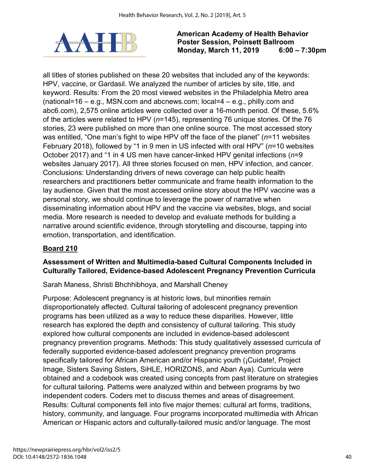

all titles of stories published on these 20 websites that included any of the keywords: HPV, vaccine, or Gardasil. We analyzed the number of articles by site, title, and keyword. Results: From the 20 most viewed websites in the Philadelphia Metro area (national=16 – e.g., MSN.com and abcnews.com; local=4 – e.g., philly.com and abc6.com), 2,575 online articles were collected over a 16-month period. Of these, 5.6% of the articles were related to HPV (*n*=145), representing 76 unique stories. Of the 76 stories, 23 were published on more than one online source. The most accessed story was entitled, "One man's fight to wipe HPV off the face of the planet" (*n*=11 websites February 2018), followed by "1 in 9 men in US infected with oral HPV" (*n*=10 websites October 2017) and "1 in 4 US men have cancer-linked HPV genital infections (*n*=9 websites January 2017). All three stories focused on men, HPV infection, and cancer. Conclusions: Understanding drivers of news coverage can help public health researchers and practitioners better communicate and frame health information to the lay audience. Given that the most accessed online story about the HPV vaccine was a personal story, we should continue to leverage the power of narrative when disseminating information about HPV and the vaccine via websites, blogs, and social media. More research is needed to develop and evaluate methods for building a narrative around scientific evidence, through storytelling and discourse, tapping into emotion, transportation, and identification.

## **Board 210**

## **Assessment of Written and Multimedia-based Cultural Components Included in Culturally Tailored, Evidence-based Adolescent Pregnancy Prevention Curricula**

Sarah Maness, Shristi Bhchhibhoya, and Marshall Cheney

Purpose: Adolescent pregnancy is at historic lows, but minorities remain disproportionately affected. Cultural tailoring of adolescent pregnancy prevention programs has been utilized as a way to reduce these disparities. However, little research has explored the depth and consistency of cultural tailoring. This study explored how cultural components are included in evidence-based adolescent pregnancy prevention programs. Methods: This study qualitatively assessed curricula of federally supported evidence-based adolescent pregnancy prevention programs specifically tailored for African American and/or Hispanic youth (¡Cuidate!, Project Image, Sisters Saving Sisters, SiHLE, HORIZONS, and Aban Aya). Curricula were obtained and a codebook was created using concepts from past literature on strategies for cultural tailoring. Patterns were analyzed within and between programs by two independent coders. Coders met to discuss themes and areas of disagreement. Results: Cultural components fell into five major themes: cultural art forms, traditions, history, community, and language. Four programs incorporated multimedia with African American or Hispanic actors and culturally-tailored music and/or language. The most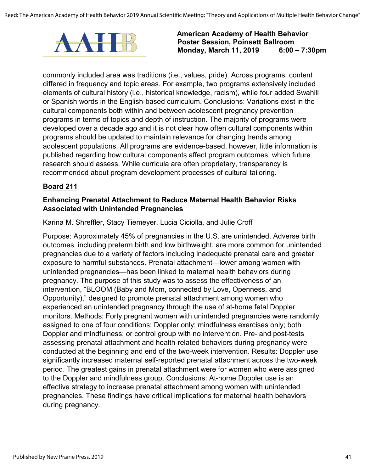

commonly included area was traditions (i.e., values, pride). Across programs, content differed in frequency and topic areas. For example, two programs extensively included elements of cultural history (i.e., historical knowledge, racism), while four added Swahili or Spanish words in the English-based curriculum. Conclusions: Variations exist in the cultural components both within and between adolescent pregnancy prevention programs in terms of topics and depth of instruction. The majority of programs were developed over a decade ago and it is not clear how often cultural components within programs should be updated to maintain relevance for changing trends among adolescent populations. All programs are evidence-based, however, little information is published regarding how cultural components affect program outcomes, which future research should assess. While curricula are often proprietary, transparency is recommended about program development processes of cultural tailoring.

### **Board 211**

## **Enhancing Prenatal Attachment to Reduce Maternal Health Behavior Risks Associated with Unintended Pregnancies**

Karina M. Shreffler, Stacy Tiemeyer, Lucia Ciciolla, and Julie Croff

Purpose: Approximately 45% of pregnancies in the U.S. are unintended. Adverse birth outcomes, including preterm birth and low birthweight, are more common for unintended pregnancies due to a variety of factors including inadequate prenatal care and greater exposure to harmful substances. Prenatal attachment—lower among women with unintended pregnancies—has been linked to maternal health behaviors during pregnancy. The purpose of this study was to assess the effectiveness of an intervention, "BLOOM (Baby and Mom, connected by Love, Openness, and Opportunity)," designed to promote prenatal attachment among women who experienced an unintended pregnancy through the use of at-home fetal Doppler monitors. Methods: Forty pregnant women with unintended pregnancies were randomly assigned to one of four conditions: Doppler only; mindfulness exercises only; both Doppler and mindfulness; or control group with no intervention. Pre- and post-tests assessing prenatal attachment and health-related behaviors during pregnancy were conducted at the beginning and end of the two-week intervention. Results: Doppler use significantly increased maternal self-reported prenatal attachment across the two-week period. The greatest gains in prenatal attachment were for women who were assigned to the Doppler and mindfulness group. Conclusions: At-home Doppler use is an effective strategy to increase prenatal attachment among women with unintended pregnancies. These findings have critical implications for maternal health behaviors during pregnancy.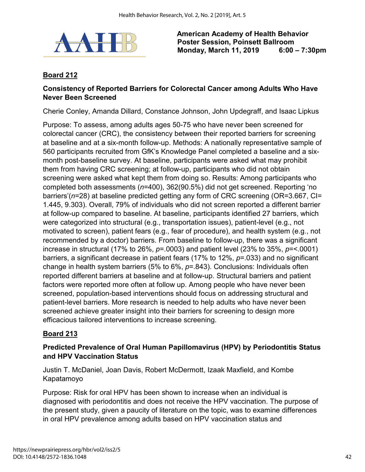

## **Board 212**

### **Consistency of Reported Barriers for Colorectal Cancer among Adults Who Have Never Been Screened**

Cherie Conley, Amanda Dillard, Constance Johnson, John Updegraff, and Isaac Lipkus

Purpose: To assess, among adults ages 50-75 who have never been screened for colorectal cancer (CRC), the consistency between their reported barriers for screening at baseline and at a six-month follow-up. Methods: A nationally representative sample of 560 participants recruited from GfK's Knowledge Panel completed a baseline and a sixmonth post-baseline survey. At baseline, participants were asked what may prohibit them from having CRC screening; at follow-up, participants who did not obtain screening were asked what kept them from doing so. Results: Among participants who completed both assessments (*n*=400), 362(90.5%) did not get screened. Reporting 'no barriers'(*n*=28) at baseline predicted getting any form of CRC screening (OR=3.667, CI= 1.445, 9.303). Overall, 79% of individuals who did not screen reported a different barrier at follow-up compared to baseline. At baseline, participants identified 27 barriers, which were categorized into structural (e.g., transportation issues), patient-level (e.g., not motivated to screen), patient fears (e.g., fear of procedure), and health system (e.g., not recommended by a doctor) barriers. From baseline to follow-up, there was a significant increase in structural (17% to 26%, *p*=.0003) and patient level (23% to 35%, *p*=<.0001) barriers, a significant decrease in patient fears (17% to 12%, *p*=.033) and no significant change in health system barriers (5% to 6%, *p*=.843). Conclusions: Individuals often reported different barriers at baseline and at follow-up. Structural barriers and patient factors were reported more often at follow up. Among people who have never been screened, population-based interventions should focus on addressing structural and patient-level barriers. More research is needed to help adults who have never been screened achieve greater insight into their barriers for screening to design more efficacious tailored interventions to increase screening.

## **Board 213**

## **Predicted Prevalence of Oral Human Papillomavirus (HPV) by Periodontitis Status and HPV Vaccination Status**

Justin T. McDaniel, Joan Davis, Robert McDermott, Izaak Maxfield, and Kombe Kapatamoyo

Purpose: Risk for oral HPV has been shown to increase when an individual is diagnosed with periodontitis and does not receive the HPV vaccination. The purpose of the present study, given a paucity of literature on the topic, was to examine differences in oral HPV prevalence among adults based on HPV vaccination status and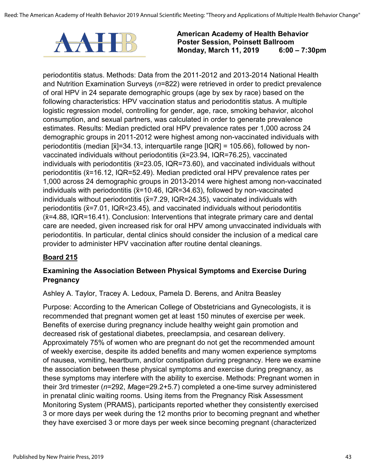

periodontitis status. Methods: Data from the 2011-2012 and 2013-2014 National Health and Nutrition Examination Surveys (*n*=822) were retrieved in order to predict prevalence of oral HPV in 24 separate demographic groups (age by sex by race) based on the following characteristics: HPV vaccination status and periodontitis status. A multiple logistic regression model, controlling for gender, age, race, smoking behavior, alcohol consumption, and sexual partners, was calculated in order to generate prevalence estimates. Results: Median predicted oral HPV prevalence rates per 1,000 across 24 demographic groups in 2011-2012 were highest among non-vaccinated individuals with periodontitis (median [ $\tilde{x}$ ]=34.13, interquartile range [IQR] = 105.66), followed by nonvaccinated individuals without periodontitis  $(X=23.94, IQR=76.25)$ , vaccinated individuals with periodontitis ( $\tilde{x}=23.05$ , IQR=73.60), and vaccinated individuals without periodontitis (x=16.12, IQR=52.49). Median predicted oral HPV prevalence rates per 1,000 across 24 demographic groups in 2013-2014 were highest among non-vaccinated individuals with periodontitis ( $\tilde{x}$ =10.46, IQR=34.63), followed by non-vaccinated individuals without periodontitis ( $\tilde{x}$ =7.29, IQR=24.35), vaccinated individuals with periodontitis ( $\tilde{x}$ =7.01, IQR=23.45), and vaccinated individuals without periodontitis  $(x=4.88, IQR=16.41)$ . Conclusion: Interventions that integrate primary care and dental care are needed, given increased risk for oral HPV among unvaccinated individuals with periodontitis. In particular, dental clinics should consider the inclusion of a medical care provider to administer HPV vaccination after routine dental cleanings.

## **Board 215**

## **Examining the Association Between Physical Symptoms and Exercise During Pregnancy**

Ashley A. Taylor, Tracey A. Ledoux, Pamela D. Berens, and Anitra Beasley

Purpose: According to the American College of Obstetricians and Gynecologists, it is recommended that pregnant women get at least 150 minutes of exercise per week. Benefits of exercise during pregnancy include healthy weight gain promotion and decreased risk of gestational diabetes, preeclampsia, and cesarean delivery. Approximately 75% of women who are pregnant do not get the recommended amount of weekly exercise, despite its added benefits and many women experience symptoms of nausea, vomiting, heartburn, and/or constipation during pregnancy. Here we examine the association between these physical symptoms and exercise during pregnancy, as these symptoms may interfere with the ability to exercise. Methods: Pregnant women in their 3rd trimester (*n*=292, *M*age=29.2+5.7) completed a one-time survey administered in prenatal clinic waiting rooms. Using items from the Pregnancy Risk Assessment Monitoring System (PRAMS), participants reported whether they consistently exercised 3 or more days per week during the 12 months prior to becoming pregnant and whether they have exercised 3 or more days per week since becoming pregnant (characterized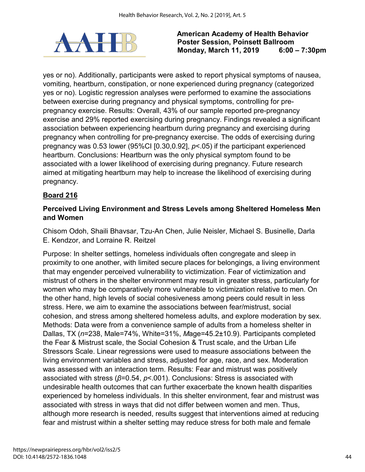

yes or no). Additionally, participants were asked to report physical symptoms of nausea, vomiting, heartburn, constipation, or none experienced during pregnancy (categorized yes or no). Logistic regression analyses were performed to examine the associations between exercise during pregnancy and physical symptoms, controlling for prepregnancy exercise. Results: Overall, 43% of our sample reported pre-pregnancy exercise and 29% reported exercising during pregnancy. Findings revealed a significant association between experiencing heartburn during pregnancy and exercising during pregnancy when controlling for pre-pregnancy exercise. The odds of exercising during pregnancy was 0.53 lower (95%CI [0.30,0.92], *p*<.05) if the participant experienced heartburn. Conclusions: Heartburn was the only physical symptom found to be associated with a lower likelihood of exercising during pregnancy. Future research aimed at mitigating heartburn may help to increase the likelihood of exercising during pregnancy.

## **Board 216**

### **Perceived Living Environment and Stress Levels among Sheltered Homeless Men and Women**

Chisom Odoh, Shaili Bhavsar, Tzu-An Chen, Julie Neisler, Michael S. Businelle, Darla E. Kendzor, and Lorraine R. Reitzel

Purpose: In shelter settings, homeless individuals often congregate and sleep in proximity to one another, with limited secure places for belongings, a living environment that may engender perceived vulnerability to victimization. Fear of victimization and mistrust of others in the shelter environment may result in greater stress, particularly for women who may be comparatively more vulnerable to victimization relative to men. On the other hand, high levels of social cohesiveness among peers could result in less stress. Here, we aim to examine the associations between fear/mistrust, social cohesion, and stress among sheltered homeless adults, and explore moderation by sex. Methods: Data were from a convenience sample of adults from a homeless shelter in Dallas, TX (*n*=238, Male=74%, White=31%, *M*age=45.2±10.9). Participants completed the Fear & Mistrust scale, the Social Cohesion & Trust scale, and the Urban Life Stressors Scale. Linear regressions were used to measure associations between the living environment variables and stress, adjusted for age, race, and sex. Moderation was assessed with an interaction term. Results: Fear and mistrust was positively associated with stress (*β*=0.54, *p*<.001). Conclusions: Stress is associated with undesirable health outcomes that can further exacerbate the known health disparities experienced by homeless individuals. In this shelter environment, fear and mistrust was associated with stress in ways that did not differ between women and men. Thus, although more research is needed, results suggest that interventions aimed at reducing fear and mistrust within a shelter setting may reduce stress for both male and female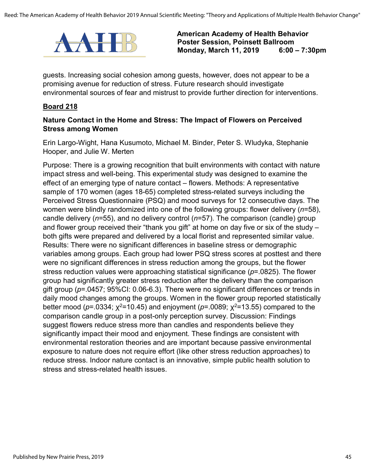

guests. Increasing social cohesion among guests, however, does not appear to be a promising avenue for reduction of stress. Future research should investigate environmental sources of fear and mistrust to provide further direction for interventions.

#### **Board 218**

#### **Nature Contact in the Home and Stress: The Impact of Flowers on Perceived Stress among Women**

Erin Largo-Wight, Hana Kusumoto, Michael M. Binder, Peter S. Wludyka, Stephanie Hooper, and Julie W. Merten

Purpose: There is a growing recognition that built environments with contact with nature impact stress and well-being. This experimental study was designed to examine the effect of an emerging type of nature contact – flowers. Methods: A representative sample of 170 women (ages 18-65) completed stress-related surveys including the Perceived Stress Questionnaire (PSQ) and mood surveys for 12 consecutive days. The women were blindly randomized into one of the following groups: flower delivery (*n*=58), candle delivery (*n*=55), and no delivery control (*n*=57). The comparison (candle) group and flower group received their "thank you gift" at home on day five or six of the study – both gifts were prepared and delivered by a local florist and represented similar value. Results: There were no significant differences in baseline stress or demographic variables among groups. Each group had lower PSQ stress scores at posttest and there were no significant differences in stress reduction among the groups, but the flower stress reduction values were approaching statistical significance (*p*=.0825). The flower group had significantly greater stress reduction after the delivery than the comparison gift group (*p*=.0457; 95%CI: 0.06-6.3). There were no significant differences or trends in daily mood changes among the groups. Women in the flower group reported statistically better mood ( $p = 0334$ ;  $\chi^2 = 10.45$ ) and enjoyment ( $p = 0089$ ;  $\chi^2 = 13.55$ ) compared to the comparison candle group in a post-only perception survey. Discussion: Findings suggest flowers reduce stress more than candles and respondents believe they significantly impact their mood and enjoyment. These findings are consistent with environmental restoration theories and are important because passive environmental exposure to nature does not require effort (like other stress reduction approaches) to reduce stress. Indoor nature contact is an innovative, simple public health solution to stress and stress-related health issues.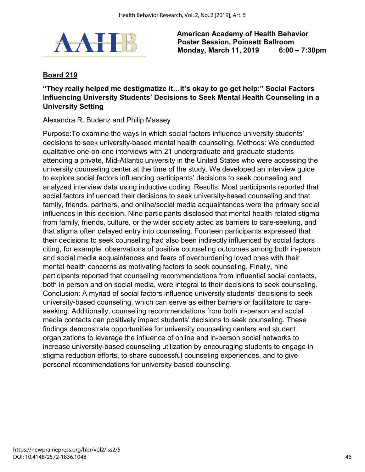

## **Board 219**

## **"They really helped me destigmatize it…it's okay to go get help:" Social Factors Influencing University Students' Decisions to Seek Mental Health Counseling in a University Setting**

Alexandra R. Budenz and Philip Massey

Purpose:To examine the ways in which social factors influence university students' decisions to seek university-based mental health counseling. Methods: We conducted qualitative one-on-one interviews with 21 undergraduate and graduate students attending a private, Mid-Atlantic university in the United States who were accessing the university counseling center at the time of the study. We developed an interview guide to explore social factors influencing participants' decisions to seek counseling and analyzed interview data using inductive coding. Results: Most participants reported that social factors influenced their decisions to seek university-based counseling and that family, friends, partners, and online/social media acquaintances were the primary social influences in this decision. Nine participants disclosed that mental health-related stigma from family, friends, culture, or the wider society acted as barriers to care-seeking, and that stigma often delayed entry into counseling. Fourteen participants expressed that their decisions to seek counseling had also been indirectly influenced by social factors citing, for example, observations of positive counseling outcomes among both in-person and social media acquaintances and fears of overburdening loved ones with their mental health concerns as motivating factors to seek counseling. Finally, nine participants reported that counseling recommendations from influential social contacts, both in person and on social media, were integral to their decisions to seek counseling. Conclusion: A myriad of social factors influence university students' decisions to seek university-based counseling, which can serve as either barriers or facilitators to careseeking. Additionally, counseling recommendations from both in-person and social media contacts can positively impact students' decisions to seek counseling. These findings demonstrate opportunities for university counseling centers and student organizations to leverage the influence of online and in-person social networks to increase university-based counseling utilization by encouraging students to engage in stigma reduction efforts, to share successful counseling experiences, and to give personal recommendations for university-based counseling.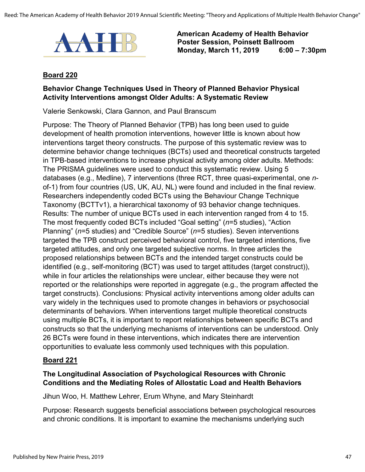

#### **Board 220**

### **Behavior Change Techniques Used in Theory of Planned Behavior Physical Activity Interventions amongst Older Adults: A Systematic Review**

Valerie Senkowski, Clara Gannon, and Paul Branscum

Purpose: The Theory of Planned Behavior (TPB) has long been used to guide development of health promotion interventions, however little is known about how interventions target theory constructs. The purpose of this systematic review was to determine behavior change techniques (BCTs) used and theoretical constructs targeted in TPB-based interventions to increase physical activity among older adults. Methods: The PRISMA guidelines were used to conduct this systematic review. Using 5 databases (e.g., Medline), 7 interventions (three RCT, three quasi-experimental, one *n*of-1) from four countries (US, UK, AU, NL) were found and included in the final review. Researchers independently coded BCTs using the Behaviour Change Technique Taxonomy (BCTTv1), a hierarchical taxonomy of 93 behavior change techniques. Results: The number of unique BCTs used in each intervention ranged from 4 to 15. The most frequently coded BCTs included "Goal setting" (*n*=5 studies), "Action Planning" (*n*=5 studies) and "Credible Source" (*n*=5 studies). Seven interventions targeted the TPB construct perceived behavioral control, five targeted intentions, five targeted attitudes, and only one targeted subjective norms. In three articles the proposed relationships between BCTs and the intended target constructs could be identified (e.g., self-monitoring (BCT) was used to target attitudes (target construct)), while in four articles the relationships were unclear, either because they were not reported or the relationships were reported in aggregate (e.g., the program affected the target constructs). Conclusions: Physical activity interventions among older adults can vary widely in the techniques used to promote changes in behaviors or psychosocial determinants of behaviors. When interventions target multiple theoretical constructs using multiple BCTs, it is important to report relationships between specific BCTs and constructs so that the underlying mechanisms of interventions can be understood. Only 26 BCTs were found in these interventions, which indicates there are intervention opportunities to evaluate less commonly used techniques with this population.

#### **Board 221**

## **The Longitudinal Association of Psychological Resources with Chronic Conditions and the Mediating Roles of Allostatic Load and Health Behaviors**

Jihun Woo, H. Matthew Lehrer, Erum Whyne, and Mary Steinhardt

Purpose: Research suggests beneficial associations between psychological resources and chronic conditions. It is important to examine the mechanisms underlying such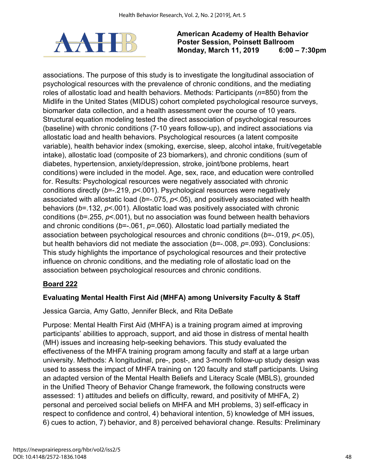

associations. The purpose of this study is to investigate the longitudinal association of psychological resources with the prevalence of chronic conditions, and the mediating roles of allostatic load and health behaviors. Methods: Participants (*n*=850) from the Midlife in the United States (MIDUS) cohort completed psychological resource surveys, biomarker data collection, and a health assessment over the course of 10 years. Structural equation modeling tested the direct association of psychological resources (baseline) with chronic conditions (7-10 years follow-up), and indirect associations via allostatic load and health behaviors. Psychological resources (a latent composite variable), health behavior index (smoking, exercise, sleep, alcohol intake, fruit/vegetable intake), allostatic load (composite of 23 biomarkers), and chronic conditions (sum of diabetes, hypertension, anxiety/depression, stroke, joint/bone problems, heart conditions) were included in the model. Age, sex, race, and education were controlled for. Results: Psychological resources were negatively associated with chronic conditions directly (*b*=-.219, *p*<.001). Psychological resources were negatively associated with allostatic load ( $b$ =-.075,  $p$ <.05), and positively associated with health behaviors (*ƅ*=.132, *p*<.001). Allostatic load was positively associated with chronic conditions (*ƅ*=.255, *p*<.001), but no association was found between health behaviors and chronic conditions ( $b$ =-.061,  $p$ =.060). Allostatic load partially mediated the association between psychological resources and chronic conditions (*ƅ*=-.019, *p*<.05), but health behaviors did not mediate the association (*ƅ*=-.008, *p*=.093). Conclusions: This study highlights the importance of psychological resources and their protective influence on chronic conditions, and the mediating role of allostatic load on the association between psychological resources and chronic conditions.

## **Board 222**

## **Evaluating Mental Health First Aid (MHFA) among University Faculty & Staff**

Jessica Garcia, Amy Gatto, Jennifer Bleck, and Rita DeBate

Purpose: Mental Health First Aid (MHFA) is a training program aimed at improving participants' abilities to approach, support, and aid those in distress of mental health (MH) issues and increasing help-seeking behaviors. This study evaluated the effectiveness of the MHFA training program among faculty and staff at a large urban university. Methods: A longitudinal, pre-, post-, and 3-month follow-up study design was used to assess the impact of MHFA training on 120 faculty and staff participants. Using an adapted version of the Mental Health Beliefs and Literacy Scale (MBLS), grounded in the Unified Theory of Behavior Change framework, the following constructs were assessed: 1) attitudes and beliefs on difficulty, reward, and positivity of MHFA, 2) personal and perceived social beliefs on MHFA and MH problems, 3) self-efficacy in respect to confidence and control, 4) behavioral intention, 5) knowledge of MH issues, 6) cues to action, 7) behavior, and 8) perceived behavioral change. Results: Preliminary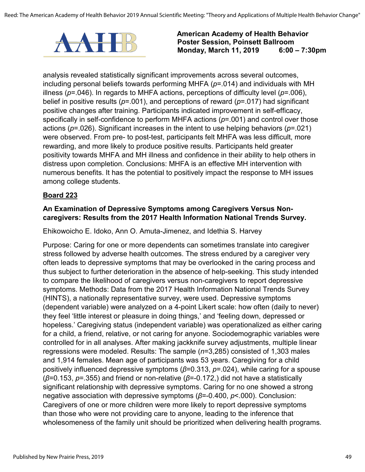

analysis revealed statistically significant improvements across several outcomes, including personal beliefs towards performing MHFA (*p*=.014) and individuals with MH illness (*p*=.046). In regards to MHFA actions, perceptions of difficulty level (*p*=.006), belief in positive results (*p*=.001), and perceptions of reward (*p*=.017) had significant positive changes after training. Participants indicated improvement in self-efficacy, specifically in self-confidence to perform MHFA actions (*p*=.001) and control over those actions (*p*=.026). Significant increases in the intent to use helping behaviors (*p*=.021) were observed. From pre- to post-test, participants felt MHFA was less difficult, more rewarding, and more likely to produce positive results. Participants held greater positivity towards MHFA and MH illness and confidence in their ability to help others in distress upon completion. Conclusions: MHFA is an effective MH intervention with numerous benefits. It has the potential to positively impact the response to MH issues among college students.

### **Board 223**

### **An Examination of Depressive Symptoms among Caregivers Versus Noncaregivers: Results from the 2017 Health Information National Trends Survey.**

Ehikowoicho E. Idoko, Ann O. Amuta-Jimenez, and Idethia S. Harvey

Purpose: Caring for one or more dependents can sometimes translate into caregiver stress followed by adverse health outcomes. The stress endured by a caregiver very often leads to depressive symptoms that may be overlooked in the caring process and thus subject to further deterioration in the absence of help-seeking. This study intended to compare the likelihood of caregivers versus non-caregivers to report depressive symptoms. Methods: Data from the 2017 Health Information National Trends Survey (HINTS), a nationally representative survey, were used. Depressive symptoms (dependent variable) were analyzed on a 4-point Likert scale: how often (daily to never) they feel 'little interest or pleasure in doing things,' and 'feeling down, depressed or hopeless.' Caregiving status (independent variable) was operationalized as either caring for a child, a friend, relative, or not caring for anyone. Sociodemographic variables were controlled for in all analyses. After making jackknife survey adjustments, multiple linear regressions were modeled. Results: The sample (*n*=3,285) consisted of 1,303 males and 1,914 females. Mean age of participants was 53 years. Caregiving for a child positively influenced depressive symptoms (*β*=0.313, *p*=.024), while caring for a spouse (*β*=0.153, *p*=.355) and friend or non-relative (*β*=-0.172,) did not have a statistically significant relationship with depressive symptoms. Caring for no one showed a strong negative association with depressive symptoms (*β*=-0.400, *p*<.000). Conclusion: Caregivers of one or more children were more likely to report depressive symptoms than those who were not providing care to anyone, leading to the inference that wholesomeness of the family unit should be prioritized when delivering health programs.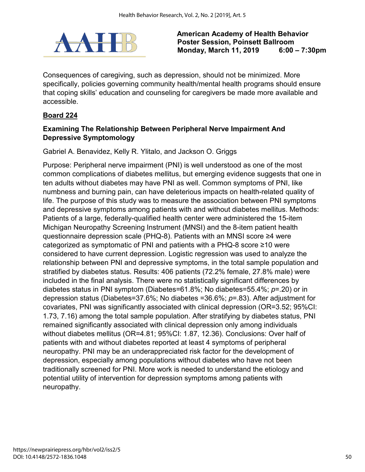

Consequences of caregiving, such as depression, should not be minimized. More specifically, policies governing community health/mental health programs should ensure that coping skills' education and counseling for caregivers be made more available and accessible.

## **Board 224**

## **Examining The Relationship Between Peripheral Nerve Impairment And Depressive Symptomology**

Gabriel A. Benavidez, Kelly R. Ylitalo, and Jackson O. Griggs

Purpose: Peripheral nerve impairment (PNI) is well understood as one of the most common complications of diabetes mellitus, but emerging evidence suggests that one in ten adults without diabetes may have PNI as well. Common symptoms of PNI, like numbness and burning pain, can have deleterious impacts on health-related quality of life. The purpose of this study was to measure the association between PNI symptoms and depressive symptoms among patients with and without diabetes mellitus. Methods: Patients of a large, federally-qualified health center were administered the 15-item Michigan Neuropathy Screening Instrument (MNSI) and the 8-item patient health questionnaire depression scale (PHQ-8). Patients with an MNSI score ≥4 were categorized as symptomatic of PNI and patients with a PHQ-8 score ≥10 were considered to have current depression. Logistic regression was used to analyze the relationship between PNI and depressive symptoms, in the total sample population and stratified by diabetes status. Results: 406 patients (72.2% female, 27.8% male) were included in the final analysis. There were no statistically significant differences by diabetes status in PNI symptom (Diabetes=61.8%; No diabetes=55.4%; *p*=.20) or in depression status (Diabetes=37.6%; No diabetes =36.6%; *p*=.83). After adjustment for covariates, PNI was significantly associated with clinical depression (OR=3.52; 95%CI: 1.73, 7.16) among the total sample population. After stratifying by diabetes status, PNI remained significantly associated with clinical depression only among individuals without diabetes mellitus (OR=4.81; 95%CI: 1.87, 12.36). Conclusions: Over half of patients with and without diabetes reported at least 4 symptoms of peripheral neuropathy. PNI may be an underappreciated risk factor for the development of depression, especially among populations without diabetes who have not been traditionally screened for PNI. More work is needed to understand the etiology and potential utility of intervention for depression symptoms among patients with neuropathy.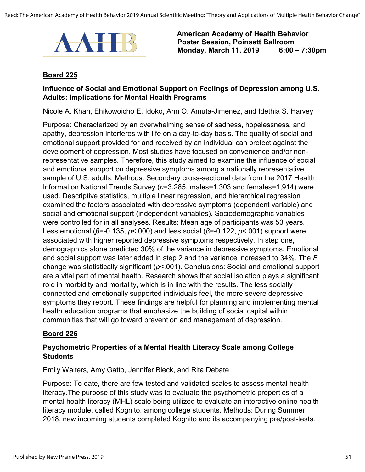

#### **Board 225**

### **Influence of Social and Emotional Support on Feelings of Depression among U.S. Adults: Implications for Mental Health Programs**

Nicole A. Khan, Ehikowoicho E. Idoko, Ann O. Amuta-Jimenez, and Idethia S. Harvey

Purpose: Characterized by an overwhelming sense of sadness, hopelessness, and apathy, depression interferes with life on a day-to-day basis. The quality of social and emotional support provided for and received by an individual can protect against the development of depression. Most studies have focused on convenience and/or nonrepresentative samples. Therefore, this study aimed to examine the influence of social and emotional support on depressive symptoms among a nationally representative sample of U.S. adults. Methods: Secondary cross-sectional data from the 2017 Health Information National Trends Survey (*n*=3,285, males=1,303 and females=1,914) were used. Descriptive statistics, multiple linear regression, and hierarchical regression examined the factors associated with depressive symptoms (dependent variable) and social and emotional support (independent variables). Sociodemographic variables were controlled for in all analyses. Results: Mean age of participants was 53 years. Less emotional (*β*=-0.135, *p*<.000) and less social (*β*=-0.122, *p*<.001) support were associated with higher reported depressive symptoms respectively. In step one, demographics alone predicted 30% of the variance in depressive symptoms. Emotional and social support was later added in step 2 and the variance increased to 34%. The *F* change was statistically significant (*p*<.001). Conclusions: Social and emotional support are a vital part of mental health. Research shows that social isolation plays a significant role in morbidity and mortality, which is in line with the results. The less socially connected and emotionally supported individuals feel, the more severe depressive symptoms they report. These findings are helpful for planning and implementing mental health education programs that emphasize the building of social capital within communities that will go toward prevention and management of depression.

#### **Board 226**

### **Psychometric Properties of a Mental Health Literacy Scale among College Students**

Emily Walters, Amy Gatto, Jennifer Bleck, and Rita Debate

Purpose: To date, there are few tested and validated scales to assess mental health literacy.The purpose of this study was to evaluate the psychometric properties of a mental health literacy (MHL) scale being utilized to evaluate an interactive online health literacy module, called Kognito, among college students. Methods: During Summer 2018, new incoming students completed Kognito and its accompanying pre/post-tests.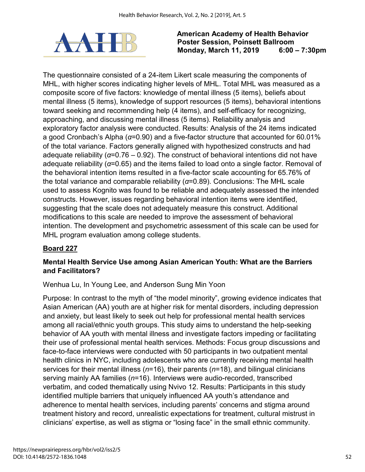

The questionnaire consisted of a 24-item Likert scale measuring the components of MHL, with higher scores indicating higher levels of MHL. Total MHL was measured as a composite score of five factors: knowledge of mental illness (5 items), beliefs about mental illness (5 items), knowledge of support resources (5 items), behavioral intentions toward seeking and recommending help (4 items), and self-efficacy for recognizing, approaching, and discussing mental illness (5 items). Reliability analysis and exploratory factor analysis were conducted. Results: Analysis of the 24 items indicated a good Cronbach's Alpha (*α*=0.90) and a five-factor structure that accounted for 60.01% of the total variance. Factors generally aligned with hypothesized constructs and had adequate reliability (*α*=0.76 – 0.92). The construct of behavioral intentions did not have adequate reliability (*α*=0.65) and the items failed to load onto a single factor. Removal of the behavioral intention items resulted in a five-factor scale accounting for 65.76% of the total variance and comparable reliability (*α*=0.89). Conclusions: The MHL scale used to assess Kognito was found to be reliable and adequately assessed the intended constructs. However, issues regarding behavioral intention items were identified, suggesting that the scale does not adequately measure this construct. Additional modifications to this scale are needed to improve the assessment of behavioral intention. The development and psychometric assessment of this scale can be used for MHL program evaluation among college students.

## **Board 227**

## **Mental Health Service Use among Asian American Youth: What are the Barriers and Facilitators?**

Wenhua Lu, In Young Lee, and Anderson Sung Min Yoon

Purpose: In contrast to the myth of "the model minority", growing evidence indicates that Asian American (AA) youth are at higher risk for mental disorders, including depression and anxiety, but least likely to seek out help for professional mental health services among all racial/ethnic youth groups. This study aims to understand the help-seeking behavior of AA youth with mental illness and investigate factors impeding or facilitating their use of professional mental health services. Methods: Focus group discussions and face-to-face interviews were conducted with 50 participants in two outpatient mental health clinics in NYC, including adolescents who are currently receiving mental health services for their mental illness (*n*=16), their parents (*n*=18), and bilingual clinicians serving mainly AA families (*n*=16). Interviews were audio-recorded, transcribed verbatim, and coded thematically using Nvivo 12. Results: Participants in this study identified multiple barriers that uniquely influenced AA youth's attendance and adherence to mental health services, including parents' concerns and stigma around treatment history and record, unrealistic expectations for treatment, cultural mistrust in clinicians' expertise, as well as stigma or "losing face" in the small ethnic community.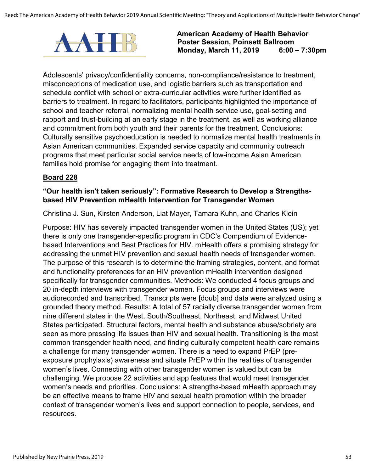

Adolescents' privacy/confidentiality concerns, non-compliance/resistance to treatment, misconceptions of medication use, and logistic barriers such as transportation and schedule conflict with school or extra-curricular activities were further identified as barriers to treatment. In regard to facilitators, participants highlighted the importance of school and teacher referral, normalizing mental health service use, goal-setting and rapport and trust-building at an early stage in the treatment, as well as working alliance and commitment from both youth and their parents for the treatment. Conclusions: Culturally sensitive psychoeducation is needed to normalize mental health treatments in Asian American communities. Expanded service capacity and community outreach programs that meet particular social service needs of low-income Asian American families hold promise for engaging them into treatment.

#### **Board 228**

#### **"Our health isn't taken seriously": Formative Research to Develop a Strengthsbased HIV Prevention mHealth Intervention for Transgender Women**

Christina J. Sun, Kirsten Anderson, Liat Mayer, Tamara Kuhn, and Charles Klein

Purpose: HIV has severely impacted transgender women in the United States (US); yet there is only one transgender-specific program in CDC's Compendium of Evidencebased Interventions and Best Practices for HIV. mHealth offers a promising strategy for addressing the unmet HIV prevention and sexual health needs of transgender women. The purpose of this research is to determine the framing strategies, content, and format and functionality preferences for an HIV prevention mHealth intervention designed specifically for transgender communities. Methods: We conducted 4 focus groups and 20 in-depth interviews with transgender women. Focus groups and interviews were audiorecorded and transcribed. Transcripts were [doub] and data were analyzed using a grounded theory method. Results: A total of 57 racially diverse transgender women from nine different states in the West, South/Southeast, Northeast, and Midwest United States participated. Structural factors, mental health and substance abuse/sobriety are seen as more pressing life issues than HIV and sexual health. Transitioning is the most common transgender health need, and finding culturally competent health care remains a challenge for many transgender women. There is a need to expand PrEP (preexposure prophylaxis) awareness and situate PrEP within the realities of transgender women's lives. Connecting with other transgender women is valued but can be challenging. We propose 22 activities and app features that would meet transgender women's needs and priorities. Conclusions: A strengths-based mHealth approach may be an effective means to frame HIV and sexual health promotion within the broader context of transgender women's lives and support connection to people, services, and resources.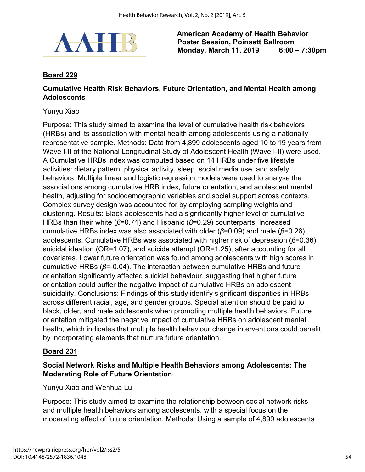

## **Board 229**

#### **Cumulative Health Risk Behaviors, Future Orientation, and Mental Health among Adolescents**

#### Yunyu Xiao

Purpose: This study aimed to examine the level of cumulative health risk behaviors (HRBs) and its association with mental health among adolescents using a nationally representative sample. Methods: Data from 4,899 adolescents aged 10 to 19 years from Wave I-II of the National Longitudinal Study of Adolescent Health (Wave I-II) were used. A Cumulative HRBs index was computed based on 14 HRBs under five lifestyle activities: dietary pattern, physical activity, sleep, social media use, and safety behaviors. Multiple linear and logistic regression models were used to analyse the associations among cumulative HRB index, future orientation, and adolescent mental health, adjusting for sociodemographic variables and social support across contexts. Complex survey design was accounted for by employing sampling weights and clustering. Results: Black adolescents had a significantly higher level of cumulative HRBs than their white (*β*=0.71) and Hispanic (*β*=0.29) counterparts. Increased cumulative HRBs index was also associated with older (*β*=0.09) and male (*β*=0.26) adolescents. Cumulative HRBs was associated with higher risk of depression (*β*=0.36), suicidal ideation (OR=1.07), and suicide attempt (OR=1.25), after accounting for all covariates. Lower future orientation was found among adolescents with high scores in cumulative HRBs (*β*=-0.04). The interaction between cumulative HRBs and future orientation significantly affected suicidal behaviour, suggesting that higher future orientation could buffer the negative impact of cumulative HRBs on adolescent suicidality. Conclusions: Findings of this study identify significant disparities in HRBs across different racial, age, and gender groups. Special attention should be paid to black, older, and male adolescents when promoting multiple health behaviors. Future orientation mitigated the negative impact of cumulative HRBs on adolescent mental health, which indicates that multiple health behaviour change interventions could benefit by incorporating elements that nurture future orientation.

### **Board 231**

### **Social Network Risks and Multiple Health Behaviors among Adolescents: The Moderating Role of Future Orientation**

Yunyu Xiao and Wenhua Lu

Purpose: This study aimed to examine the relationship between social network risks and multiple health behaviors among adolescents, with a special focus on the moderating effect of future orientation. Methods: Using a sample of 4,899 adolescents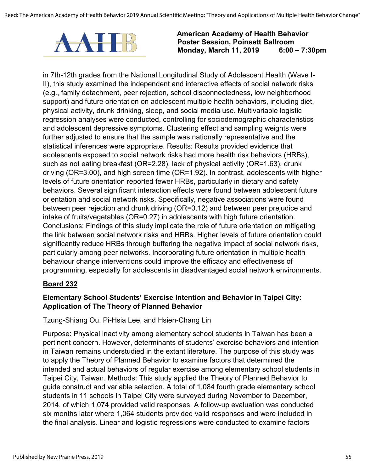

in 7th-12th grades from the National Longitudinal Study of Adolescent Health (Wave I-II), this study examined the independent and interactive effects of social network risks (e.g., family detachment, peer rejection, school disconnectedness, low neighborhood support) and future orientation on adolescent multiple health behaviors, including diet, physical activity, drunk drinking, sleep, and social media use. Multivariable logistic regression analyses were conducted, controlling for sociodemographic characteristics and adolescent depressive symptoms. Clustering effect and sampling weights were further adjusted to ensure that the sample was nationally representative and the statistical inferences were appropriate. Results: Results provided evidence that adolescents exposed to social network risks had more health risk behaviors (HRBs), such as not eating breakfast (OR=2.28), lack of physical activity (OR=1.63), drunk driving (OR=3.00), and high screen time (OR=1.92). In contrast, adolescents with higher levels of future orientation reported fewer HRBs, particularly in dietary and safety behaviors. Several significant interaction effects were found between adolescent future orientation and social network risks. Specifically, negative associations were found between peer rejection and drunk driving (OR=0.12) and between peer prejudice and intake of fruits/vegetables (OR=0.27) in adolescents with high future orientation. Conclusions: Findings of this study implicate the role of future orientation on mitigating the link between social network risks and HRBs. Higher levels of future orientation could significantly reduce HRBs through buffering the negative impact of social network risks, particularly among peer networks. Incorporating future orientation in multiple health behaviour change interventions could improve the efficacy and effectiveness of programming, especially for adolescents in disadvantaged social network environments.

#### **Board 232**

## **Elementary School Students' Exercise Intention and Behavior in Taipei City: Application of The Theory of Planned Behavior**

Tzung-Shiang Ou, Pi-Hsia Lee, and Hsien-Chang Lin

Purpose: Physical inactivity among elementary school students in Taiwan has been a pertinent concern. However, determinants of students' exercise behaviors and intention in Taiwan remains understudied in the extant literature. The purpose of this study was to apply the Theory of Planned Behavior to examine factors that determined the intended and actual behaviors of regular exercise among elementary school students in Taipei City, Taiwan. Methods: This study applied the Theory of Planned Behavior to guide construct and variable selection. A total of 1,084 fourth grade elementary school students in 11 schools in Taipei City were surveyed during November to December, 2014, of which 1,074 provided valid responses. A follow-up evaluation was conducted six months later where 1,064 students provided valid responses and were included in the final analysis. Linear and logistic regressions were conducted to examine factors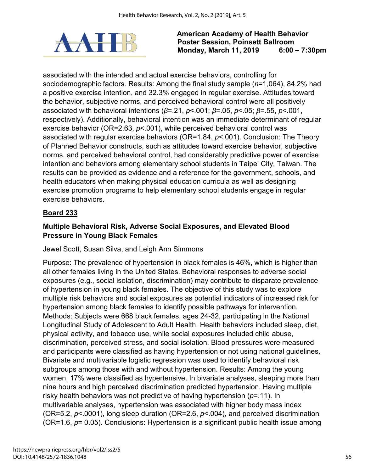

associated with the intended and actual exercise behaviors, controlling for sociodemographic factors. Results: Among the final study sample (*n*=1,064), 84.2% had a positive exercise intention, and 32.3% engaged in regular exercise. Attitudes toward the behavior, subjective norms, and perceived behavioral control were all positively associated with behavioral intentions (*β*=.21, *p*<.001; *β*=.05, *p*<.05; *β*=.55, *p*<.001, respectively). Additionally, behavioral intention was an immediate determinant of regular exercise behavior (OR=2.63, *p*<.001), while perceived behavioral control was associated with regular exercise behaviors (OR=1.84, *p*<.001). Conclusion: The Theory of Planned Behavior constructs, such as attitudes toward exercise behavior, subjective norms, and perceived behavioral control, had considerably predictive power of exercise intention and behaviors among elementary school students in Taipei City, Taiwan. The results can be provided as evidence and a reference for the government, schools, and health educators when making physical education curricula as well as designing exercise promotion programs to help elementary school students engage in regular exercise behaviors.

# **Board 233**

## **Multiple Behavioral Risk, Adverse Social Exposures, and Elevated Blood Pressure in Young Black Females**

Jewel Scott, Susan Silva, and Leigh Ann Simmons

Purpose: The prevalence of hypertension in black females is 46%, which is higher than all other females living in the United States. Behavioral responses to adverse social exposures (e.g., social isolation, discrimination) may contribute to disparate prevalence of hypertension in young black females. The objective of this study was to explore multiple risk behaviors and social exposures as potential indicators of increased risk for hypertension among black females to identify possible pathways for intervention. Methods: Subjects were 668 black females, ages 24-32, participating in the National Longitudinal Study of Adolescent to Adult Health. Health behaviors included sleep, diet, physical activity, and tobacco use, while social exposures included child abuse, discrimination, perceived stress, and social isolation. Blood pressures were measured and participants were classified as having hypertension or not using national guidelines. Bivariate and multivariable logistic regression was used to identify behavioral risk subgroups among those with and without hypertension. Results: Among the young women, 17% were classified as hypertensive. In bivariate analyses, sleeping more than nine hours and high perceived discrimination predicted hypertension. Having multiple risky health behaviors was not predictive of having hypertension (*p*=.11). In multivariable analyses, hypertension was associated with higher body mass index (OR=5.2, *p*<.0001), long sleep duration (OR=2.6, *p*<.004), and perceived discrimination (OR=1.6, *p*= 0.05). Conclusions: Hypertension is a significant public health issue among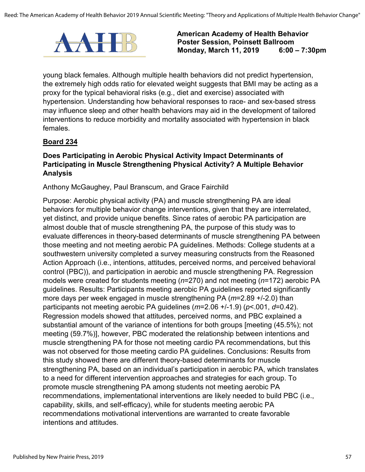

young black females. Although multiple health behaviors did not predict hypertension, the extremely high odds ratio for elevated weight suggests that BMI may be acting as a proxy for the typical behavioral risks (e.g., diet and exercise) associated with hypertension. Understanding how behavioral responses to race- and sex-based stress may influence sleep and other health behaviors may aid in the development of tailored interventions to reduce morbidity and mortality associated with hypertension in black females.

### **Board 234**

### **Does Participating in Aerobic Physical Activity Impact Determinants of Participating in Muscle Strengthening Physical Activity? A Multiple Behavior Analysis**

#### Anthony McGaughey, Paul Branscum, and Grace Fairchild

Purpose: Aerobic physical activity (PA) and muscle strengthening PA are ideal behaviors for multiple behavior change interventions, given that they are interrelated, yet distinct, and provide unique benefits. Since rates of aerobic PA participation are almost double that of muscle strengthening PA, the purpose of this study was to evaluate differences in theory-based determinants of muscle strengthening PA between those meeting and not meeting aerobic PA guidelines. Methods: College students at a southwestern university completed a survey measuring constructs from the Reasoned Action Approach (i.e., intentions, attitudes, perceived norms, and perceived behavioral control (PBC)), and participation in aerobic and muscle strengthening PA. Regression models were created for students meeting (*n*=270) and not meeting (*n*=172) aerobic PA guidelines. Results: Participants meeting aerobic PA guidelines reported significantly more days per week engaged in muscle strengthening PA (*m*=2.89 +/-2.0) than participants not meeting aerobic PA guidelines (*m*=2.06 +/-1.9) (*p*<.001, *d*=0.42). Regression models showed that attitudes, perceived norms, and PBC explained a substantial amount of the variance of intentions for both groups [meeting (45.5%); not meeting (59.7%)], however, PBC moderated the relationship between intentions and muscle strengthening PA for those not meeting cardio PA recommendations, but this was not observed for those meeting cardio PA guidelines. Conclusions: Results from this study showed there are different theory-based determinants for muscle strengthening PA, based on an individual's participation in aerobic PA, which translates to a need for different intervention approaches and strategies for each group. To promote muscle strengthening PA among students not meeting aerobic PA recommendations, implementational interventions are likely needed to build PBC (i.e., capability, skills, and self-efficacy), while for students meeting aerobic PA recommendations motivational interventions are warranted to create favorable intentions and attitudes.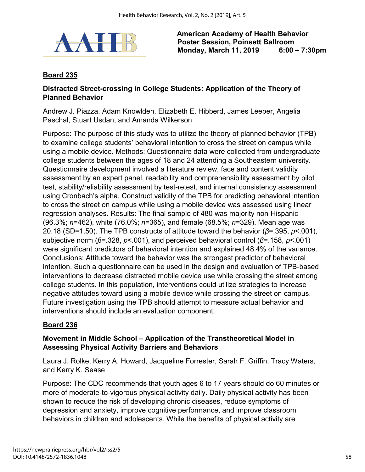

## **Board 235**

### **Distracted Street-crossing in College Students: Application of the Theory of Planned Behavior**

Andrew J. Piazza, Adam Knowlden, Elizabeth E. Hibberd, James Leeper, Angelia Paschal, Stuart Usdan, and Amanda Wilkerson

Purpose: The purpose of this study was to utilize the theory of planned behavior (TPB) to examine college students' behavioral intention to cross the street on campus while using a mobile device. Methods: Questionnaire data were collected from undergraduate college students between the ages of 18 and 24 attending a Southeastern university. Questionnaire development involved a literature review, face and content validity assessment by an expert panel, readability and comprehensibility assessment by pilot test, stability/reliability assessment by test-retest, and internal consistency assessment using Cronbach's alpha. Construct validity of the TPB for predicting behavioral intention to cross the street on campus while using a mobile device was assessed using linear regression analyses. Results: The final sample of 480 was majority non-Hispanic (96.3%; *n*=462), white (76.0%; *n*=365), and female (68.5%; *n*=329). Mean age was 20.18 (SD=1.50). The TPB constructs of attitude toward the behavior (*β*=.395, *p*<.001), subjective norm (*β*=.328, *p*<.001), and perceived behavioral control (*β*=.158, *p*<.001) were significant predictors of behavioral intention and explained 48.4% of the variance. Conclusions: Attitude toward the behavior was the strongest predictor of behavioral intention. Such a questionnaire can be used in the design and evaluation of TPB-based interventions to decrease distracted mobile device use while crossing the street among college students. In this population, interventions could utilize strategies to increase negative attitudes toward using a mobile device while crossing the street on campus. Future investigation using the TPB should attempt to measure actual behavior and interventions should include an evaluation component.

### **Board 236**

## **Movement in Middle School – Application of the Transtheoretical Model in Assessing Physical Activity Barriers and Behaviors**

Laura J. Rolke, Kerry A. Howard, Jacqueline Forrester, Sarah F. Griffin, Tracy Waters, and Kerry K. Sease

Purpose: The CDC recommends that youth ages 6 to 17 years should do 60 minutes or more of moderate-to-vigorous physical activity daily. Daily physical activity has been shown to reduce the risk of developing chronic diseases, reduce symptoms of depression and anxiety, improve cognitive performance, and improve classroom behaviors in children and adolescents. While the benefits of physical activity are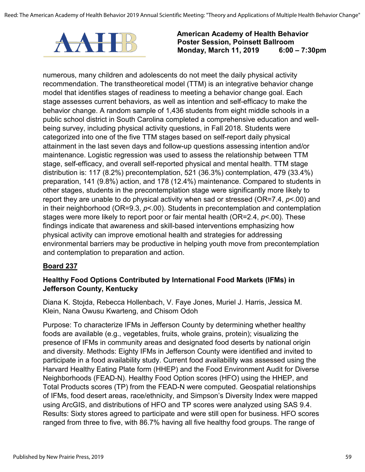

numerous, many children and adolescents do not meet the daily physical activity recommendation. The transtheoretical model (TTM) is an integrative behavior change model that identifies stages of readiness to meeting a behavior change goal. Each stage assesses current behaviors, as well as intention and self-efficacy to make the behavior change. A random sample of 1,436 students from eight middle schools in a public school district in South Carolina completed a comprehensive education and wellbeing survey, including physical activity questions, in Fall 2018. Students were categorized into one of the five TTM stages based on self-report daily physical attainment in the last seven days and follow-up questions assessing intention and/or maintenance. Logistic regression was used to assess the relationship between TTM stage, self-efficacy, and overall self-reported physical and mental health. TTM stage distribution is: 117 (8.2%) precontemplation, 521 (36.3%) contemplation, 479 (33.4%) preparation, 141 (9.8%) action, and 178 (12.4%) maintenance. Compared to students in other stages, students in the precontemplation stage were significantly more likely to report they are unable to do physical activity when sad or stressed (OR=7.4, *p*<.00) and in their neighborhood (OR=9.3, *p*<.00). Students in precontemplation and contemplation stages were more likely to report poor or fair mental health (OR=2.4, *p*<.00). These findings indicate that awareness and skill-based interventions emphasizing how physical activity can improve emotional health and strategies for addressing environmental barriers may be productive in helping youth move from precontemplation and contemplation to preparation and action.

### **Board 237**

### **Healthy Food Options Contributed by International Food Markets (IFMs) in Jefferson County, Kentucky**

Diana K. Stojda, Rebecca Hollenbach, V. Faye Jones, Muriel J. Harris, Jessica M. Klein, Nana Owusu Kwarteng, and Chisom Odoh

Purpose: To characterize IFMs in Jefferson County by determining whether healthy foods are available (e.g., vegetables, fruits, whole grains, protein); visualizing the presence of IFMs in community areas and designated food deserts by national origin and diversity. Methods: Eighty IFMs in Jefferson County were identified and invited to participate in a food availability study. Current food availability was assessed using the Harvard Healthy Eating Plate form (HHEP) and the Food Environment Audit for Diverse Neighborhoods (FEAD-N). Healthy Food Option scores (HFO) using the HHEP, and Total Products scores (TP) from the FEAD-N were computed. Geospatial relationships of IFMs, food desert areas, race/ethnicity, and Simpson's Diversity Index were mapped using ArcGIS, and distributions of HFO and TP scores were analyzed using SAS 9.4. Results: Sixty stores agreed to participate and were still open for business. HFO scores ranged from three to five, with 86.7% having all five healthy food groups. The range of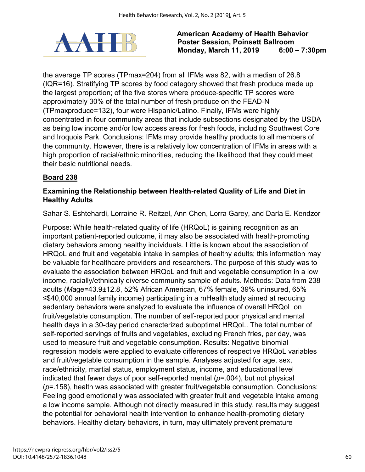

the average TP scores (TPmax=204) from all IFMs was 82, with a median of 26.8 (IQR=16). Stratifying TP scores by food category showed that fresh produce made up the largest proportion; of the five stores where produce-specific TP scores were approximately 30% of the total number of fresh produce on the FEAD-N (TPmaxproduce=132), four were Hispanic/Latino. Finally, IFMs were highly concentrated in four community areas that include subsections designated by the USDA as being low income and/or low access areas for fresh foods, including Southwest Core and Iroquois Park. Conclusions: IFMs may provide healthy products to all members of the community. However, there is a relatively low concentration of IFMs in areas with a high proportion of racial/ethnic minorities, reducing the likelihood that they could meet their basic nutritional needs.

## **Board 238**

### **Examining the Relationship between Health-related Quality of Life and Diet in Healthy Adults**

Sahar S. Eshtehardi, Lorraine R. Reitzel, Ann Chen, Lorra Garey, and Darla E. Kendzor

Purpose: While health-related quality of life (HRQoL) is gaining recognition as an important patient-reported outcome, it may also be associated with health-promoting dietary behaviors among healthy individuals. Little is known about the association of HRQoL and fruit and vegetable intake in samples of healthy adults; this information may be valuable for healthcare providers and researchers. The purpose of this study was to evaluate the association between HRQoL and fruit and vegetable consumption in a low income, racially/ethnically diverse community sample of adults. Methods: Data from 238 adults (*M*age=43.9±12.8, 52% African American, 67% female, 39% uninsured, 65% ≤\$40,000 annual family income) participating in a mHealth study aimed at reducing sedentary behaviors were analyzed to evaluate the influence of overall HRQoL on fruit/vegetable consumption. The number of self-reported poor physical and mental health days in a 30-day period characterized suboptimal HRQoL. The total number of self-reported servings of fruits and vegetables, excluding French fries, per day, was used to measure fruit and vegetable consumption. Results: Negative binomial regression models were applied to evaluate differences of respective HRQoL variables and fruit/vegetable consumption in the sample. Analyses adjusted for age, sex, race/ethnicity, martial status, employment status, income, and educational level indicated that fewer days of poor self-reported mental (*p*=.004), but not physical (*p*=.158), health was associated with greater fruit/vegetable consumption. Conclusions: Feeling good emotionally was associated with greater fruit and vegetable intake among a low income sample. Although not directly measured in this study, results may suggest the potential for behavioral health intervention to enhance health-promoting dietary behaviors. Healthy dietary behaviors, in turn, may ultimately prevent premature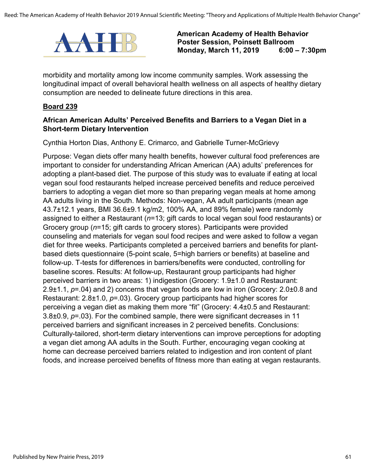

morbidity and mortality among low income community samples. Work assessing the longitudinal impact of overall behavioral health wellness on all aspects of healthy dietary consumption are needed to delineate future directions in this area.

#### **Board 239**

### **African American Adults' Perceived Benefits and Barriers to a Vegan Diet in a Short-term Dietary Intervention**

Cynthia Horton Dias, Anthony E. Crimarco, and Gabrielle Turner-McGrievy

Purpose: Vegan diets offer many health benefits, however cultural food preferences are important to consider for understanding African American (AA) adults' preferences for adopting a plant-based diet. The purpose of this study was to evaluate if eating at local vegan soul food restaurants helped increase perceived benefits and reduce perceived barriers to adopting a vegan diet more so than preparing vegan meals at home among AA adults living in the South. Methods: Non-vegan, AA adult participants (mean age 43.7±12.1 years, BMI 36.6±9.1 kg/m2, 100% AA, and 89% female) were randomly assigned to either a Restaurant (*n*=13; gift cards to local vegan soul food restaurants) or Grocery group (*n*=15; gift cards to grocery stores). Participants were provided counseling and materials for vegan soul food recipes and were asked to follow a vegan diet for three weeks. Participants completed a perceived barriers and benefits for plantbased diets questionnaire (5-point scale, 5=high barriers or benefits) at baseline and follow-up. T-tests for differences in barriers/benefits were conducted, controlling for baseline scores. Results: At follow-up, Restaurant group participants had higher perceived barriers in two areas: 1) indigestion (Grocery: 1.9±1.0 and Restaurant: 2.9±1.1, *p*=.04) and 2) concerns that vegan foods are low in iron (Grocery: 2.0±0.8 and Restaurant: 2.8±1.0, *p*=.03). Grocery group participants had higher scores for perceiving a vegan diet as making them more "fit" (Grocery: 4.4±0.5 and Restaurant: 3.8±0.9, *p*=.03). For the combined sample, there were significant decreases in 11 perceived barriers and significant increases in 2 perceived benefits. Conclusions: Culturally-tailored, short-term dietary interventions can improve perceptions for adopting a vegan diet among AA adults in the South. Further, encouraging vegan cooking at home can decrease perceived barriers related to indigestion and iron content of plant foods, and increase perceived benefits of fitness more than eating at vegan restaurants.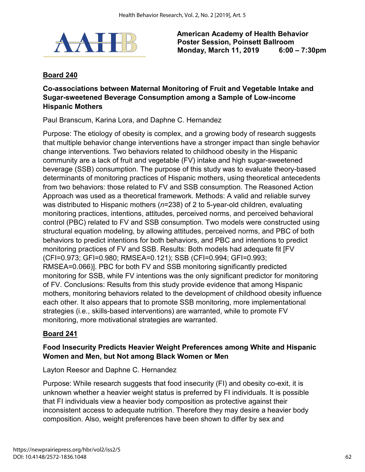

## **Board 240**

## **Co-associations between Maternal Monitoring of Fruit and Vegetable Intake and Sugar-sweetened Beverage Consumption among a Sample of Low-income Hispanic Mothers**

Paul Branscum, Karina Lora, and Daphne C. Hernandez

Purpose: The etiology of obesity is complex, and a growing body of research suggests that multiple behavior change interventions have a stronger impact than single behavior change interventions. Two behaviors related to childhood obesity in the Hispanic community are a lack of fruit and vegetable (FV) intake and high sugar-sweetened beverage (SSB) consumption. The purpose of this study was to evaluate theory-based determinants of monitoring practices of Hispanic mothers, using theoretical antecedents from two behaviors: those related to FV and SSB consumption. The Reasoned Action Approach was used as a theoretical framework. Methods: A valid and reliable survey was distributed to Hispanic mothers (*n*=238) of 2 to 5-year-old children, evaluating monitoring practices, intentions, attitudes, perceived norms, and perceived behavioral control (PBC) related to FV and SSB consumption. Two models were constructed using structural equation modeling, by allowing attitudes, perceived norms, and PBC of both behaviors to predict intentions for both behaviors, and PBC and intentions to predict monitoring practices of FV and SSB. Results: Both models had adequate fit [FV (CFI=0.973; GFI=0.980; RMSEA=0.121); SSB (CFI=0.994; GFI=0.993; RMSEA=0.066)]. PBC for both FV and SSB monitoring significantly predicted monitoring for SSB, while FV intentions was the only significant predictor for monitoring of FV. Conclusions: Results from this study provide evidence that among Hispanic mothers, monitoring behaviors related to the development of childhood obesity influence each other. It also appears that to promote SSB monitoring, more implementational strategies (i.e., skills-based interventions) are warranted, while to promote FV monitoring, more motivational strategies are warranted.

### **Board 241**

## **Food Insecurity Predicts Heavier Weight Preferences among White and Hispanic Women and Men, but Not among Black Women or Men**

### Layton Reesor and Daphne C. Hernandez

Purpose: While research suggests that food insecurity (FI) and obesity co-exit, it is unknown whether a heavier weight status is preferred by FI individuals. It is possible that FI individuals view a heavier body composition as protective against their inconsistent access to adequate nutrition. Therefore they may desire a heavier body composition. Also, weight preferences have been shown to differ by sex and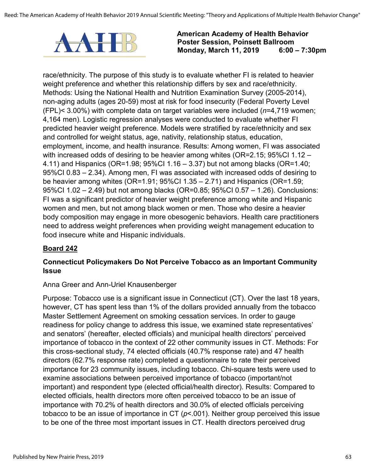

race/ethnicity. The purpose of this study is to evaluate whether FI is related to heavier weight preference and whether this relationship differs by sex and race/ethnicity. Methods: Using the National Health and Nutrition Examination Survey (2005-2014), non-aging adults (ages 20-59) most at risk for food insecurity (Federal Poverty Level (FPL)< 3.00%) with complete data on target variables were included (*n*=4,719 women; 4,164 men). Logistic regression analyses were conducted to evaluate whether FI predicted heavier weight preference. Models were stratified by race/ethnicity and sex and controlled for weight status, age, nativity, relationship status, education, employment, income, and health insurance. Results: Among women, FI was associated with increased odds of desiring to be heavier among whites (OR=2.15; 95%CI 1.12 – 4.11) and Hispanics (OR=1.98; 95%CI 1.16 – 3.37) but not among blacks (OR=1.40; 95%CI 0.83 – 2.34). Among men, FI was associated with increased odds of desiring to be heavier among whites (OR=1.91; 95%CI 1.35 – 2.71) and Hispanics (OR=1.59; 95%CI 1.02 – 2.49) but not among blacks (OR=0.85; 95%CI 0.57 – 1.26). Conclusions: FI was a significant predictor of heavier weight preference among white and Hispanic women and men, but not among black women or men. Those who desire a heavier body composition may engage in more obesogenic behaviors. Health care practitioners need to address weight preferences when providing weight management education to food insecure white and Hispanic individuals.

### **Board 242**

### **Connecticut Policymakers Do Not Perceive Tobacco as an Important Community Issue**

#### Anna Greer and Ann-Uriel Knausenberger

Purpose: Tobacco use is a significant issue in Connecticut (CT). Over the last 18 years, however, CT has spent less than 1% of the dollars provided annually from the tobacco Master Settlement Agreement on smoking cessation services. In order to gauge readiness for policy change to address this issue, we examined state representatives' and senators' (hereafter, elected officials) and municipal health directors' perceived importance of tobacco in the context of 22 other community issues in CT. Methods: For this cross-sectional study, 74 elected officials (40.7% response rate) and 47 health directors (62.7% response rate) completed a questionnaire to rate their perceived importance for 23 community issues, including tobacco. Chi-square tests were used to examine associations between perceived importance of tobacco (important/not important) and respondent type (elected official/health director). Results: Compared to elected officials, health directors more often perceived tobacco to be an issue of importance with 70.2% of health directors and 30.0% of elected officials perceiving tobacco to be an issue of importance in CT (*p*<.001). Neither group perceived this issue to be one of the three most important issues in CT. Health directors perceived drug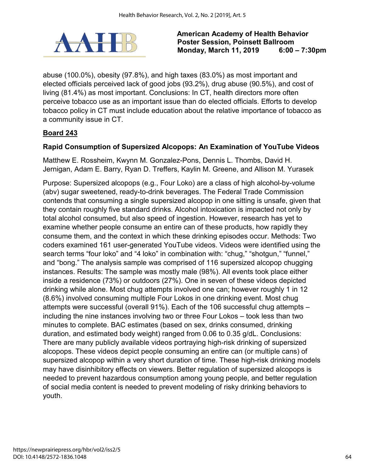

abuse (100.0%), obesity (97.8%), and high taxes (83.0%) as most important and elected officials perceived lack of good jobs (93.2%), drug abuse (90.5%), and cost of living (81.4%) as most important. Conclusions: In CT, health directors more often perceive tobacco use as an important issue than do elected officials. Efforts to develop tobacco policy in CT must include education about the relative importance of tobacco as a community issue in CT.

## **Board 243**

### **Rapid Consumption of Supersized Alcopops: An Examination of YouTube Videos**

Matthew E. Rossheim, Kwynn M. Gonzalez-Pons, Dennis L. Thombs, David H. Jernigan, Adam E. Barry, Ryan D. Treffers, Kaylin M. Greene, and Allison M. Yurasek

Purpose: Supersized alcopops (e.g., Four Loko) are a class of high alcohol-by-volume (abv) sugar sweetened, ready-to-drink beverages. The Federal Trade Commission contends that consuming a single supersized alcopop in one sitting is unsafe, given that they contain roughly five standard drinks. Alcohol intoxication is impacted not only by total alcohol consumed, but also speed of ingestion. However, research has yet to examine whether people consume an entire can of these products, how rapidly they consume them, and the context in which these drinking episodes occur. Methods: Two coders examined 161 user-generated YouTube videos. Videos were identified using the search terms "four loko" and "4 loko" in combination with: "chug," "shotgun," "funnel," and "bong." The analysis sample was comprised of 116 supersized alcopop chugging instances. Results: The sample was mostly male (98%). All events took place either inside a residence (73%) or outdoors (27%). One in seven of these videos depicted drinking while alone. Most chug attempts involved one can; however roughly 1 in 12 (8.6%) involved consuming multiple Four Lokos in one drinking event. Most chug attempts were successful (overall 91%). Each of the 106 successful chug attempts – including the nine instances involving two or three Four Lokos – took less than two minutes to complete. BAC estimates (based on sex, drinks consumed, drinking duration, and estimated body weight) ranged from 0.06 to 0.35 g/dL. Conclusions: There are many publicly available videos portraying high-risk drinking of supersized alcopops. These videos depict people consuming an entire can (or multiple cans) of supersized alcopop within a very short duration of time. These high-risk drinking models may have disinhibitory effects on viewers. Better regulation of supersized alcopops is needed to prevent hazardous consumption among young people, and better regulation of social media content is needed to prevent modeling of risky drinking behaviors to youth.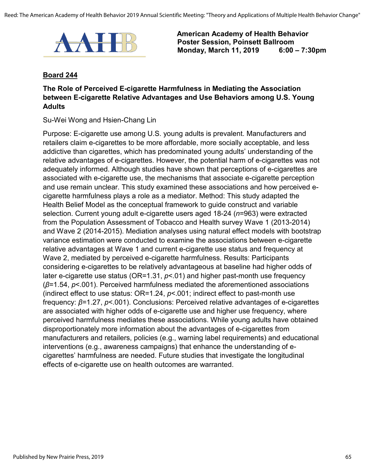

#### **Board 244**

## **The Role of Perceived E-cigarette Harmfulness in Mediating the Association between E-cigarette Relative Advantages and Use Behaviors among U.S. Young Adults**

Su-Wei Wong and Hsien-Chang Lin

Purpose: E-cigarette use among U.S. young adults is prevalent. Manufacturers and retailers claim e-cigarettes to be more affordable, more socially acceptable, and less addictive than cigarettes, which has predominated young adults' understanding of the relative advantages of e-cigarettes. However, the potential harm of e-cigarettes was not adequately informed. Although studies have shown that perceptions of e-cigarettes are associated with e-cigarette use, the mechanisms that associate e-cigarette perception and use remain unclear. This study examined these associations and how perceived ecigarette harmfulness plays a role as a mediator. Method: This study adapted the Health Belief Model as the conceptual framework to guide construct and variable selection. Current young adult e-cigarette users aged 18-24 (*n*=963) were extracted from the Population Assessment of Tobacco and Health survey Wave 1 (2013-2014) and Wave 2 (2014-2015). Mediation analyses using natural effect models with bootstrap variance estimation were conducted to examine the associations between e-cigarette relative advantages at Wave 1 and current e-cigarette use status and frequency at Wave 2, mediated by perceived e-cigarette harmfulness. Results: Participants considering e-cigarettes to be relatively advantageous at baseline had higher odds of later e-cigarette use status (OR=1.31, *p*<.01) and higher past-month use frequency (*β*=1.54, *p*<.001). Perceived harmfulness mediated the aforementioned associations (indirect effect to use status: OR=1.24, *p*<.001; indirect effect to past-month use frequency: *β*=1.27, *p*<.001). Conclusions: Perceived relative advantages of e-cigarettes are associated with higher odds of e-cigarette use and higher use frequency, where perceived harmfulness mediates these associations. While young adults have obtained disproportionately more information about the advantages of e-cigarettes from manufacturers and retailers, policies (e.g., warning label requirements) and educational interventions (e.g., awareness campaigns) that enhance the understanding of ecigarettes' harmfulness are needed. Future studies that investigate the longitudinal effects of e-cigarette use on health outcomes are warranted.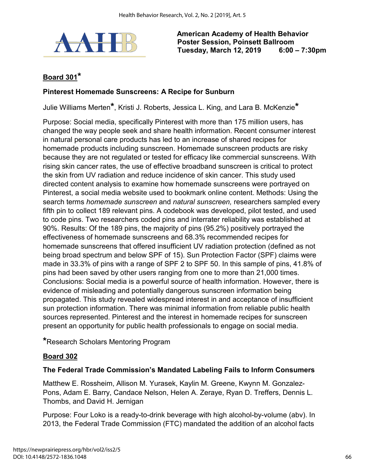

# **Board 301\***

#### **Pinterest Homemade Sunscreens: A Recipe for Sunburn**

Julie Williams Merten**\***, Kristi J. Roberts, Jessica L. King, and Lara B. McKenzie**\***

Purpose: Social media, specifically Pinterest with more than 175 million users, has changed the way people seek and share health information. Recent consumer interest in natural personal care products has led to an increase of shared recipes for homemade products including sunscreen. Homemade sunscreen products are risky because they are not regulated or tested for efficacy like commercial sunscreens. With rising skin cancer rates, the use of effective broadband sunscreen is critical to protect the skin from UV radiation and reduce incidence of skin cancer. This study used directed content analysis to examine how homemade sunscreens were portrayed on Pinterest, a social media website used to bookmark online content. Methods: Using the search terms *homemade sunscreen* and *natural sunscreen,* researchers sampled every fifth pin to collect 189 relevant pins. A codebook was developed, pilot tested, and used to code pins. Two researchers coded pins and interrater reliability was established at 90%. Results: Of the 189 pins, the majority of pins (95.2%) positively portrayed the effectiveness of homemade sunscreens and 68.3% recommended recipes for homemade sunscreens that offered insufficient UV radiation protection (defined as not being broad spectrum and below SPF of 15). Sun Protection Factor (SPF) claims were made in 33.3% of pins with a range of SPF 2 to SPF 50. In this sample of pins, 41.8% of pins had been saved by other users ranging from one to more than 21,000 times. Conclusions: Social media is a powerful source of health information. However, there is evidence of misleading and potentially dangerous sunscreen information being propagated. This study revealed widespread interest in and acceptance of insufficient sun protection information. There was minimal information from reliable public health sources represented. Pinterest and the interest in homemade recipes for sunscreen present an opportunity for public health professionals to engage on social media.

**\***Research Scholars Mentoring Program

### **Board 302**

#### **The Federal Trade Commission's Mandated Labeling Fails to Inform Consumers**

Matthew E. Rossheim, Allison M. Yurasek, Kaylin M. Greene, Kwynn M. Gonzalez-Pons, Adam E. Barry, Candace Nelson, Helen A. Zeraye, Ryan D. Treffers, Dennis L. Thombs, and David H. Jernigan

Purpose: Four Loko is a ready-to-drink beverage with high alcohol-by-volume (abv). In 2013, the Federal Trade Commission (FTC) mandated the addition of an alcohol facts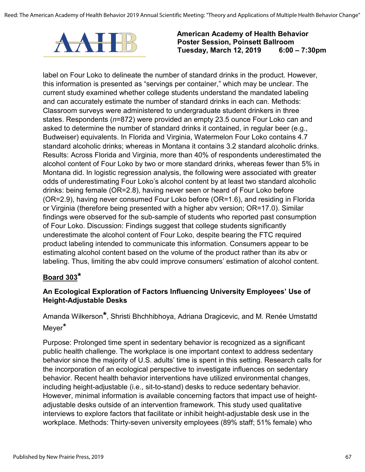

label on Four Loko to delineate the number of standard drinks in the product. However, this information is presented as "servings per container," which may be unclear. The current study examined whether college students understand the mandated labeling and can accurately estimate the number of standard drinks in each can. Methods: Classroom surveys were administered to undergraduate student drinkers in three states. Respondents (*n*=872) were provided an empty 23.5 ounce Four Loko can and asked to determine the number of standard drinks it contained, in regular beer (e.g., Budweiser) equivalents. In Florida and Virginia, Watermelon Four Loko contains 4.7 standard alcoholic drinks; whereas in Montana it contains 3.2 standard alcoholic drinks. Results: Across Florida and Virginia, more than 40% of respondents underestimated the alcohol content of Four Loko by two or more standard drinks, whereas fewer than 5% in Montana did. In logistic regression analysis, the following were associated with greater odds of underestimating Four Loko's alcohol content by at least two standard alcoholic drinks: being female (OR=2.8), having never seen or heard of Four Loko before (OR=2.9), having never consumed Four Loko before (OR=1.6), and residing in Florida or Virginia (therefore being presented with a higher abv version; OR=17.0). Similar findings were observed for the sub-sample of students who reported past consumption of Four Loko. Discussion: Findings suggest that college students significantly underestimate the alcohol content of Four Loko, despite bearing the FTC required product labeling intended to communicate this information. Consumers appear to be estimating alcohol content based on the volume of the product rather than its abv or labeling. Thus, limiting the abv could improve consumers' estimation of alcohol content.

## **Board 303\***

## **An Ecological Exploration of Factors Influencing University Employees' Use of Height-Adjustable Desks**

Amanda Wilkerson**\***, Shristi Bhchhibhoya, Adriana Dragicevic, and M. Renée Umstattd Meyer\*

Purpose: Prolonged time spent in sedentary behavior is recognized as a significant public health challenge. The workplace is one important context to address sedentary behavior since the majority of U.S. adults' time is spent in this setting. Research calls for the incorporation of an ecological perspective to investigate influences on sedentary behavior. Recent health behavior interventions have utilized environmental changes, including height-adjustable (i.e., sit-to-stand) desks to reduce sedentary behavior. However, minimal information is available concerning factors that impact use of heightadjustable desks outside of an intervention framework. This study used qualitative interviews to explore factors that facilitate or inhibit height-adjustable desk use in the workplace. Methods: Thirty-seven university employees (89% staff; 51% female) who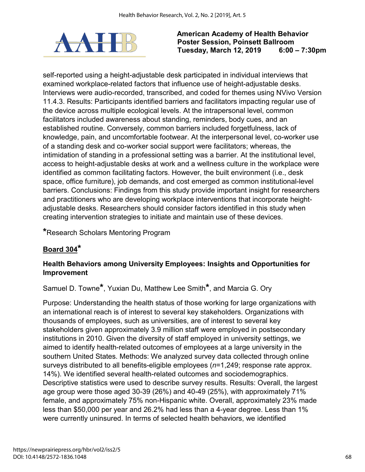

self-reported using a height-adjustable desk participated in individual interviews that examined workplace-related factors that influence use of height-adjustable desks. Interviews were audio-recorded, transcribed, and coded for themes using NVivo Version 11.4.3. Results: Participants identified barriers and facilitators impacting regular use of the device across multiple ecological levels. At the intrapersonal level, common facilitators included awareness about standing, reminders, body cues, and an established routine. Conversely, common barriers included forgetfulness, lack of knowledge, pain, and uncomfortable footwear. At the interpersonal level, co-worker use of a standing desk and co-worker social support were facilitators; whereas, the intimidation of standing in a professional setting was a barrier. At the institutional level, access to height-adjustable desks at work and a wellness culture in the workplace were identified as common facilitating factors. However, the built environment (i.e., desk space, office furniture), job demands, and cost emerged as common institutional-level barriers. Conclusions: Findings from this study provide important insight for researchers and practitioners who are developing workplace interventions that incorporate heightadjustable desks. Researchers should consider factors identified in this study when creating intervention strategies to initiate and maintain use of these devices.

**\***Research Scholars Mentoring Program

# **Board 304\***

## **Health Behaviors among University Employees: Insights and Opportunities for Improvement**

Samuel D. Towne**\***, Yuxian Du, Matthew Lee Smith**\***, and Marcia G. Ory

Purpose: Understanding the health status of those working for large organizations with an international reach is of interest to several key stakeholders. Organizations with thousands of employees, such as universities, are of interest to several key stakeholders given approximately 3.9 million staff were employed in postsecondary institutions in 2010. Given the diversity of staff employed in university settings, we aimed to identify health-related outcomes of employees at a large university in the southern United States. Methods: We analyzed survey data collected through online surveys distributed to all benefits-eligible employees (*n*=1,249; response rate approx. 14%). We identified several health-related outcomes and sociodemographics. Descriptive statistics were used to describe survey results. Results: Overall, the largest age group were those aged 30-39 (26%) and 40-49 (25%), with approximately 71% female, and approximately 75% non-Hispanic white. Overall, approximately 23% made less than \$50,000 per year and 26.2% had less than a 4-year degree. Less than 1% were currently uninsured. In terms of selected health behaviors, we identified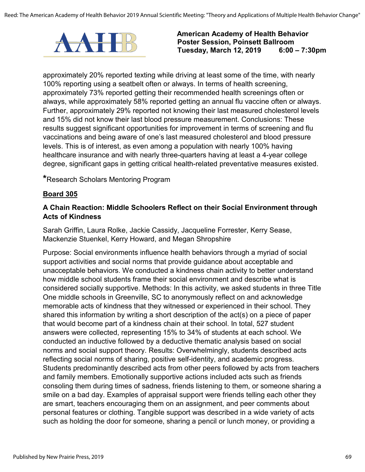

approximately 20% reported texting while driving at least some of the time, with nearly 100% reporting using a seatbelt often or always. In terms of health screening, approximately 73% reported getting their recommended health screenings often or always, while approximately 58% reported getting an annual flu vaccine often or always. Further, approximately 29% reported not knowing their last measured cholesterol levels and 15% did not know their last blood pressure measurement. Conclusions: These results suggest significant opportunities for improvement in terms of screening and flu vaccinations and being aware of one's last measured cholesterol and blood pressure levels. This is of interest, as even among a population with nearly 100% having healthcare insurance and with nearly three-quarters having at least a 4-year college degree, significant gaps in getting critical health-related preventative measures existed.

**\***Research Scholars Mentoring Program

### **Board 305**

### **A Chain Reaction: Middle Schoolers Reflect on their Social Environment through Acts of Kindness**

Sarah Griffin, Laura Rolke, Jackie Cassidy, Jacqueline Forrester, Kerry Sease, Mackenzie Stuenkel, Kerry Howard, and Megan Shropshire

Purpose: Social environments influence health behaviors through a myriad of social support activities and social norms that provide guidance about acceptable and unacceptable behaviors. We conducted a kindness chain activity to better understand how middle school students frame their social environment and describe what is considered socially supportive. Methods: In this activity, we asked students in three Title One middle schools in Greenville, SC to anonymously reflect on and acknowledge memorable acts of kindness that they witnessed or experienced in their school. They shared this information by writing a short description of the act(s) on a piece of paper that would become part of a kindness chain at their school. In total, 527 student answers were collected, representing 15% to 34% of students at each school. We conducted an inductive followed by a deductive thematic analysis based on social norms and social support theory. Results: Overwhelmingly, students described acts reflecting social norms of sharing, positive self-identity, and academic progress. Students predominantly described acts from other peers followed by acts from teachers and family members. Emotionally supportive actions included acts such as friends consoling them during times of sadness, friends listening to them, or someone sharing a smile on a bad day. Examples of appraisal support were friends telling each other they are smart, teachers encouraging them on an assignment, and peer comments about personal features or clothing. Tangible support was described in a wide variety of acts such as holding the door for someone, sharing a pencil or lunch money, or providing a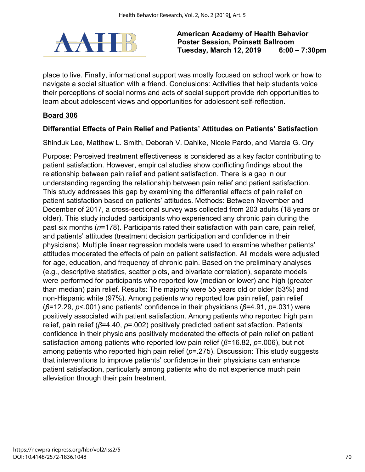

place to live. Finally, informational support was mostly focused on school work or how to navigate a social situation with a friend. Conclusions: Activities that help students voice their perceptions of social norms and acts of social support provide rich opportunities to learn about adolescent views and opportunities for adolescent self-reflection.

## **Board 306**

## **Differential Effects of Pain Relief and Patients' Attitudes on Patients' Satisfaction**

Shinduk Lee, Matthew L. Smith, Deborah V. Dahlke, Nicole Pardo, and Marcia G. Ory

Purpose: Perceived treatment effectiveness is considered as a key factor contributing to patient satisfaction. However, empirical studies show conflicting findings about the relationship between pain relief and patient satisfaction. There is a gap in our understanding regarding the relationship between pain relief and patient satisfaction. This study addresses this gap by examining the differential effects of pain relief on patient satisfaction based on patients' attitudes. Methods: Between November and December of 2017, a cross-sectional survey was collected from 203 adults (18 years or older). This study included participants who experienced any chronic pain during the past six months (*n*=178). Participants rated their satisfaction with pain care, pain relief, and patients' attitudes (treatment decision participation and confidence in their physicians). Multiple linear regression models were used to examine whether patients' attitudes moderated the effects of pain on patient satisfaction. All models were adjusted for age, education, and frequency of chronic pain. Based on the preliminary analyses (e.g., descriptive statistics, scatter plots, and bivariate correlation), separate models were performed for participants who reported low (median or lower) and high (greater than median) pain relief. Results: The majority were 55 years old or older (53%) and non-Hispanic white (97%). Among patients who reported low pain relief, pain relief (*β*=12.29, *p*<.001) and patients' confidence in their physicians (*β*=4.91, *p*=.031) were positively associated with patient satisfaction. Among patients who reported high pain relief, pain relief (*β*=4.40, *p*=.002) positively predicted patient satisfaction. Patients' confidence in their physicians positively moderated the effects of pain relief on patient satisfaction among patients who reported low pain relief (*β*=16.82, *p*=.006), but not among patients who reported high pain relief (*p*=.275). Discussion: This study suggests that interventions to improve patients' confidence in their physicians can enhance patient satisfaction, particularly among patients who do not experience much pain alleviation through their pain treatment.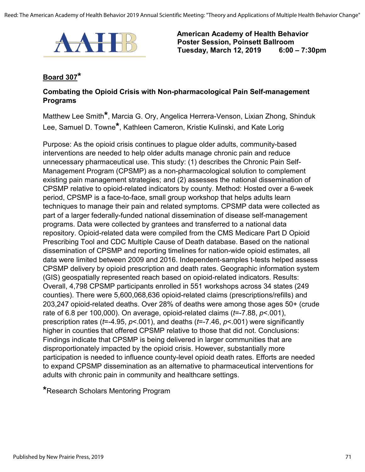

#### **Board 307\***

#### **Combating the Opioid Crisis with Non-pharmacological Pain Self-management Programs**

Matthew Lee Smith**\***, Marcia G. Ory, Angelica Herrera-Venson, Lixian Zhong, Shinduk Lee, Samuel D. Towne**\***, Kathleen Cameron, Kristie Kulinski, and Kate Lorig

Purpose: As the opioid crisis continues to plague older adults, community-based interventions are needed to help older adults manage chronic pain and reduce unnecessary pharmaceutical use. This study: (1) describes the Chronic Pain Self-Management Program (CPSMP) as a non-pharmacological solution to complement existing pain management strategies; and (2) assesses the national dissemination of CPSMP relative to opioid-related indicators by county. Method: Hosted over a 6-week period, CPSMP is a face-to-face, small group workshop that helps adults learn techniques to manage their pain and related symptoms. CPSMP data were collected as part of a larger federally-funded national dissemination of disease self-management programs. Data were collected by grantees and transferred to a national data repository. Opioid-related data were compiled from the CMS Medicare Part D Opioid Prescribing Tool and CDC Multiple Cause of Death database. Based on the national dissemination of CPSMP and reporting timelines for nation-wide opioid estimates, all data were limited between 2009 and 2016. Independent-samples t-tests helped assess CPSMP delivery by opioid prescription and death rates. Geographic information system (GIS) geospatially represented reach based on opioid-related indicators. Results: Overall, 4,798 CPSMP participants enrolled in 551 workshops across 34 states (249 counties). There were 5,600,068,636 opioid-related claims (prescriptions/refills) and 203,247 opioid-related deaths. Over 28% of deaths were among those ages 50+ (crude rate of 6.8 per 100,000). On average, opioid-related claims (*t*=-7.88, *p*<.001), prescription rates (*t*=-4.95, *p*<.001), and deaths (*t*=-7.46, *p*<.001) were significantly higher in counties that offered CPSMP relative to those that did not. Conclusions: Findings indicate that CPSMP is being delivered in larger communities that are disproportionately impacted by the opioid crisis. However, substantially more participation is needed to influence county-level opioid death rates. Efforts are needed to expand CPSMP dissemination as an alternative to pharmaceutical interventions for adults with chronic pain in community and healthcare settings.

**\***Research Scholars Mentoring Program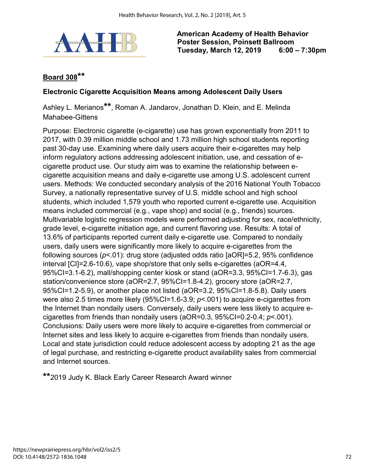

# **Board 308\*\***

#### **Electronic Cigarette Acquisition Means among Adolescent Daily Users**

Ashley L. Merianos**\*\***, Roman A. Jandarov, Jonathan D. Klein, and E. Melinda Mahabee-Gittens

Purpose: Electronic cigarette (e-cigarette) use has grown exponentially from 2011 to 2017, with 0.39 million middle school and 1.73 million high school students reporting past 30-day use. Examining where daily users acquire their e-cigarettes may help inform regulatory actions addressing adolescent initiation, use, and cessation of ecigarette product use. Our study aim was to examine the relationship between ecigarette acquisition means and daily e-cigarette use among U.S. adolescent current users. Methods: We conducted secondary analysis of the 2016 National Youth Tobacco Survey, a nationally representative survey of U.S. middle school and high school students, which included 1,579 youth who reported current e-cigarette use. Acquisition means included commercial (e.g., vape shop) and social (e.g., friends) sources. Multivariable logistic regression models were performed adjusting for sex, race/ethnicity, grade level, e-cigarette initiation age, and current flavoring use. Results: A total of 13.6% of participants reported current daily e-cigarette use. Compared to nondaily users, daily users were significantly more likely to acquire e-cigarettes from the following sources (*p*<.01): drug store (adjusted odds ratio [aOR]=5.2, 95% confidence interval [CI]=2.6-10.6), vape shop/store that only sells e-cigarettes (aOR=4.4, 95%CI=3.1-6.2), mall/shopping center kiosk or stand (aOR=3.3, 95%CI=1.7-6.3), gas station/convenience store (aOR=2.7, 95%CI=1.8-4.2), grocery store (aOR=2.7, 95%CI=1.2-5.9), or another place not listed (aOR=3.2, 95%CI=1.8-5.8). Daily users were also 2.5 times more likely (95%CI=1.6-3.9; *p*<.001) to acquire e-cigarettes from the Internet than nondaily users. Conversely, daily users were less likely to acquire ecigarettes from friends than nondaily users (aOR=0.3, 95%CI=0.2-0.4; *p*<.001). Conclusions: Daily users were more likely to acquire e-cigarettes from commercial or Internet sites and less likely to acquire e-cigarettes from friends than nondaily users. Local and state jurisdiction could reduce adolescent access by adopting 21 as the age of legal purchase, and restricting e-cigarette product availability sales from commercial and Internet sources.

**\*\***2019 Judy K. Black Early Career Research Award winner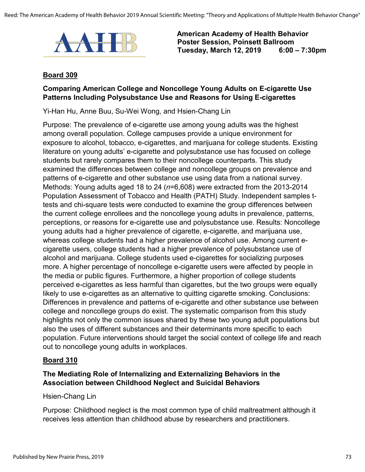

#### **Board 309**

### **Comparing American College and Noncollege Young Adults on E-cigarette Use Patterns Including Polysubstance Use and Reasons for Using E-cigarettes**

Yi-Han Hu, Anne Buu, Su-Wei Wong, and Hsien-Chang Lin

Purpose: The prevalence of e-cigarette use among young adults was the highest among overall population. College campuses provide a unique environment for exposure to alcohol, tobacco, e-cigarettes, and marijuana for college students. Existing literature on young adults' e-cigarette and polysubstance use has focused on college students but rarely compares them to their noncollege counterparts. This study examined the differences between college and noncollege groups on prevalence and patterns of e-cigarette and other substance use using data from a national survey. Methods: Young adults aged 18 to 24 (*n*=6,608) were extracted from the 2013-2014 Population Assessment of Tobacco and Health (PATH) Study. Independent samples ttests and chi-square tests were conducted to examine the group differences between the current college enrollees and the noncollege young adults in prevalence, patterns, perceptions, or reasons for e-cigarette use and polysubstance use. Results: Noncollege young adults had a higher prevalence of cigarette, e-cigarette, and marijuana use, whereas college students had a higher prevalence of alcohol use. Among current ecigarette users, college students had a higher prevalence of polysubstance use of alcohol and marijuana. College students used e-cigarettes for socializing purposes more. A higher percentage of noncollege e-cigarette users were affected by people in the media or public figures. Furthermore, a higher proportion of college students perceived e-cigarettes as less harmful than cigarettes, but the two groups were equally likely to use e-cigarettes as an alternative to quitting cigarette smoking. Conclusions: Differences in prevalence and patterns of e-cigarette and other substance use between college and noncollege groups do exist. The systematic comparison from this study highlights not only the common issues shared by these two young adult populations but also the uses of different substances and their determinants more specific to each population. Future interventions should target the social context of college life and reach out to noncollege young adults in workplaces.

### **Board 310**

### **The Mediating Role of Internalizing and Externalizing Behaviors in the Association between Childhood Neglect and Suicidal Behaviors**

#### Hsien-Chang Lin

Purpose: Childhood neglect is the most common type of child maltreatment although it receives less attention than childhood abuse by researchers and practitioners.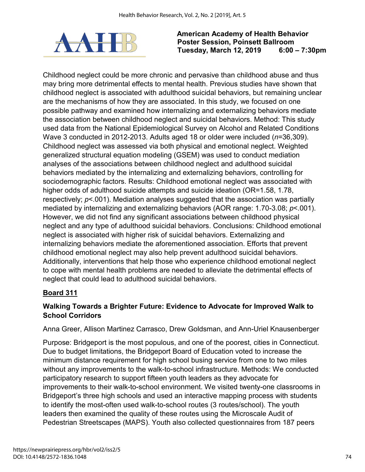

Childhood neglect could be more chronic and pervasive than childhood abuse and thus may bring more detrimental effects to mental health. Previous studies have shown that childhood neglect is associated with adulthood suicidal behaviors, but remaining unclear are the mechanisms of how they are associated. In this study, we focused on one possible pathway and examined how internalizing and externalizing behaviors mediate the association between childhood neglect and suicidal behaviors. Method: This study used data from the National Epidemiological Survey on Alcohol and Related Conditions Wave 3 conducted in 2012-2013. Adults aged 18 or older were included (*n*=36,309). Childhood neglect was assessed via both physical and emotional neglect. Weighted generalized structural equation modeling (GSEM) was used to conduct mediation analyses of the associations between childhood neglect and adulthood suicidal behaviors mediated by the internalizing and externalizing behaviors, controlling for sociodemographic factors. Results: Childhood emotional neglect was associated with higher odds of adulthood suicide attempts and suicide ideation (OR=1.58, 1.78, respectively; *p*<.001). Mediation analyses suggested that the association was partially mediated by internalizing and externalizing behaviors (AOR range: 1.70-3.08; *p*<.001). However, we did not find any significant associations between childhood physical neglect and any type of adulthood suicidal behaviors. Conclusions: Childhood emotional neglect is associated with higher risk of suicidal behaviors. Externalizing and internalizing behaviors mediate the aforementioned association. Efforts that prevent childhood emotional neglect may also help prevent adulthood suicidal behaviors. Additionally, interventions that help those who experience childhood emotional neglect to cope with mental health problems are needed to alleviate the detrimental effects of neglect that could lead to adulthood suicidal behaviors.

# **Board 311**

# **Walking Towards a Brighter Future: Evidence to Advocate for Improved Walk to School Corridors**

Anna Greer, Allison Martinez Carrasco, Drew Goldsman, and Ann-Uriel Knausenberger

Purpose: Bridgeport is the most populous, and one of the poorest, cities in Connecticut. Due to budget limitations, the Bridgeport Board of Education voted to increase the minimum distance requirement for high school busing service from one to two miles without any improvements to the walk-to-school infrastructure. Methods: We conducted participatory research to support fifteen youth leaders as they advocate for improvements to their walk-to-school environment. We visited twenty-one classrooms in Bridgeport's three high schools and used an interactive mapping process with students to identify the most-often used walk-to-school routes (3 routes/school). The youth leaders then examined the quality of these routes using the Microscale Audit of Pedestrian Streetscapes (MAPS). Youth also collected questionnaires from 187 peers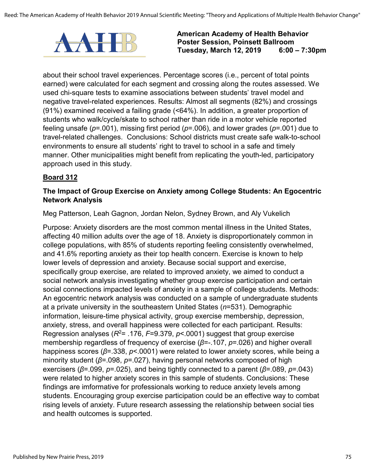

about their school travel experiences. Percentage scores (i.e., percent of total points earned) were calculated for each segment and crossing along the routes assessed. We used chi-square tests to examine associations between students' travel model and negative travel-related experiences. Results: Almost all segments (82%) and crossings (91%) examined received a failing grade (<64%). In addition, a greater proportion of students who walk/cycle/skate to school rather than ride in a motor vehicle reported feeling unsafe (*p*=.001), missing first period (*p*=.006), and lower grades (*p*=.001) due to travel-related challenges. Conclusions: School districts must create safe walk-to-school environments to ensure all students' right to travel to school in a safe and timely manner. Other municipalities might benefit from replicating the youth-led, participatory approach used in this study.

## **Board 312**

#### **The Impact of Group Exercise on Anxiety among College Students: An Egocentric Network Analysis**

Meg Patterson, Leah Gagnon, Jordan Nelon, Sydney Brown, and Aly Vukelich

Purpose: Anxiety disorders are the most common mental illness in the United States, affecting 40 million adults over the age of 18. Anxiety is disproportionately common in college populations, with 85% of students reporting feeling consistently overwhelmed, and 41.6% reporting anxiety as their top health concern. Exercise is known to help lower levels of depression and anxiety. Because social support and exercise, specifically group exercise, are related to improved anxiety, we aimed to conduct a social network analysis investigating whether group exercise participation and certain social connections impacted levels of anxiety in a sample of college students. Methods: An egocentric network analysis was conducted on a sample of undergraduate students at a private university in the southeastern United States (*n*=531). Demographic information, leisure-time physical activity, group exercise membership, depression, anxiety, stress, and overall happiness were collected for each participant. Results: Regression analyses (*R*2= .176, *F*=9.379, *p*<.0001) suggest that group exercise membership regardless of frequency of exercise (*β*=-.107, *p*=.026) and higher overall happiness scores (*β*=.338, *p*<.0001) were related to lower anxiety scores, while being a minority student (*β*=.098, *p*=.027), having personal networks composed of high exercisers (*β*=.099, *p*=.025), and being tightly connected to a parent (*β*=.089, *p*=.043) were related to higher anxiety scores in this sample of students. Conclusions: These findings are imformative for professionals working to reduce anxiety levels among students. Encouraging group exercise participation could be an effective way to combat rising levels of anxiety. Future research assessing the relationship between social ties and health outcomes is supported.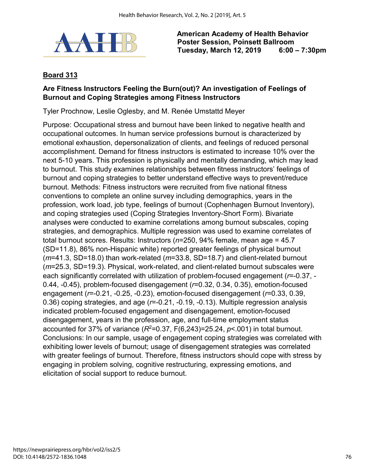

## **Board 313**

## **Are Fitness Instructors Feeling the Burn(out)? An investigation of Feelings of Burnout and Coping Strategies among Fitness Instructors**

Tyler Prochnow, Leslie Oglesby, and M. Renée Umstattd Meyer

Purpose: Occupational stress and burnout have been linked to negative health and occupational outcomes. In human service professions burnout is characterized by emotional exhaustion, depersonalization of clients, and feelings of reduced personal accomplishment. Demand for fitness instructors is estimated to increase 10% over the next 5-10 years. This profession is physically and mentally demanding, which may lead to burnout. This study examines relationships between fitness instructors' feelings of burnout and coping strategies to better understand effective ways to prevent/reduce burnout. Methods: Fitness instructors were recruited from five national fitness conventions to complete an online survey including demographics, years in the profession, work load, job type, feelings of burnout (Cophenhagen Burnout Inventory), and coping strategies used (Coping Strategies Inventory-Short Form). Bivariate analyses were conducted to examine correlations among burnout subscales, coping strategies, and demographics. Multiple regression was used to examine correlates of total burnout scores. Results: Instructors (*n*=250, 94% female, mean age = 45.7 (SD=11.8), 86% non-Hispanic white) reported greater feelings of physical burnout (*m*=41.3, SD=18.0) than work-related (*m*=33.8, SD=18.7) and client-related burnout (*m*=25.3, SD=19.3). Physical, work-related, and client-related burnout subscales were each significantly correlated with utilization of problem-focused engagement (*r*=-0.37, - 0.44, -0.45), problem-focused disengagement (*r*=0.32, 0.34, 0.35), emotion-focused engagement (*r*=-0.21, -0.25, -0.23), emotion-focused disengagement (*r*=0.33, 0.39, 0.36) coping strategies, and age (*r*=-0.21, -0.19, -0.13). Multiple regression analysis indicated problem-focused engagement and disengagement, emotion-focused disengagement, years in the profession, age, and full-time employment status accounted for 37% of variance  $(R^2=0.37, F(6,243)=25.24, p<0.01)$  in total burnout. Conclusions: In our sample, usage of engagement coping strategies was correlated with exhibiting lower levels of burnout; usage of disengagement strategies was correlated with greater feelings of burnout. Therefore, fitness instructors should cope with stress by engaging in problem solving, cognitive restructuring, expressing emotions, and elicitation of social support to reduce burnout.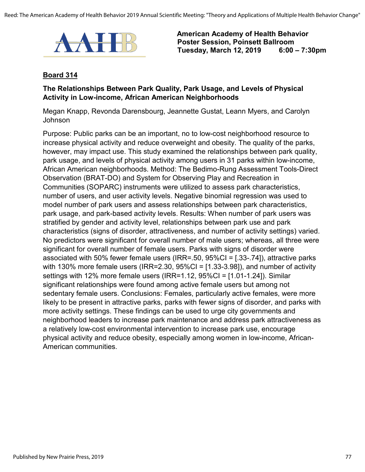

#### **Board 314**

#### **The Relationships Between Park Quality, Park Usage, and Levels of Physical Activity in Low-income, African American Neighborhoods**

Megan Knapp, Revonda Darensbourg, Jeannette Gustat, Leann Myers, and Carolyn Johnson

Purpose: Public parks can be an important, no to low-cost neighborhood resource to increase physical activity and reduce overweight and obesity. The quality of the parks, however, may impact use. This study examined the relationships between park quality, park usage, and levels of physical activity among users in 31 parks within low-income, African American neighborhoods. Method: The Bedimo-Rung Assessment Tools-Direct Observation (BRAT-DO) and System for Observing Play and Recreation in Communities (SOPARC) instruments were utilized to assess park characteristics, number of users, and user activity levels. Negative binomial regression was used to model number of park users and assess relationships between park characteristics, park usage, and park-based activity levels. Results: When number of park users was stratified by gender and activity level, relationships between park use and park characteristics (signs of disorder, attractiveness, and number of activity settings) varied. No predictors were significant for overall number of male users; whereas, all three were significant for overall number of female users. Parks with signs of disorder were associated with 50% fewer female users (IRR=.50, 95%CI = [.33-.74]), attractive parks with 130% more female users (IRR=2.30,  $95\%$ CI = [1.33-3.98]), and number of activity settings with 12% more female users (IRR=1.12, 95%CI = [1.01-1.24]). Similar significant relationships were found among active female users but among not sedentary female users. Conclusions: Females, particularly active females, were more likely to be present in attractive parks, parks with fewer signs of disorder, and parks with more activity settings. These findings can be used to urge city governments and neighborhood leaders to increase park maintenance and address park attractiveness as a relatively low-cost environmental intervention to increase park use, encourage physical activity and reduce obesity, especially among women in low-income, African-American communities.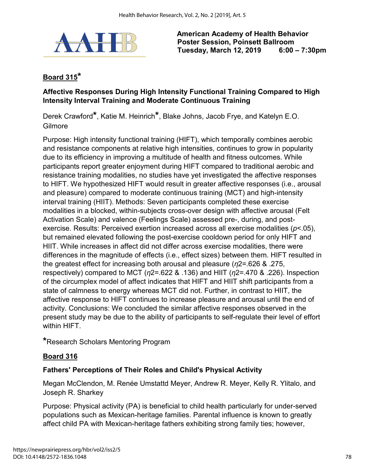

# **Board 315\***

### **Affective Responses During High Intensity Functional Training Compared to High Intensity Interval Training and Moderate Continuous Training**

Derek Crawford**\***, Katie M. Heinrich**\***, Blake Johns, Jacob Frye, and Katelyn E.O. Gilmore

Purpose: High intensity functional training (HIFT), which temporally combines aerobic and resistance components at relative high intensities, continues to grow in popularity due to its efficiency in improving a multitude of health and fitness outcomes. While participants report greater enjoyment during HIFT compared to traditional aerobic and resistance training modalities, no studies have yet investigated the affective responses to HIFT. We hypothesized HIFT would result in greater affective responses (i.e., arousal and pleasure) compared to moderate continuous training (MCT) and high-intensity interval training (HIIT). Methods: Seven participants completed these exercise modalities in a blocked, within-subjects cross-over design with affective arousal (Felt Activation Scale) and valence (Feelings Scale) assessed pre-, during, and postexercise. Results: Perceived exertion increased across all exercise modalities (*p*<.05), but remained elevated following the post-exercise cooldown period for only HIFT and HIIT. While increases in affect did not differ across exercise modalities, there were differences in the magnitude of effects (i.e., effect sizes) between them. HIFT resulted in the greatest effect for increasing both arousal and pleasure (*η*2=.626 & .275, respectively) compared to MCT (*η*2=.622 & .136) and HIIT (*η*2=.470 & .226). Inspection of the circumplex model of affect indicates that HIFT and HIIT shift participants from a state of calmness to energy whereas MCT did not. Further, in contrast to HIIT, the affective response to HIFT continues to increase pleasure and arousal until the end of activity. Conclusions: We concluded the similar affective responses observed in the present study may be due to the ability of participants to self-regulate their level of effort within HIFT.

**\***Research Scholars Mentoring Program

# **Board 316**

# **Fathers' Perceptions of Their Roles and Child's Physical Activity**

Megan McClendon, M. Renée Umstattd Meyer, Andrew R. Meyer, Kelly R. Ylitalo, and Joseph R. Sharkey

Purpose: Physical activity (PA) is beneficial to child health particularly for under-served populations such as Mexican-heritage families. Parental influence is known to greatly affect child PA with Mexican-heritage fathers exhibiting strong family ties; however,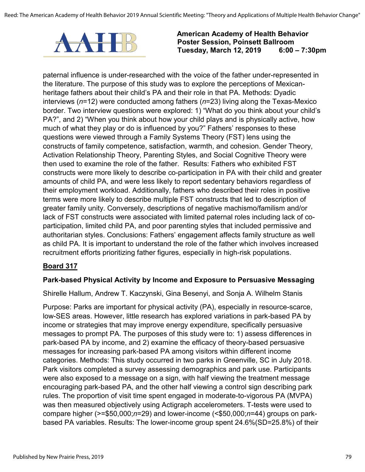

paternal influence is under-researched with the voice of the father under-represented in the literature. The purpose of this study was to explore the perceptions of Mexicanheritage fathers about their child's PA and their role in that PA. Methods: Dyadic interviews (*n*=12) were conducted among fathers (*n*=23) living along the Texas-Mexico border. Two interview questions were explored: 1) "What do you think about your child's PA?", and 2) "When you think about how your child plays and is physically active, how much of what they play or do is influenced by you?" Fathers' responses to these questions were viewed through a Family Systems Theory (FST) lens using the constructs of family competence, satisfaction, warmth, and cohesion. Gender Theory, Activation Relationship Theory, Parenting Styles, and Social Cognitive Theory were then used to examine the role of the father. Results: Fathers who exhibited FST constructs were more likely to describe co-participation in PA with their child and greater amounts of child PA, and were less likely to report sedentary behaviors regardless of their employment workload. Additionally, fathers who described their roles in positive terms were more likely to describe multiple FST constructs that led to description of greater family unity. Conversely, descriptions of negative machismo/familism and/or lack of FST constructs were associated with limited paternal roles including lack of coparticipation, limited child PA, and poor parenting styles that included permissive and authoritarian styles. Conclusions: Fathers' engagement affects family structure as well as child PA. It is important to understand the role of the father which involves increased recruitment efforts prioritizing father figures, especially in high-risk populations.

### **Board 317**

#### **Park-based Physical Activity by Income and Exposure to Persuasive Messaging**

Shirelle Hallum, Andrew T. Kaczynski, Gina Besenyi, and Sonja A. Wilhelm Stanis

Purpose: Parks are important for physical activity (PA), especially in resource-scarce, low-SES areas. However, little research has explored variations in park-based PA by income or strategies that may improve energy expenditure, specifically persuasive messages to prompt PA. The purposes of this study were to: 1) assess differences in park-based PA by income, and 2) examine the efficacy of theory-based persuasive messages for increasing park-based PA among visitors within different income categories. Methods: This study occurred in two parks in Greenville, SC in July 2018. Park visitors completed a survey assessing demographics and park use. Participants were also exposed to a message on a sign, with half viewing the treatment message encouraging park-based PA, and the other half viewing a control sign describing park rules. The proportion of visit time spent engaged in moderate-to-vigorous PA (MVPA) was then measured objectively using Actigraph accelerometers. T-tests were used to compare higher (>=\$50,000;*n*=29) and lower-income (<\$50,000;*n*=44) groups on parkbased PA variables. Results: The lower-income group spent 24.6%(SD=25.8%) of their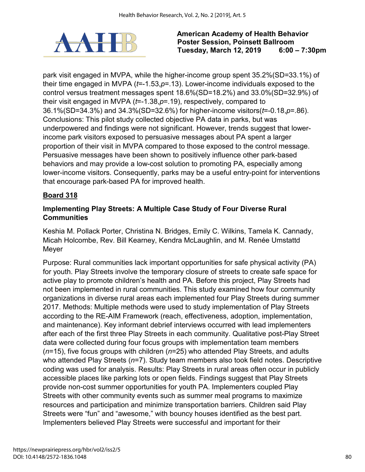

park visit engaged in MVPA, while the higher-income group spent 35.2%(SD=33.1%) of their time engaged in MVPA (*t*=-1.53,*p*=.13). Lower-income individuals exposed to the control versus treatment messages spent 18.6%(SD=18.2%) and 33.0%(SD=32.9%) of their visit engaged in MVPA (*t*=-1.38,*p*=.19), respectively, compared to 36.1%(SD=34.3%) and 34.3%(SD=32.6%) for higher-income visitors(*t*=-0.18,*p*=.86). Conclusions: This pilot study collected objective PA data in parks, but was underpowered and findings were not significant. However, trends suggest that lowerincome park visitors exposed to persuasive messages about PA spent a larger proportion of their visit in MVPA compared to those exposed to the control message. Persuasive messages have been shown to positively influence other park-based behaviors and may provide a low-cost solution to promoting PA, especially among lower-income visitors. Consequently, parks may be a useful entry-point for interventions that encourage park-based PA for improved health.

## **Board 318**

## **Implementing Play Streets: A Multiple Case Study of Four Diverse Rural Communities**

Keshia M. Pollack Porter, Christina N. Bridges, Emily C. Wilkins, Tamela K. Cannady, Micah Holcombe, Rev. Bill Kearney, Kendra McLaughlin, and M. Renée Umstattd Meyer

Purpose: Rural communities lack important opportunities for safe physical activity (PA) for youth. Play Streets involve the temporary closure of streets to create safe space for active play to promote children's health and PA. Before this project, Play Streets had not been implemented in rural communities. This study examined how four community organizations in diverse rural areas each implemented four Play Streets during summer 2017. Methods: Multiple methods were used to study implementation of Play Streets according to the RE-AIM Framework (reach, effectiveness, adoption, implementation, and maintenance). Key informant debrief interviews occurred with lead implementers after each of the first three Play Streets in each community. Qualitative post-Play Street data were collected during four focus groups with implementation team members (*n*=15), five focus groups with children (*n*=25) who attended Play Streets, and adults who attended Play Streets (*n*=7). Study team members also took field notes. Descriptive coding was used for analysis. Results: Play Streets in rural areas often occur in publicly accessible places like parking lots or open fields. Findings suggest that Play Streets provide non-cost summer opportunities for youth PA. Implementers coupled Play Streets with other community events such as summer meal programs to maximize resources and participation and minimize transportation barriers. Children said Play Streets were "fun" and "awesome," with bouncy houses identified as the best part. Implementers believed Play Streets were successful and important for their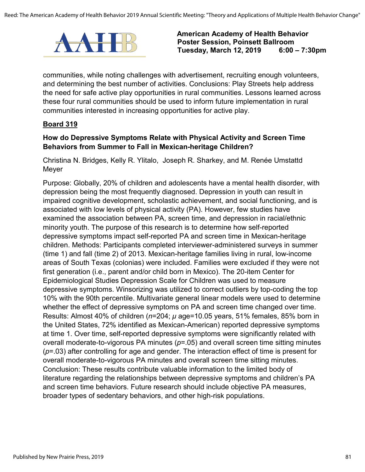

communities, while noting challenges with advertisement, recruiting enough volunteers, and determining the best number of activities. Conclusions: Play Streets help address the need for safe active play opportunities in rural communities. Lessons learned across these four rural communities should be used to inform future implementation in rural communities interested in increasing opportunities for active play.

#### **Board 319**

#### **How do Depressive Symptoms Relate with Physical Activity and Screen Time Behaviors from Summer to Fall in Mexican-heritage Children?**

Christina N. Bridges, Kelly R. Ylitalo, Joseph R. Sharkey, and M. Renée Umstattd Meyer

Purpose: Globally, 20% of children and adolescents have a mental health disorder, with depression being the most frequently diagnosed. Depression in youth can result in impaired cognitive development, scholastic achievement, and social functioning, and is associated with low levels of physical activity (PA). However, few studies have examined the association between PA, screen time, and depression in racial/ethnic minority youth. The purpose of this research is to determine how self-reported depressive symptoms impact self-reported PA and screen time in Mexican-heritage children. Methods: Participants completed interviewer-administered surveys in summer (time 1) and fall (time 2) of 2013. Mexican-heritage families living in rural, low-income areas of South Texas (colonias) were included. Families were excluded if they were not first generation (i.e., parent and/or child born in Mexico). The 20-item Center for Epidemiological Studies Depression Scale for Children was used to measure depressive symptoms. Winsorizing was utilized to correct outliers by top-coding the top 10% with the 90th percentile. Multivariate general linear models were used to determine whether the effect of depressive symptoms on PA and screen time changed over time. Results: Almost 40% of children (*n*=204; *μ* age=10.05 years, 51% females, 85% born in the United States, 72% identified as Mexican-American) reported depressive symptoms at time 1. Over time, self-reported depressive symptoms were significantly related with overall moderate-to-vigorous PA minutes (*p*=.05) and overall screen time sitting minutes (*p*=.03) after controlling for age and gender. The interaction effect of time is present for overall moderate-to-vigorous PA minutes and overall screen time sitting minutes. Conclusion: These results contribute valuable information to the limited body of literature regarding the relationships between depressive symptoms and children's PA and screen time behaviors. Future research should include objective PA measures, broader types of sedentary behaviors, and other high-risk populations.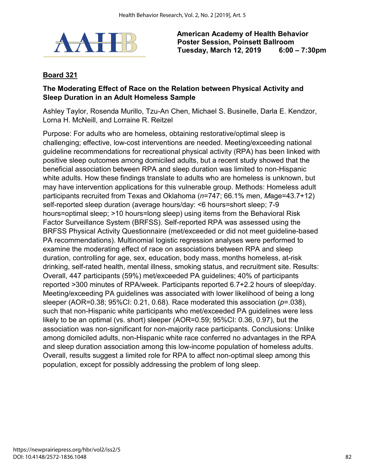

## **Board 321**

### **The Moderating Effect of Race on the Relation between Physical Activity and Sleep Duration in an Adult Homeless Sample**

Ashley Taylor, Rosenda Murillo, Tzu-An Chen, Michael S. Businelle, Darla E. Kendzor, Lorna H. McNeill, and Lorraine R. Reitzel

Purpose: For adults who are homeless, obtaining restorative/optimal sleep is challenging; effective, low-cost interventions are needed. Meeting/exceeding national guideline recommendations for recreational physical activity (RPA) has been linked with positive sleep outcomes among domiciled adults, but a recent study showed that the beneficial association between RPA and sleep duration was limited to non-Hispanic white adults. How these findings translate to adults who are homeless is unknown, but may have intervention applications for this vulnerable group. Methods: Homeless adult participants recruited from Texas and Oklahoma (*n*=747; 66.1% men, *M*age=43.7+12) self-reported sleep duration (average hours/day: <6 hours=short sleep; 7-9 hours=optimal sleep; >10 hours=long sleep) using items from the Behavioral Risk Factor Surveillance System (BRFSS). Self-reported RPA was assessed using the BRFSS Physical Activity Questionnaire (met/exceeded or did not meet guideline-based PA recommendations). Multinomial logistic regression analyses were performed to examine the moderating effect of race on associations between RPA and sleep duration, controlling for age, sex, education, body mass, months homeless, at-risk drinking, self-rated health, mental illness, smoking status, and recruitment site. Results: Overall, 447 participants (59%) met/exceeded PA guidelines; 40% of participants reported >300 minutes of RPA/week. Participants reported 6.7+2.2 hours of sleep/day. Meeting/exceeding PA guidelines was associated with lower likelihood of being a long sleeper (AOR=0.38; 95%CI: 0.21, 0.68). Race moderated this association (*p*=.038), such that non-Hispanic white participants who met/exceeded PA guidelines were less likely to be an optimal (vs. short) sleeper (AOR=0.59; 95%CI: 0.36, 0.97), but the association was non-significant for non-majority race participants. Conclusions: Unlike among domiciled adults, non-Hispanic white race conferred no advantages in the RPA and sleep duration association among this low-income population of homeless adults. Overall, results suggest a limited role for RPA to affect non-optimal sleep among this population, except for possibly addressing the problem of long sleep.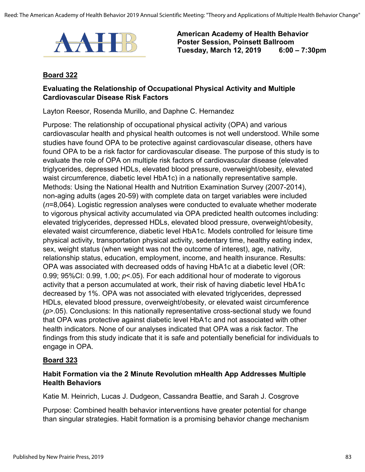

#### **Board 322**

#### **Evaluating the Relationship of Occupational Physical Activity and Multiple Cardiovascular Disease Risk Factors**

Layton Reesor, Rosenda Murillo, and Daphne C. Hernandez

Purpose: The relationship of occupational physical activity (OPA) and various cardiovascular health and physical health outcomes is not well understood. While some studies have found OPA to be protective against cardiovascular disease, others have found OPA to be a risk factor for cardiovascular disease. The purpose of this study is to evaluate the role of OPA on multiple risk factors of cardiovascular disease (elevated triglycerides, depressed HDLs, elevated blood pressure, overweight/obesity, elevated waist circumference, diabetic level HbA1c) in a nationally representative sample. Methods: Using the National Health and Nutrition Examination Survey (2007-2014), non-aging adults (ages 20-59) with complete data on target variables were included (*n*=8,064). Logistic regression analyses were conducted to evaluate whether moderate to vigorous physical activity accumulated via OPA predicted health outcomes including: elevated triglycerides, depressed HDLs, elevated blood pressure, overweight/obesity, elevated waist circumference, diabetic level HbA1c. Models controlled for leisure time physical activity, transportation physical activity, sedentary time, healthy eating index, sex, weight status (when weight was not the outcome of interest), age, nativity, relationship status, education, employment, income, and health insurance. Results: OPA was associated with decreased odds of having HbA1c at a diabetic level (OR: 0.99; 95%CI: 0.99, 1.00; *p*<.05). For each additional hour of moderate to vigorous activity that a person accumulated at work, their risk of having diabetic level HbA1c decreased by 1%. OPA was not associated with elevated triglycerides, depressed HDLs, elevated blood pressure, overweight/obesity, or elevated waist circumference (*p*>.05). Conclusions: In this nationally representative cross-sectional study we found that OPA was protective against diabetic level HbA1c and not associated with other health indicators. None of our analyses indicated that OPA was a risk factor. The findings from this study indicate that it is safe and potentially beneficial for individuals to engage in OPA.

#### **Board 323**

### **Habit Formation via the 2 Minute Revolution mHealth App Addresses Multiple Health Behaviors**

Katie M. Heinrich, Lucas J. Dudgeon, Cassandra Beattie, and Sarah J. Cosgrove

Purpose: Combined health behavior interventions have greater potential for change than singular strategies. Habit formation is a promising behavior change mechanism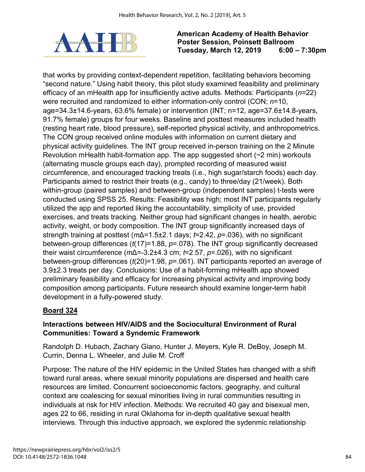

that works by providing context-dependent repetition, facilitating behaviors becoming "second nature." Using habit theory, this pilot study examined feasibility and preliminary efficacy of an mHealth app for insufficiently active adults. Methods: Participants (*n*=22) were recruited and randomized to either information-only control (CON; *n*=10, age=34.3±14.6-years, 63.6% female) or intervention (INT; n=12, age=37.6±14.8-years, 91.7% female) groups for four weeks. Baseline and posttest measures included health (resting heart rate, blood pressure), self-reported physical activity, and anthropometrics. The CON group received online modules with information on current dietary and physical activity guidelines. The INT group received in-person training on the 2 Minute Revolution mHealth habit-formation app. The app suggested short (~2 min) workouts (alternating muscle groups each day), prompted recording of measured waist circumference, and encouraged tracking treats (i.e., high sugar/starch foods) each day. Participants aimed to restrict their treats (e.g., candy) to three/day (21/week). Both within-group (paired samples) and between-group (independent samples) t-tests were conducted using SPSS 25. Results: Feasibility was high; most INT participants regularly utilized the app and reported liking the accountability, simplicity of use, provided exercises, and treats tracking. Neither group had significant changes in health, aerobic activity, weight, or body composition. The INT group significantly increased days of strength training at posttest (*m*Δ=1.5±2.1 days; *t*=2.42, *p*=.036), with no significant between-group differences (*t*(17)=1.88, *p*=.078). The INT group significantly decreased their waist circumference (*m*Δ=-3.2±4.3 cm; *t*=2.57, *p*=.026), with no significant between-group differences (*t*(20)=1.98, *p*=.061). INT participants reported an average of 3.9±2.3 treats per day. Conclusions: Use of a habit-forming mHealth app showed preliminary feasibility and efficacy for increasing physical activity and improving body composition among participants. Future research should examine longer-term habit development in a fully-powered study.

# **Board 324**

## **Interactions between HIV/AIDS and the Sociocultural Environment of Rural Communities: Toward a Syndemic Framework**

Randolph D. Hubach, Zachary Giano, Hunter J. Meyers, Kyle R. DeBoy, Joseph M. Currin, Denna L. Wheeler, and Julie M. Croff

Purpose: The nature of the HIV epidemic in the United States has changed with a shift toward rural areas, where sexual minority populations are dispersed and health care resources are limited. Concurrent socioeconomic factors, geography, and cultural context are coalescing for sexual minorities living in rural communities resulting in individuals at risk for HIV infection. Methods: We recruited 40 gay and bisexual men, ages 22 to 66, residing in rural Oklahoma for in-depth qualitative sexual health interviews. Through this inductive approach, we explored the sydenmic relationship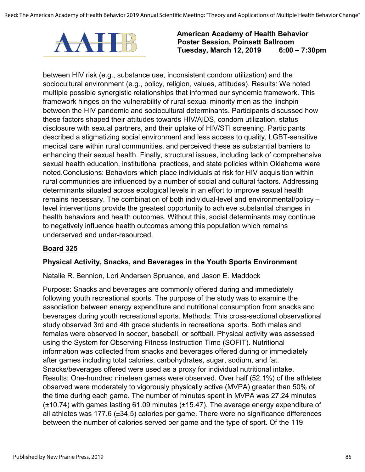

between HIV risk (e.g., substance use, inconsistent condom utilization) and the sociocultural environment (e.g., policy, religion, values, attitudes). Results: We noted multiple possible synergistic relationships that informed our syndemic framework. This framework hinges on the vulnerability of rural sexual minority men as the linchpin between the HIV pandemic and sociocultural determinants. Participants discussed how these factors shaped their attitudes towards HIV/AIDS, condom utilization, status disclosure with sexual partners, and their uptake of HIV/STI screening. Participants described a stigmatizing social environment and less access to quality, LGBT-sensitive medical care within rural communities, and perceived these as substantial barriers to enhancing their sexual health. Finally, structural issues, including lack of comprehensive sexual health education, institutional practices, and state policies within Oklahoma were noted.Conclusions: Behaviors which place individuals at risk for HIV acquisition within rural communities are influenced by a number of social and cultural factors. Addressing determinants situated across ecological levels in an effort to improve sexual health remains necessary. The combination of both individual-level and environmental/policy – level interventions provide the greatest opportunity to achieve substantial changes in health behaviors and health outcomes. Without this, social determinants may continue to negatively influence health outcomes among this population which remains underserved and under-resourced.

### **Board 325**

### **Physical Activity, Snacks, and Beverages in the Youth Sports Environment**

Natalie R. Bennion, Lori Andersen Spruance, and Jason E. Maddock

Purpose: Snacks and beverages are commonly offered during and immediately following youth recreational sports. The purpose of the study was to examine the association between energy expenditure and nutritional consumption from snacks and beverages during youth recreational sports. Methods: This cross-sectional observational study observed 3rd and 4th grade students in recreational sports. Both males and females were observed in soccer, baseball, or softball. Physical activity was assessed using the System for Observing Fitness Instruction Time (SOFIT). Nutritional information was collected from snacks and beverages offered during or immediately after games including total calories, carbohydrates, sugar, sodium, and fat. Snacks/beverages offered were used as a proxy for individual nutritional intake. Results: One-hundred nineteen games were observed. Over half (52.1%) of the athletes observed were moderately to vigorously physically active (MVPA) greater than 50% of the time during each game. The number of minutes spent in MVPA was 27.24 minutes (±10.74) with games lasting 61.09 minutes (±15.47). The average energy expenditure of all athletes was 177.6 (±34.5) calories per game. There were no significance differences between the number of calories served per game and the type of sport. Of the 119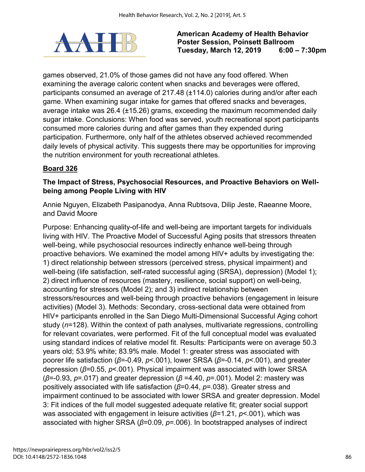

games observed, 21.0% of those games did not have any food offered. When examining the average caloric content when snacks and beverages were offered, participants consumed an average of 217.48 (±114.0) calories during and/or after each game. When examining sugar intake for games that offered snacks and beverages, average intake was 26.4 (±15.26) grams, exceeding the maximum recommended daily sugar intake. Conclusions: When food was served, youth recreational sport participants consumed more calories during and after games than they expended during participation. Furthermore, only half of the athletes observed achieved recommended daily levels of physical activity. This suggests there may be opportunities for improving the nutrition environment for youth recreational athletes.

# **Board 326**

## **The Impact of Stress, Psychosocial Resources, and Proactive Behaviors on Wellbeing among People Living with HIV**

Annie Nguyen, Elizabeth Pasipanodya, Anna Rubtsova, Dilip Jeste, Raeanne Moore, and David Moore

Purpose: Enhancing quality-of-life and well-being are important targets for individuals living with HIV. The Proactive Model of Successful Aging posits that stressors threaten well-being, while psychosocial resources indirectly enhance well-being through proactive behaviors. We examined the model among HIV+ adults by investigating the: 1) direct relationship between stressors (perceived stress, physical impairment) and well-being (life satisfaction, self-rated successful aging (SRSA), depression) (Model 1); 2) direct influence of resources (mastery, resilience, social support) on well-being, accounting for stressors (Model 2); and 3) indirect relationship between stressors/resources and well-being through proactive behaviors (engagement in leisure activities) (Model 3). Methods: Secondary, cross-sectional data were obtained from HIV+ participants enrolled in the San Diego Multi-Dimensional Successful Aging cohort study (*n*=128). Within the context of path analyses, multivariate regressions, controlling for relevant covariates, were performed. Fit of the full conceptual model was evaluated using standard indices of relative model fit. Results: Participants were on average 50.3 years old; 53.9% white; 83.9% male. Model 1: greater stress was associated with poorer life satisfaction (*β*=-0.49, *p*<.001), lower SRSA (*β*=-0.14, *p*<.001), and greater depression (*β*=0.55, *p*<.001). Physical impairment was associated with lower SRSA (*β*=-0.93, *p*=.017) and greater depression (*β* =4.40, *p*=.001). Model 2: mastery was positively associated with life satisfaction (*β*=0.44, *p*=.038). Greater stress and impairment continued to be associated with lower SRSA and greater depression. Model 3: Fit indices of the full model suggested adequate relative fit; greater social support was associated with engagement in leisure activities (*β*=1.21, *p*<.001), which was associated with higher SRSA (*β*=0.09, *p*=.006). In bootstrapped analyses of indirect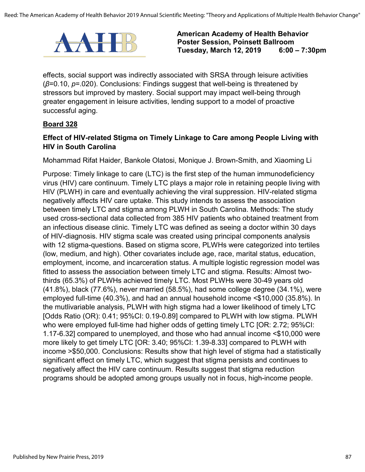

effects, social support was indirectly associated with SRSA through leisure activities (*β*=0.10, *p*=.020). Conclusions: Findings suggest that well-being is threatened by stressors but improved by mastery. Social support may impact well-being through greater engagement in leisure activities, lending support to a model of proactive successful aging.

#### **Board 328**

#### **Effect of HIV-related Stigma on Timely Linkage to Care among People Living with HIV in South Carolina**

Mohammad Rifat Haider, Bankole Olatosi, Monique J. Brown-Smith, and Xiaoming Li

Purpose: Timely linkage to care (LTC) is the first step of the human immunodeficiency virus (HIV) care continuum. Timely LTC plays a major role in retaining people living with HIV (PLWH) in care and eventually achieving the viral suppression. HIV-related stigma negatively affects HIV care uptake. This study intends to assess the association between timely LTC and stigma among PLWH in South Carolina. Methods: The study used cross-sectional data collected from 385 HIV patients who obtained treatment from an infectious disease clinic. Timely LTC was defined as seeing a doctor within 30 days of HIV-diagnosis. HIV stigma scale was created using principal components analysis with 12 stigma-questions. Based on stigma score, PLWHs were categorized into tertiles (low, medium, and high). Other covariates include age, race, marital status, education, employment, income, and incarceration status. A multiple logistic regression model was fitted to assess the association between timely LTC and stigma. Results: Almost twothirds (65.3%) of PLWHs achieved timely LTC. Most PLWHs were 30-49 years old (41.8%), black (77.6%), never married (58.5%), had some college degree (34.1%), were employed full-time (40.3%), and had an annual household income <\$10,000 (35.8%). In the mutlivariable analysis, PLWH with high stigma had a lower likelihood of timely LTC [Odds Ratio (OR): 0.41; 95%CI: 0.19-0.89] compared to PLWH with low stigma. PLWH who were employed full-time had higher odds of getting timely LTC [OR: 2.72; 95%CI: 1.17-6.32] compared to unemployed, and those who had annual income <\$10,000 were more likely to get timely LTC [OR: 3.40; 95%CI: 1.39-8.33] compared to PLWH with income >\$50,000. Conclusions: Results show that high level of stigma had a statistically significant effect on timely LTC, which suggest that stigma persists and continues to negatively affect the HIV care continuum. Results suggest that stigma reduction programs should be adopted among groups usually not in focus, high-income people.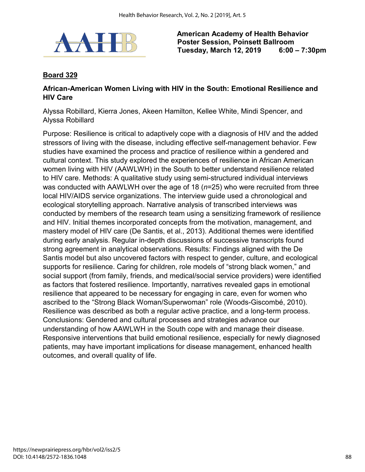

### **Board 329**

#### **African-American Women Living with HIV in the South: Emotional Resilience and HIV Care**

Alyssa Robillard, Kierra Jones, Akeen Hamilton, Kellee White, Mindi Spencer, and Alyssa Robillard

Purpose: Resilience is critical to adaptively cope with a diagnosis of HIV and the added stressors of living with the disease, including effective self-management behavior. Few studies have examined the process and practice of resilience within a gendered and cultural context. This study explored the experiences of resilience in African American women living with HIV (AAWLWH) in the South to better understand resilience related to HIV care. Methods: A qualitative study using semi-structured individual interviews was conducted with AAWLWH over the age of 18 (*n*=25) who were recruited from three local HIV/AIDS service organizations. The interview guide used a chronological and ecological storytelling approach. Narrative analysis of transcribed interviews was conducted by members of the research team using a sensitizing framework of resilience and HIV. Initial themes incorporated concepts from the motivation, management, and mastery model of HIV care (De Santis, et al., 2013). Additional themes were identified during early analysis. Regular in-depth discussions of successive transcripts found strong agreement in analytical observations. Results: Findings aligned with the De Santis model but also uncovered factors with respect to gender, culture, and ecological supports for resilience. Caring for children, role models of "strong black women," and social support (from family, friends, and medical/social service providers) were identified as factors that fostered resilience. Importantly, narratives revealed gaps in emotional resilience that appeared to be necessary for engaging in care, even for women who ascribed to the "Strong Black Woman/Superwoman" role (Woods-Giscombé, 2010). Resilience was described as both a regular active practice, and a long-term process. Conclusions: Gendered and cultural processes and strategies advance our understanding of how AAWLWH in the South cope with and manage their disease. Responsive interventions that build emotional resilience, especially for newly diagnosed patients, may have important implications for disease management, enhanced health outcomes, and overall quality of life.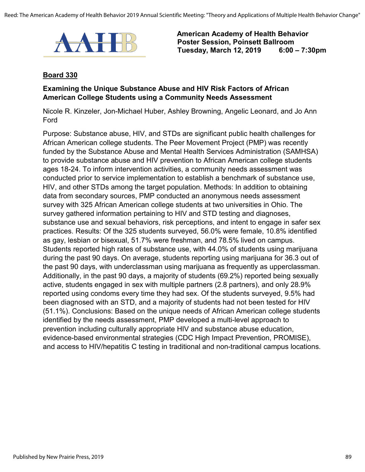

#### **Board 330**

### **Examining the Unique Substance Abuse and HIV Risk Factors of African American College Students using a Community Needs Assessment**

Nicole R. Kinzeler, Jon-Michael Huber, Ashley Browning, Angelic Leonard, and Jo Ann Ford

Purpose: Substance abuse, HIV, and STDs are significant public health challenges for African American college students. The Peer Movement Project (PMP) was recently funded by the Substance Abuse and Mental Health Services Administration (SAMHSA) to provide substance abuse and HIV prevention to African American college students ages 18-24. To inform intervention activities, a community needs assessment was conducted prior to service implementation to establish a benchmark of substance use, HIV, and other STDs among the target population. Methods: In addition to obtaining data from secondary sources, PMP conducted an anonymous needs assessment survey with 325 African American college students at two universities in Ohio. The survey gathered information pertaining to HIV and STD testing and diagnoses, substance use and sexual behaviors, risk perceptions, and intent to engage in safer sex practices. Results: Of the 325 students surveyed, 56.0% were female, 10.8% identified as gay, lesbian or bisexual, 51.7% were freshman, and 78.5% lived on campus. Students reported high rates of substance use, with 44.0% of students using marijuana during the past 90 days. On average, students reporting using marijuana for 36.3 out of the past 90 days, with underclassman using marijuana as frequently as upperclassman. Additionally, in the past 90 days, a majority of students (69.2%) reported being sexually active, students engaged in sex with multiple partners (2.8 partners), and only 28.9% reported using condoms every time they had sex. Of the students surveyed, 9.5% had been diagnosed with an STD, and a majority of students had not been tested for HIV (51.1%). Conclusions: Based on the unique needs of African American college students identified by the needs assessment, PMP developed a multi-level approach to prevention including culturally appropriate HIV and substance abuse education, evidence-based environmental strategies (CDC High Impact Prevention, PROMISE), and access to HIV/hepatitis C testing in traditional and non-traditional campus locations.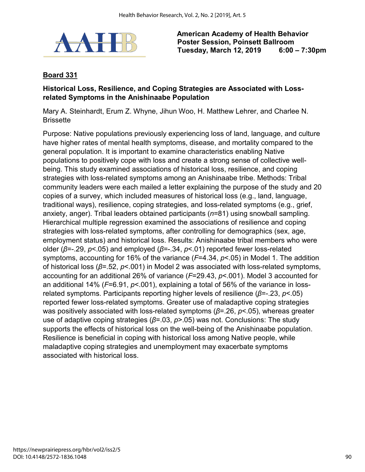

## **Board 331**

### **Historical Loss, Resilience, and Coping Strategies are Associated with Lossrelated Symptoms in the Anishinaabe Population**

Mary A. Steinhardt, Erum Z. Whyne, Jihun Woo, H. Matthew Lehrer, and Charlee N. **Brissette** 

Purpose: Native populations previously experiencing loss of land, language, and culture have higher rates of mental health symptoms, disease, and mortality compared to the general population. It is important to examine characteristics enabling Native populations to positively cope with loss and create a strong sense of collective wellbeing. This study examined associations of historical loss, resilience, and coping strategies with loss-related symptoms among an Anishinaabe tribe. Methods: Tribal community leaders were each mailed a letter explaining the purpose of the study and 20 copies of a survey, which included measures of historical loss (e.g., land, language, traditional ways), resilience, coping strategies, and loss-related symptoms (e.g., grief, anxiety, anger). Tribal leaders obtained participants (*n*=81) using snowball sampling. Hierarchical multiple regression examined the associations of resilience and coping strategies with loss-related symptoms, after controlling for demographics (sex, age, employment status) and historical loss. Results: Anishinaabe tribal members who were older (*β*=-.29, *p*<.05) and employed (*β*=-.34, *p*<.01) reported fewer loss-related symptoms, accounting for 16% of the variance (*F*=4.34, *p*<.05) in Model 1. The addition of historical loss (*β*=.52, *p*<.001) in Model 2 was associated with loss-related symptoms, accounting for an additional 26% of variance (*F*=29.43, *p*<.001). Model 3 accounted for an additional 14% (*F*=6.91, *p*<.001), explaining a total of 56% of the variance in lossrelated symptoms. Participants reporting higher levels of resilience (*β*=-.23, *p*<.05) reported fewer loss-related symptoms. Greater use of maladaptive coping strategies was positively associated with loss-related symptoms (*β*=.26, *p*<.05), whereas greater use of adaptive coping strategies (*β*=.03, *p*>.05) was not. Conclusions: The study supports the effects of historical loss on the well-being of the Anishinaabe population. Resilience is beneficial in coping with historical loss among Native people, while maladaptive coping strategies and unemployment may exacerbate symptoms associated with historical loss.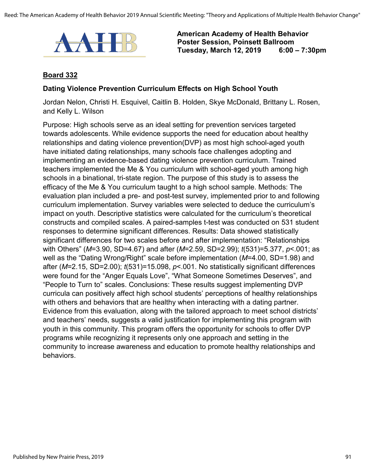

#### **Board 332**

#### **Dating Violence Prevention Curriculum Effects on High School Youth**

Jordan Nelon, Christi H. Esquivel, Caitlin B. Holden, Skye McDonald, Brittany L. Rosen, and Kelly L. Wilson

Purpose: High schools serve as an ideal setting for prevention services targeted towards adolescents. While evidence supports the need for education about healthy relationships and dating violence prevention(DVP) as most high school-aged youth have initiated dating relationships, many schools face challenges adopting and implementing an evidence-based dating violence prevention curriculum. Trained teachers implemented the Me & You curriculum with school-aged youth among high schools in a binational, tri-state region. The purpose of this study is to assess the efficacy of the Me & You curriculum taught to a high school sample. Methods: The evaluation plan included a pre- and post-test survey, implemented prior to and following curriculum implementation. Survey variables were selected to deduce the curriculum's impact on youth. Descriptive statistics were calculated for the curriculum's theoretical constructs and compiled scales. A paired-samples t-test was conducted on 531 student responses to determine significant differences. Results: Data showed statistically significant differences for two scales before and after implementation: "Relationships with Others" (*M*=3.90, SD=4.67) and after (*M*=2.59, SD=2.99); *t*(531)=5.377, *p*<.001; as well as the "Dating Wrong/Right" scale before implementation (*M*=4.00, SD=1.98) and after (*M*=2.15, SD=2.00); *t*(531)=15.098, *p*<.001. No statistically significant differences were found for the "Anger Equals Love", "What Someone Sometimes Deserves", and "People to Turn to" scales. Conclusions: These results suggest implementing DVP curricula can positively affect high school students' perceptions of healthy relationships with others and behaviors that are healthy when interacting with a dating partner. Evidence from this evaluation, along with the tailored approach to meet school districts' and teachers' needs, suggests a valid justification for implementing this program with youth in this community. This program offers the opportunity for schools to offer DVP programs while recognizing it represents only one approach and setting in the community to increase awareness and education to promote healthy relationships and behaviors.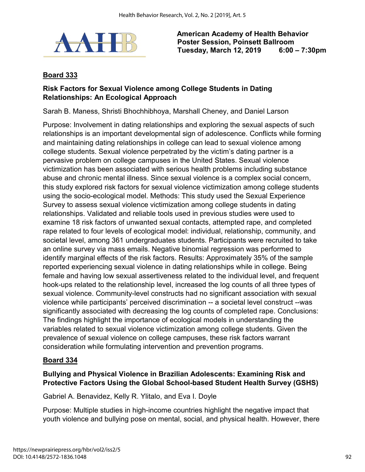

## **Board 333**

## **Risk Factors for Sexual Violence among College Students in Dating Relationships: An Ecological Approach**

Sarah B. Maness, Shristi Bhochhibhoya, Marshall Cheney, and Daniel Larson

Purpose: Involvement in dating relationships and exploring the sexual aspects of such relationships is an important developmental sign of adolescence. Conflicts while forming and maintaining dating relationships in college can lead to sexual violence among college students. Sexual violence perpetrated by the victim's dating partner is a pervasive problem on college campuses in the United States. Sexual violence victimization has been associated with serious health problems including substance abuse and chronic mental illness. Since sexual violence is a complex social concern, this study explored risk factors for sexual violence victimization among college students using the socio-ecological model. Methods: This study used the Sexual Experience Survey to assess sexual violence victimization among college students in dating relationships. Validated and reliable tools used in previous studies were used to examine 18 risk factors of unwanted sexual contacts, attempted rape, and completed rape related to four levels of ecological model: individual, relationship, community, and societal level, among 361 undergraduates students. Participants were recruited to take an online survey via mass emails. Negative binomial regression was performed to identify marginal effects of the risk factors. Results: Approximately 35% of the sample reported experiencing sexual violence in dating relationships while in college. Being female and having low sexual assertiveness related to the individual level, and frequent hook-ups related to the relationship level, increased the log counts of all three types of sexual violence. Community-level constructs had no significant association with sexual violence while participants' perceived discrimination -- a societal level construct --was significantly associated with decreasing the log counts of completed rape. Conclusions: The findings highlight the importance of ecological models in understanding the variables related to sexual violence victimization among college students. Given the prevalence of sexual violence on college campuses, these risk factors warrant consideration while formulating intervention and prevention programs.

### **Board 334**

## **Bullying and Physical Violence in Brazilian Adolescents: Examining Risk and Protective Factors Using the Global School-based Student Health Survey (GSHS)**

Gabriel A. Benavidez, Kelly R. Ylitalo, and Eva I. Doyle

Purpose: Multiple studies in high-income countries highlight the negative impact that youth violence and bullying pose on mental, social, and physical health. However, there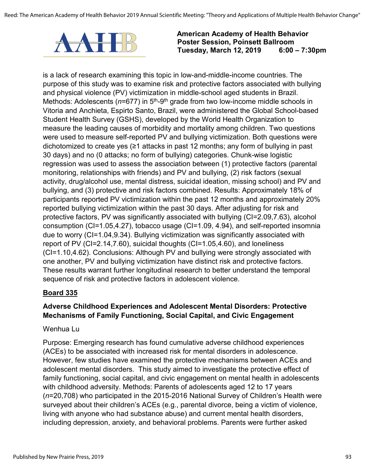

is a lack of research examining this topic in low-and-middle-income countries. The purpose of this study was to examine risk and protective factors associated with bullying and physical violence (PV) victimization in middle-school aged students in Brazil. Methods: Adolescents ( $n=677$ ) in 5<sup>th</sup>-9<sup>th</sup> grade from two low-income middle schools in Vitoria and Anchieta, Espirto Santo, Brazil, were administered the Global School-based Student Health Survey (GSHS), developed by the World Health Organization to measure the leading causes of morbidity and mortality among children. Two questions were used to measure self-reported PV and bullying victimization. Both questions were dichotomized to create yes (≥1 attacks in past 12 months; any form of bullying in past 30 days) and no (0 attacks; no form of bullying) categories. Chunk-wise logistic regression was used to assess the association between (1) protective factors (parental monitoring, relationships with friends) and PV and bullying, (2) risk factors (sexual activity, drug/alcohol use, mental distress, suicidal ideation, missing school) and PV and bullying, and (3) protective and risk factors combined. Results: Approximately 18% of participants reported PV victimization within the past 12 months and approximately 20% reported bullying victimization within the past 30 days. After adjusting for risk and protective factors, PV was significantly associated with bullying (CI=2.09,7.63), alcohol consumption (CI=1.05,4.27), tobacco usage (CI=1.09, 4.94), and self-reported insomnia due to worry (CI=1.04,9.34). Bullying victimization was significantly associated with report of PV (CI=2.14,7.60), suicidal thoughts (CI=1.05,4.60), and loneliness (CI=1.10,4.62). Conclusions: Although PV and bullying were strongly associated with one another, PV and bullying victimization have distinct risk and protective factors. These results warrant further longitudinal research to better understand the temporal sequence of risk and protective factors in adolescent violence.

### **Board 335**

## **Adverse Childhood Experiences and Adolescent Mental Disorders: Protective Mechanisms of Family Functioning, Social Capital, and Civic Engagement**

### Wenhua Lu

Purpose: Emerging research has found cumulative adverse childhood experiences (ACEs) to be associated with increased risk for mental disorders in adolescence. However, few studies have examined the protective mechanisms between ACEs and adolescent mental disorders. This study aimed to investigate the protective effect of family functioning, social capital, and civic engagement on mental health in adolescents with childhood adversity. Methods: Parents of adolescents aged 12 to 17 years (*n*=20,708) who participated in the 2015-2016 National Survey of Children's Health were surveyed about their children's ACEs (e.g., parental divorce, being a victim of violence, living with anyone who had substance abuse) and current mental health disorders, including depression, anxiety, and behavioral problems. Parents were further asked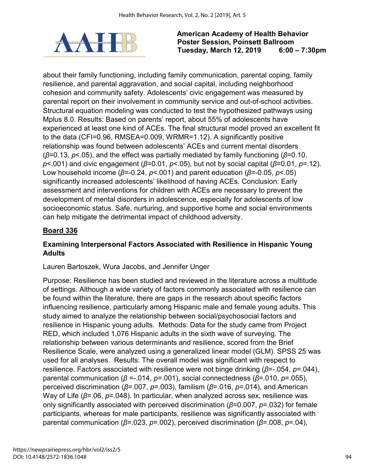

about their family functioning, including family communication, parental coping, family resilience, and parental aggravation, and social capital, including neighborhood cohesion and community safety. Adolescents' civic engagement was measured by parental report on their involvement in community service and out-of-school activities. Structural equation modeling was conducted to test the hypothesized pathways using Mplus 8.0. Results: Based on parents' report, about 55% of adolescents have experienced at least one kind of ACEs. The final structural model proved an excellent fit to the data (CFI=0.96, RMSEA=0.009, WRMR=1.12). A significantly positive relationship was found between adolescents' ACEs and current mental disorders (*β*=0.13, *p*<.05), and the effect was partially mediated by family functioning (*β*=0.10, *p*<.001) and civic engagement (*β*=0.01, *p*<.05), but not by social capital (*β*=0.01, *p*=.12). Low household income (*β*=-0.24, *p*<.001) and parent education (*β*=-0.05, *p*<.05) significantly increased adolescents' likelihood of having ACEs. Conclusion: Early assessment and interventions for children with ACEs are necessary to prevent the development of mental disorders in adolescence, especially for adolescents of low socioeconomic status. Safe, nurturing, and supportive home and social environments can help mitigate the detrimental impact of childhood adversity.

# **Board 336**

## **Examining Interpersonal Factors Associated with Resilience in Hispanic Young Adults**

Lauren Bartoszek, Wura Jacobs, and Jennifer Unger

Purpose: Resilience has been studied and reviewed in the literature across a multitude of settings. Although a wide variety of factors commonly associated with resilience can be found within the literature, there are gaps in the research about specific factors influencing resilience, particularly among Hispanic male and female young adults. This study aimed to analyze the relationship between social/psychosocial factors and resilience in Hispanic young adults. Methods: Data for the study came from Project RED, which included 1,076 Hispanic adults in the sixth wave of surveying. The relationship between various determinants and resilience, scored from the Brief Resilience Scale, were analyzed using a generalized linear model (GLM). SPSS 25 was used for all analyses. Results: The overall model was significant with respect to resilience. Factors associated with resilience were not binge drinking (*β*=-.054, *p*=.044), parental communication (*β* =-.014, *p*=.001), social connectedness (*β*=.010, *p*=.055), perceived discrimination (*β*=.007, *p*=.003), familism (*β*=.016, *p*=.014), and American Way of Life (*β*=.06, *p*=.048). In particular, when analyzed across sex, resilience was only significantly associated with perceived discrimination (*β*=0.007, *p*=.032) for female participants, whereas for male participants, resilience was significantly associated with parental communication (*β*=.023, *p*=.002), perceived discrimination (*β*=.008, *p*=.04),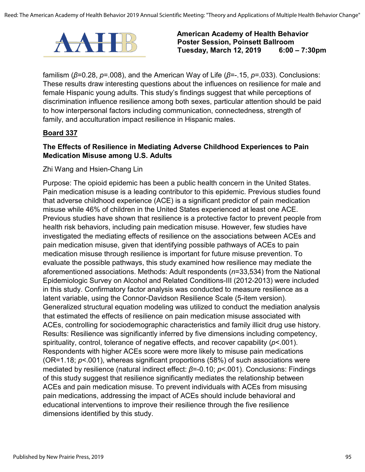

familism (*β*=0.28, *p*=.008), and the American Way of Life (*β*=-.15, *p*=.033). Conclusions: These results draw interesting questions about the influences on resilience for male and female Hispanic young adults. This study's findings suggest that while perceptions of discrimination influence resilience among both sexes, particular attention should be paid to how interpersonal factors including communication, connectedness, strength of family, and acculturation impact resilience in Hispanic males.

#### **Board 337**

### **The Effects of Resilience in Mediating Adverse Childhood Experiences to Pain Medication Misuse among U.S. Adults**

Zhi Wang and Hsien-Chang Lin

Purpose: The opioid epidemic has been a public health concern in the United States. Pain medication misuse is a leading contributor to this epidemic. Previous studies found that adverse childhood experience (ACE) is a significant predictor of pain medication misuse while 46% of children in the United States experienced at least one ACE. Previous studies have shown that resilience is a protective factor to prevent people from health risk behaviors, including pain medication misuse. However, few studies have investigated the mediating effects of resilience on the associations between ACEs and pain medication misuse, given that identifying possible pathways of ACEs to pain medication misuse through resilience is important for future misuse prevention. To evaluate the possible pathways, this study examined how resilience may mediate the aforementioned associations. Methods: Adult respondents (*n*=33,534) from the National Epidemiologic Survey on Alcohol and Related Conditions-III (2012-2013) were included in this study. Confirmatory factor analysis was conducted to measure resilience as a latent variable, using the Connor-Davidson Resilience Scale (5-item version). Generalized structural equation modeling was utilized to conduct the mediation analysis that estimated the effects of resilience on pain medication misuse associated with ACEs, controlling for sociodemographic characteristics and family illicit drug use history. Results: Resilience was significantly inferred by five dimensions including competency, spirituality, control, tolerance of negative effects, and recover capability (*p*<.001). Respondents with higher ACEs score were more likely to misuse pain medications (OR=1.18; *p*<.001), whereas significant proportions (58%) of such associations were mediated by resilience (natural indirect effect: *β*=-0.10; *p*<.001). Conclusions: Findings of this study suggest that resilience significantly mediates the relationship between ACEs and pain medication misuse. To prevent individuals with ACEs from misusing pain medications, addressing the impact of ACEs should include behavioral and educational interventions to improve their resilience through the five resilience dimensions identified by this study.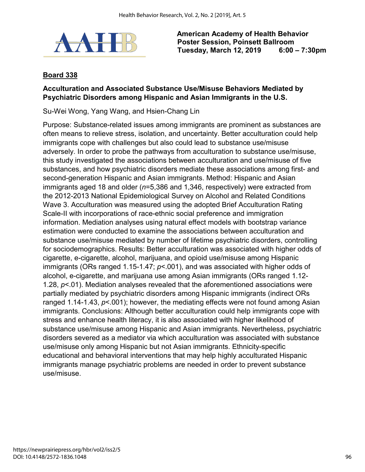

## **Board 338**

## **Acculturation and Associated Substance Use/Misuse Behaviors Mediated by Psychiatric Disorders among Hispanic and Asian Immigrants in the U.S.**

Su-Wei Wong, Yang Wang, and Hsien-Chang Lin

Purpose: Substance-related issues among immigrants are prominent as substances are often means to relieve stress, isolation, and uncertainty. Better acculturation could help immigrants cope with challenges but also could lead to substance use/misuse adversely. In order to probe the pathways from acculturation to substance use/misuse, this study investigated the associations between acculturation and use/misuse of five substances, and how psychiatric disorders mediate these associations among first- and second-generation Hispanic and Asian immigrants. Method: Hispanic and Asian immigrants aged 18 and older (*n*=5,386 and 1,346, respectively) were extracted from the 2012-2013 National Epidemiological Survey on Alcohol and Related Conditions Wave 3. Acculturation was measured using the adopted Brief Acculturation Rating Scale-II with incorporations of race-ethnic social preference and immigration information. Mediation analyses using natural effect models with bootstrap variance estimation were conducted to examine the associations between acculturation and substance use/misuse mediated by number of lifetime psychiatric disorders, controlling for sociodemographics. Results: Better acculturation was associated with higher odds of cigarette, e-cigarette, alcohol, marijuana, and opioid use/misuse among Hispanic immigrants (ORs ranged 1.15-1.47; *p*<.001), and was associated with higher odds of alcohol, e-cigarette, and marijuana use among Asian immigrants (ORs ranged 1.12- 1.28, *p*<.01). Mediation analyses revealed that the aforementioned associations were partially mediated by psychiatric disorders among Hispanic immigrants (indirect ORs ranged 1.14-1.43, *p*<.001); however, the mediating effects were not found among Asian immigrants. Conclusions: Although better acculturation could help immigrants cope with stress and enhance health literacy, it is also associated with higher likelihood of substance use/misuse among Hispanic and Asian immigrants. Nevertheless, psychiatric disorders severed as a mediator via which acculturation was associated with substance use/misuse only among Hispanic but not Asian immigrants. Ethnicity-specific educational and behavioral interventions that may help highly acculturated Hispanic immigrants manage psychiatric problems are needed in order to prevent substance use/misuse.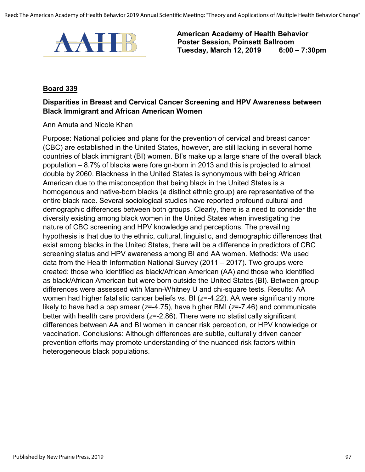

#### **Board 339**

## **Disparities in Breast and Cervical Cancer Screening and HPV Awareness between Black Immigrant and African American Women**

Ann Amuta and Nicole Khan

Purpose: National policies and plans for the prevention of cervical and breast cancer (CBC) are established in the United States, however, are still lacking in several home countries of black immigrant (BI) women. BI's make up a large share of the overall black population – 8.7% of blacks were foreign-born in 2013 and this is projected to almost double by 2060. Blackness in the United States is synonymous with being African American due to the misconception that being black in the United States is a homogenous and native-born blacks (a distinct ethnic group) are representative of the entire black race. Several sociological studies have reported profound cultural and demographic differences between both groups. Clearly, there is a need to consider the diversity existing among black women in the United States when investigating the nature of CBC screening and HPV knowledge and perceptions. The prevailing hypothesis is that due to the ethnic, cultural, linguistic, and demographic differences that exist among blacks in the United States, there will be a difference in predictors of CBC screening status and HPV awareness among BI and AA women. Methods: We used data from the Health Information National Survey (2011 – 2017). Two groups were created: those who identified as black/African American (AA) and those who identified as black/African American but were born outside the United States (BI). Between group differences were assessed with Mann-Whitney U and chi-square tests. Results: AA women had higher fatalistic cancer beliefs vs. BI (*z*=-4.22). AA were significantly more likely to have had a pap smear (*z*=-4.75), have higher BMI (*z*=-7.46) and communicate better with health care providers (*z*=-2.86). There were no statistically significant differences between AA and BI women in cancer risk perception, or HPV knowledge or vaccination. Conclusions: Although differences are subtle, culturally driven cancer prevention efforts may promote understanding of the nuanced risk factors within heterogeneous black populations.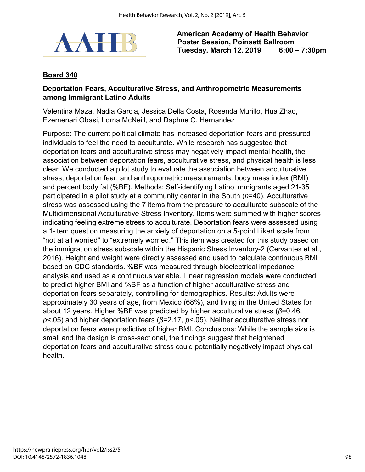

## **Board 340**

#### **Deportation Fears, Acculturative Stress, and Anthropometric Measurements among Immigrant Latino Adults**

Valentina Maza, Nadia Garcia, Jessica Della Costa, Rosenda Murillo, Hua Zhao, Ezemenari Obasi, Lorna McNeill, and Daphne C. Hernandez

Purpose: The current political climate has increased deportation fears and pressured individuals to feel the need to acculturate. While research has suggested that deportation fears and acculturative stress may negatively impact mental health, the association between deportation fears, acculturative stress, and physical health is less clear. We conducted a pilot study to evaluate the association between acculturative stress, deportation fear, and anthropometric measurements: body mass index (BMI) and percent body fat (%BF). Methods: Self-identifying Latino immigrants aged 21-35 participated in a pilot study at a community center in the South (*n*=40). Acculturative stress was assessed using the 7 items from the pressure to acculturate subscale of the Multidimensional Acculturative Stress Inventory. Items were summed with higher scores indicating feeling extreme stress to acculturate. Deportation fears were assessed using a 1-item question measuring the anxiety of deportation on a 5-point Likert scale from "not at all worried" to "extremely worried." This item was created for this study based on the immigration stress subscale within the Hispanic Stress Inventory-2 (Cervantes et al., 2016). Height and weight were directly assessed and used to calculate continuous BMI based on CDC standards. %BF was measured through bioelectrical impedance analysis and used as a continuous variable. Linear regression models were conducted to predict higher BMI and %BF as a function of higher acculturative stress and deportation fears separately, controlling for demographics. Results: Adults were approximately 30 years of age, from Mexico (68%), and living in the United States for about 12 years. Higher %BF was predicted by higher acculturative stress (*β*=0.46, *p*<.05) and higher deportation fears (*β*=2.17, *p*<.05). Neither acculturative stress nor deportation fears were predictive of higher BMI. Conclusions: While the sample size is small and the design is cross-sectional, the findings suggest that heightened deportation fears and acculturative stress could potentially negatively impact physical health.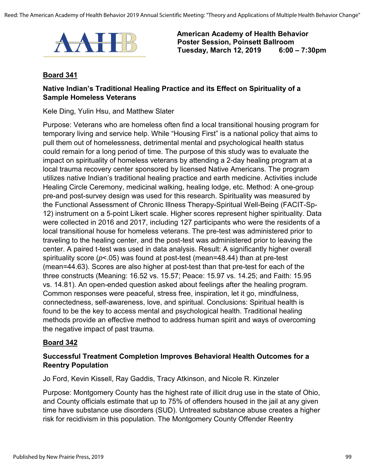

#### **Board 341**

#### **Native Indian's Traditional Healing Practice and its Effect on Spirituality of a Sample Homeless Veterans**

Kele Ding, Yulin Hsu, and Matthew Slater

Purpose: Veterans who are homeless often find a local transitional housing program for temporary living and service help. While "Housing First" is a national policy that aims to pull them out of homelessness, detrimental mental and psychological health status could remain for a long period of time. The purpose of this study was to evaluate the impact on spirituality of homeless veterans by attending a 2-day healing program at a local trauma recovery center sponsored by licensed Native Americans. The program utilizes native Indian's traditional healing practice and earth medicine. Activities include Healing Circle Ceremony, medicinal walking, healing lodge, etc. Method: A one-group pre-and post-survey design was used for this research. Spirituality was measured by the Functional Assessment of Chronic Illness Therapy-Spiritual Well-Being (FACIT-Sp-12) instrument on a 5-point Likert scale. Higher scores represent higher spirituality. Data were collected in 2016 and 2017, including 127 participants who were the residents of a local transitional house for homeless veterans. The pre-test was administered prior to traveling to the healing center, and the post-test was administered prior to leaving the center. A paired t-test was used in data analysis. Result: A significantly higher overall spirituality score (*p*<.05) was found at post-test (mean=48.44) than at pre-test (mean=44.63). Scores are also higher at post-test than that pre-test for each of the three constructs (Meaning: 16.52 vs. 15.57; Peace: 15.97 vs. 14.25; and Faith: 15.95 vs. 14.81). An open-ended question asked about feelings after the healing program. Common responses were peaceful, stress free, inspiration, let it go, mindfulness, connectedness, self-awareness, love, and spiritual. Conclusions: Spiritual health is found to be the key to access mental and psychological health. Traditional healing methods provide an effective method to address human spirit and ways of overcoming the negative impact of past trauma.

#### **Board 342**

### **Successful Treatment Completion Improves Behavioral Health Outcomes for a Reentry Population**

Jo Ford, Kevin Kissell, Ray Gaddis, Tracy Atkinson, and Nicole R. Kinzeler

Purpose: Montgomery County has the highest rate of illicit drug use in the state of Ohio, and County officials estimate that up to 75% of offenders housed in the jail at any given time have substance use disorders (SUD). Untreated substance abuse creates a higher risk for recidivism in this population. The Montgomery County Offender Reentry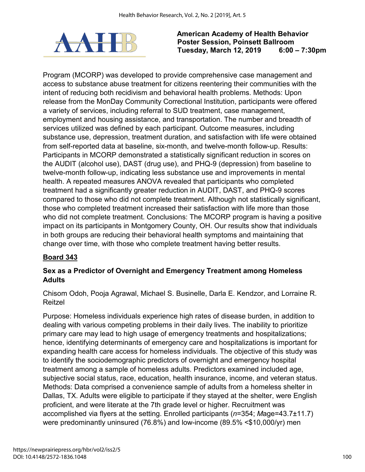

Program (MCORP) was developed to provide comprehensive case management and access to substance abuse treatment for citizens reentering their communities with the intent of reducing both recidivism and behavioral health problems. Methods: Upon release from the MonDay Community Correctional Institution, participants were offered a variety of services, including referral to SUD treatment, case management, employment and housing assistance, and transportation. The number and breadth of services utilized was defined by each participant. Outcome measures, including substance use, depression, treatment duration, and satisfaction with life were obtained from self-reported data at baseline, six-month, and twelve-month follow-up. Results: Participants in MCORP demonstrated a statistically significant reduction in scores on the AUDIT (alcohol use), DAST (drug use), and PHQ-9 (depression) from baseline to twelve-month follow-up, indicating less substance use and improvements in mental health. A repeated measures ANOVA revealed that participants who completed treatment had a significantly greater reduction in AUDIT, DAST, and PHQ-9 scores compared to those who did not complete treatment. Although not statistically significant, those who completed treatment increased their satisfaction with life more than those who did not complete treatment. Conclusions: The MCORP program is having a positive impact on its participants in Montgomery County, OH. Our results show that individuals in both groups are reducing their behavioral health symptoms and maintaining that change over time, with those who complete treatment having better results.

# **Board 343**

# **Sex as a Predictor of Overnight and Emergency Treatment among Homeless Adults**

Chisom Odoh, Pooja Agrawal, Michael S. Businelle, Darla E. Kendzor, and Lorraine R. Reitzel

Purpose: Homeless individuals experience high rates of disease burden, in addition to dealing with various competing problems in their daily lives. The inability to prioritize primary care may lead to high usage of emergency treatments and hospitalizations; hence, identifying determinants of emergency care and hospitalizations is important for expanding health care access for homeless individuals. The objective of this study was to identify the sociodemographic predictors of overnight and emergency hospital treatment among a sample of homeless adults. Predictors examined included age, subjective social status, race, education, health insurance, income, and veteran status. Methods: Data comprised a convenience sample of adults from a homeless shelter in Dallas, TX. Adults were eligible to participate if they stayed at the shelter, were English proficient, and were literate at the 7th grade level or higher. Recruitment was accomplished via flyers at the setting. Enrolled participants (*n*=354; *M*age=43.7±11.7) were predominantly uninsured (76.8%) and low-income (89.5% <\$10,000/yr) men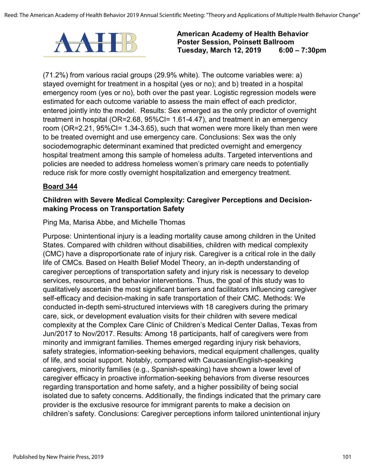

(71.2%) from various racial groups (29.9% white). The outcome variables were: a) stayed overnight for treatment in a hospital (yes or no); and b) treated in a hospital emergency room (yes or no), both over the past year. Logistic regression models were estimated for each outcome variable to assess the main effect of each predictor, entered jointly into the model. Results: Sex emerged as the only predictor of overnight treatment in hospital (OR=2.68, 95%CI= 1.61-4.47), and treatment in an emergency room (OR=2.21, 95%CI= 1.34-3.65), such that women were more likely than men were to be treated overnight and use emergency care. Conclusions: Sex was the only sociodemographic determinant examined that predicted overnight and emergency hospital treatment among this sample of homeless adults. Targeted interventions and policies are needed to address homeless women's primary care needs to potentially reduce risk for more costly overnight hospitalization and emergency treatment.

### **Board 344**

### **Children with Severe Medical Complexity: Caregiver Perceptions and Decisionmaking Process on Transportation Safety**

#### Ping Ma, Marisa Abbe, and Michelle Thomas

Purpose: Unintentional injury is a leading mortality cause among children in the United States. Compared with children without disabilities, children with medical complexity (CMC) have a disproportionate rate of injury risk. Caregiver is a critical role in the daily life of CMCs. Based on Health Belief Model Theory, an in-depth understanding of caregiver perceptions of transportation safety and injury risk is necessary to develop services, resources, and behavior interventions. Thus, the goal of this study was to qualitatively ascertain the most significant barriers and facilitators influencing caregiver self-efficacy and decision-making in safe transportation of their CMC. Methods: We conducted in-depth semi-structured interviews with 18 caregivers during the primary care, sick, or development evaluation visits for their children with severe medical complexity at the Complex Care Clinic of Children's Medical Center Dallas, Texas from Jun/2017 to Nov/2017. Results: Among 18 participants, half of caregivers were from minority and immigrant families. Themes emerged regarding injury risk behaviors, safety strategies, information-seeking behaviors, medical equipment challenges, quality of life, and social support. Notably, compared with Caucasian/English-speaking caregivers, minority families (e.g., Spanish-speaking) have shown a lower level of caregiver efficacy in proactive information-seeking behaviors from diverse resources regarding transportation and home safety, and a higher possibility of being social isolated due to safety concerns. Additionally, the findings indicated that the primary care provider is the exclusive resource for immigrant parents to make a decision on children's safety. Conclusions: Caregiver perceptions inform tailored unintentional injury